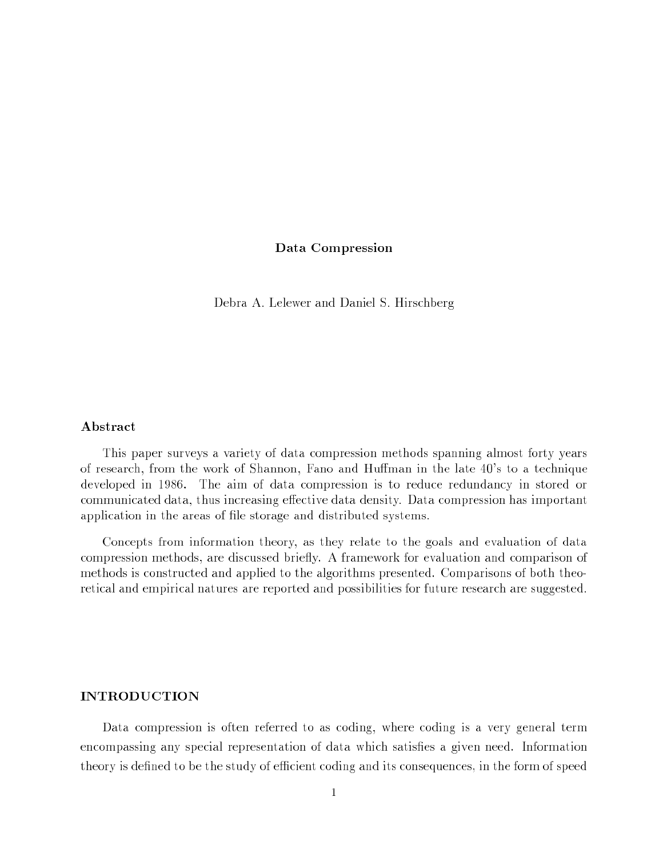#### Data Compression

Debra A. Lelewer and Daniel S. Hirschberg

#### Abstract

This paper surveys a variety of data compression methods spanning almost forty years of research, from the work of Shannon, Fano and Human in the late 40's to a technique developed in 1986. The aim of data compression is to reduce redundancy in stored or communicated data, thus increasing effective data density. Data compression has important application in the areas of file storage and distributed systems.

Concepts from information theory, as they relate to the goals and evaluation of data compression methods, are discussed briefly. A framework for evaluation and comparison of methods is constructed and applied to the algorithms presented. Comparisons of both theoretical and empirical natures are reported and possibilities for future research are suggested.

## INTRODUCTION

Data compression is often referred to as coding, where coding is a very general term encompassing any special representation of data which satisfies a given need. Information theory is defined to be the study of efficient coding and its consequences, in the form of speed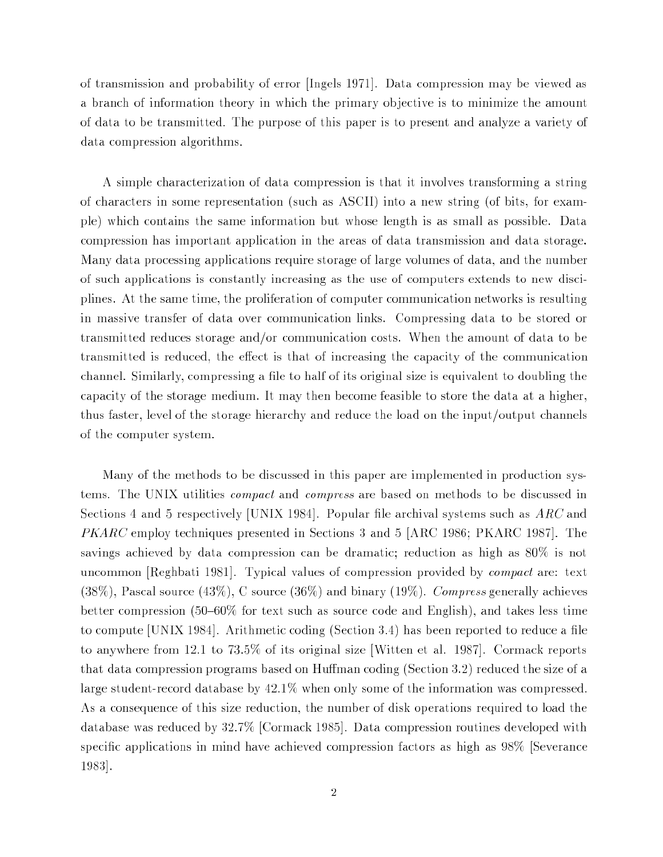of transmission and probability of error [Ingels 1971]. Data compression may be viewed as a branch of information theory in which the primary ob jective is to minimize the amount of data to be transmitted. The purpose of this paper is to present and analyze a variety of data compression algorithms.

A simple characterization of data compression is that it involves transforming a string of characters in some representation (such as ASCII) into a new string (of bits, for example) which contains the same information but whose length is as small as possible. Data compression has important application in the areas of data transmission and data storage. Many data processing applications require storage of large volumes of data, and the number of such applications is constantly increasing as the use of computers extends to new disciplines. At the same time, the proliferation of computer communication networks is resulting in massive transfer of data over communication links. Compressing data to be stored or transmitted reduces storage and/or communication costs. When the amount of data to be transmitted is reduced, the effect is that of increasing the capacity of the communication channel. Similarly, compressing a file to half of its original size is equivalent to doubling the capacity of the storage medium. It may then become feasible to store the data at a higher, thus faster, level of the storage hierarchy and reduce the load on the input/output channels of the computer system.

Many of the methods to be discussed in this paper are implemented in production systems. The UNIX utilities compact and compress are based on methods to be discussed in Sections 4 and 5 respectively [UNIX 1984]. Popular file archival systems such as  $ARC$  and PKARC employ techniques presented in Sections 3 and 5 [ARC 1986; PKARC 1987]. The savings achieved by data compression can be dramatic; reduction as high as 80% is not uncommon [Reghbati 1981]. Typical values of compression provided by compact are: text  $(38\%)$ , Pascal source  $(43\%)$ , C source  $(36\%)$  and binary  $(19\%)$ . Compress generally achieves better compression  $(50{\text -}60\%$  for text such as source code and English), and takes less time to compute [UNIX 1984]. Arithmetic coding (Section 3.4) has been reported to reduce a file to anywhere from 12.1 to 73.5% of its original size [Witten et al. 1987]. Cormack reports that data compression programs based on Human coding (Section 3.2) reduced the size of a large student-record database by 42.1% when only some of the information was compressed. As a consequence of this size reduction, the number of disk operations required to load the database was reduced by 32.7% [Cormack 1985]. Data compression routines developed with specific applications in mind have achieved compression factors as high as 98% [Severance 1983].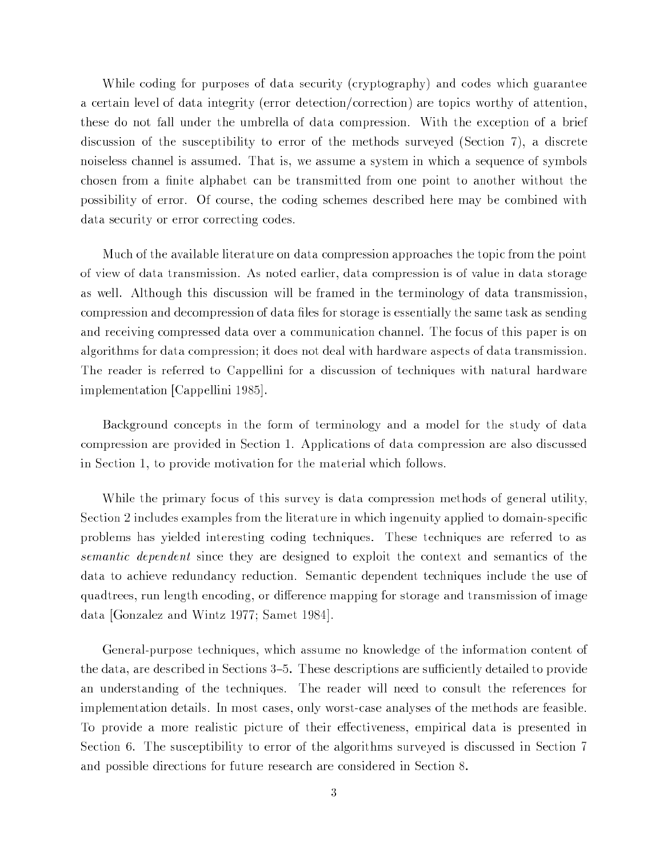While coding for purposes of data security (cryptography) and codes which guarantee a certain level of data integrity (error detection/correction) are topics worthy of attention, these do not fall under the umbrella of data compression. With the exception of a brief discussion of the susceptibility to error of the methods surveyed (Section 7), a discrete noiseless channel is assumed. That is, we assume a system in which a sequence of symbols chosen from a finite alphabet can be transmitted from one point to another without the possibility of error. Of course, the coding schemes described here may be combined with data security or error correcting codes.

Much of the available literature on data compression approaches the topic from the point of view of data transmission. As noted earlier, data compression is of value in data storage as well. Although this discussion will be framed in the terminology of data transmission, compression and decompression of data files for storage is essentially the same task as sending and receiving compressed data over a communication channel. The focus of this paper is on algorithms for data compression; it does not deal with hardware aspects of data transmission. The reader is referred to Cappellini for a discussion of techniques with natural hardware implementation [Cappellini 1985].

Background concepts in the form of terminology and a model for the study of data compression are provided in Section 1. Applications of data compression are also discussed in Section 1, to provide motivation for the material which follows.

While the primary focus of this survey is data compression methods of general utility, Section 2 includes examples from the literature in which ingenuity applied to domain-specific problems has yielded interesting coding techniques. These techniques are referred to as semantic dependent since they are designed to exploit the context and semantics of the data to achieve redundancy reduction. Semantic dependent techniques include the use of quadtrees, run length encoding, or difference mapping for storage and transmission of image data [Gonzalez and Wintz 1977; Samet 1984].

General-purpose techniques, which assume no knowledge of the information content of the data, are described in Sections 3-5. These descriptions are sufficiently detailed to provide an understanding of the techniques. The reader will need to consult the references for implementation details. In most cases, only worst-case analyses of the methods are feasible. To provide a more realistic picture of their effectiveness, empirical data is presented in Section 6. The susceptibility to error of the algorithms surveyed is discussed in Section 7 and possible directions for future research are considered in Section 8.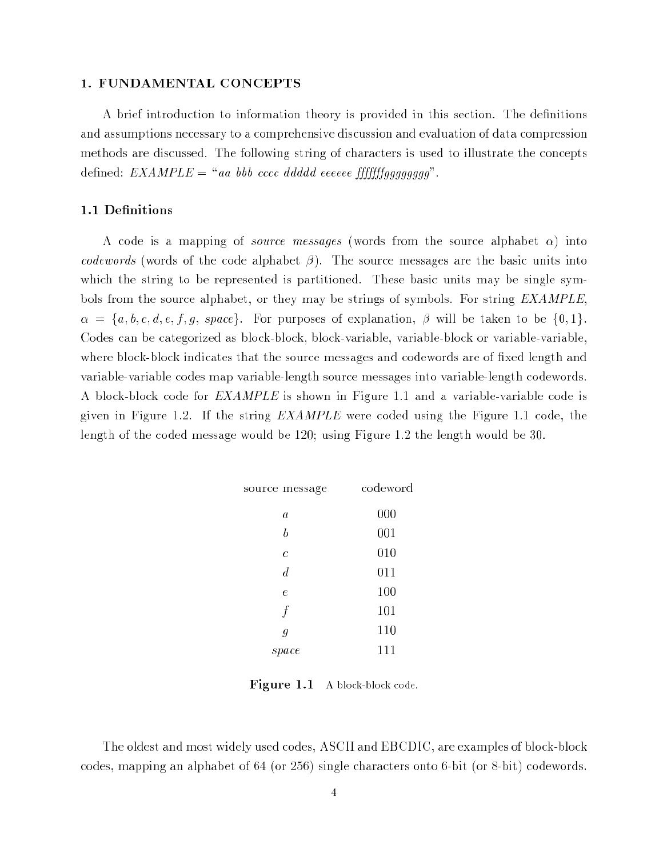## 1. FUNDAMENTAL CONCEPTS

A brief introduction to information theory is provided in this section. The definitions and assumptions necessary to a comprehensive discussion and evaluation of data compression methods are discussed. The following string of characters is used to illustrate the concepts defined:  $EXAMPLE = "aa bbb cccc ddddd eeeeee$  fffffffgggggggg".

## 1.1 Definitions

A code is a mapping of *source messages* (words from the source alphabet  $\alpha$ ) into *codewords* (words of the code alphabet  $\beta$ ). The source messages are the basic units into which the string to be represented is partitioned. These basic units may be single symbols from the source alphabet, or they may be strings of symbols. For string EXAMPLE,  $\alpha = \{a, b, c, d, e, f, g, space\}.$  For purposes of explanation,  $\beta$  will be taken to be  $\{0, 1\}.$ Codes can be categorized as block-block, block-variable, variable-block or variable-variable, where block-block indicates that the source messages and codewords are of fixed length and variable-variable codes map variable-length source messages into variable-length codewords. A block-block code for EXAMPLE is shown in Figure 1.1 and a variable-variable code is given in Figure 1.2. If the string EXAMPLE were coded using the Figure 1.1 code, the length of the coded message would be 120; using Figure 1.2 the length would be 30.

| source message   | codeword |
|------------------|----------|
| $\boldsymbol{a}$ | 000      |
| b                | 001      |
| $\epsilon$       | 010      |
| $\overline{d}$   | 011      |
| $\epsilon$       | 100      |
| f                | 101      |
| 9                | 110      |
| space            | 111      |

Figure 1.1 A block-block code.

The oldest and most widely used codes, ASCII and EBCDIC, are examples of block-block codes, mapping an alphabet of 64 (or 256) single characters onto 6-bit (or 8-bit) codewords.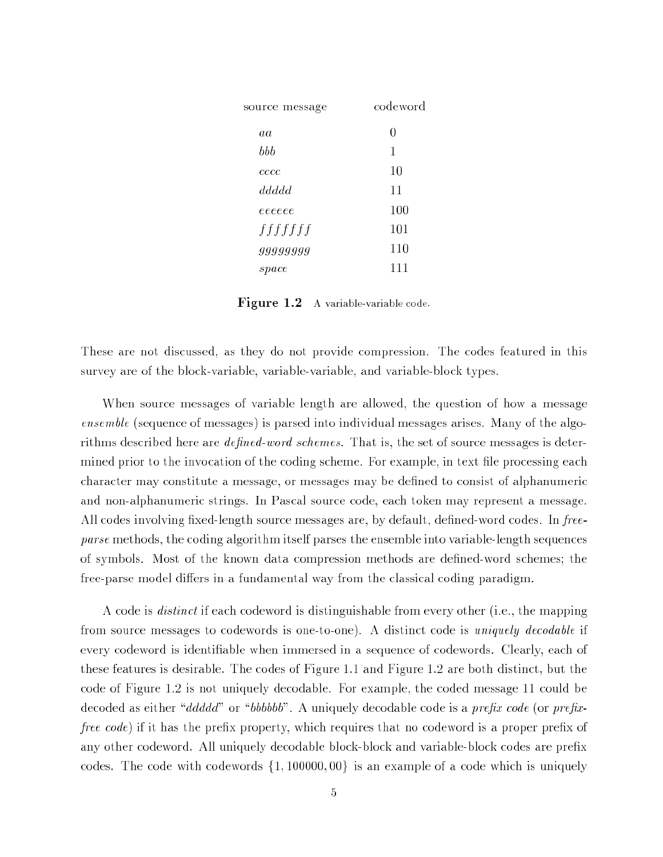| source message | codeword |
|----------------|----------|
| a a            | 0        |
| bbb            | 1        |
| cccc           | 10       |
| d d d d d      | 11       |
| еееее          | 100      |
| f f f f f f f  | 101      |
| 99999999       | 110      |
| space          | 111      |

Figure 1.2 A variable-variable code.

These are not discussed, as they do not provide compression. The codes featured in this survey are of the block-variable, variable-variable, and variable-block types.

When source messages of variable length are allowed, the question of how a message ensemble (sequence of messages) is parsed into individual messages arises. Many of the algorithms described here are  $defined$ -word schemes. That is, the set of source messages is determined prior to the invocation of the coding scheme. For example, in text file processing each character may constitute a message, or messages may be defined to consist of alphanumeric and non-alphanumeric strings. In Pascal source code, each token may represent a message. All codes involving fixed-length source messages are, by default, defined-word codes. In freeparse methods, the coding algorithm itself parses the ensemble into variable-length sequences of symbols. Most of the known data compression methods are defined-word schemes; the free-parse model differs in a fundamental way from the classical coding paradigm.

A code is *distinct* if each codeword is distinguishable from every other (i.e., the mapping from source messages to codewords is one-to-one). A distinct code is uniquely decodable if every codeword is identiable when immersed in a sequence of codewords. Clearly, each of these features is desirable. The codes of Figure 1.1 and Figure 1.2 are both distinct, but the code of Figure 1.2 is not uniquely decodable. For example, the coded message 11 could be decoded as either "ddddd" or "bbbbbb". A uniquely decodable code is a prefix code (or prefix*free code*) if it has the prefix property, which requires that no codeword is a proper prefix of any other codeword. All uniquely decodable block-block and variable-block codes are prefix codes. The code with codewords  $\{1, 100000, 00\}$  is an example of a code which is uniquely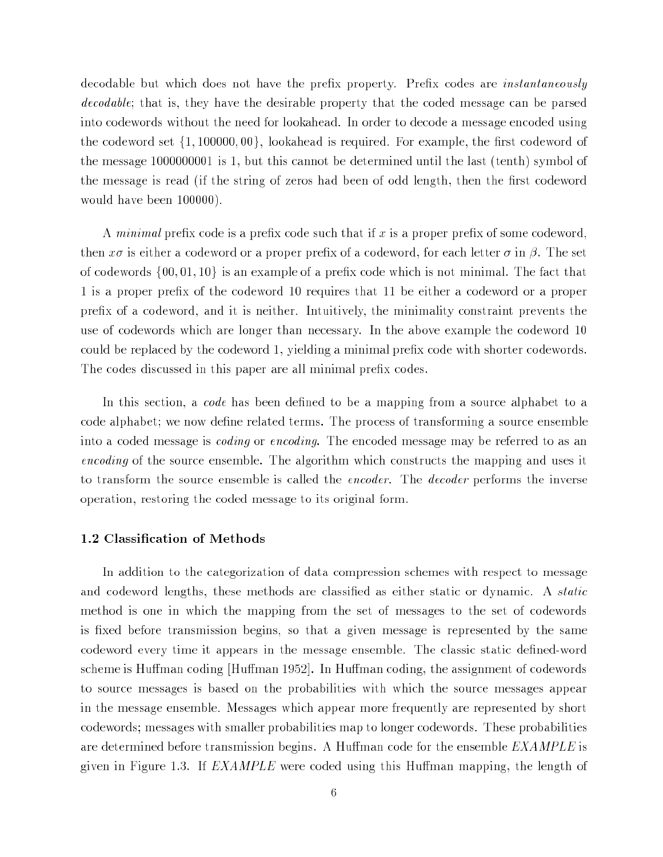decodable but which does not have the prefix property. Prefix codes are *instantaneously* decodable; that is, they have the desirable property that the coded message can be parsed into codewords without the need for lookahead. In order to decode a message encoded using the codeword set  $\{1, 100000, 00\}$ , lookahead is required. For example, the first codeword of the message 1000000001 is 1, but this cannot be determined until the last (tenth) symbol of the message is read (if the string of zeros had been of odd length, then the first codeword would have been 100000).

A minimal prefix code is a prefix code such that if x is a proper prefix of some codeword, then  $x\sigma$  is either a codeword or a proper prefix of a codeword, for each letter  $\sigma$  in  $\beta$ . The set of codewords  $\{00, 01, 10\}$  is an example of a prefix code which is not minimal. The fact that 1 is a proper prefix of the codeword 10 requires that 11 be either a codeword or a proper prefix of a codeword, and it is neither. Intuitively, the minimality constraint prevents the use of codewords which are longer than necessary. In the above example the codeword 10 could be replaced by the codeword 1, yielding a minimal prefix code with shorter codewords. The codes discussed in this paper are all minimal prefix codes.

In this section, a *code* has been defined to be a mapping from a source alphabet to a code alphabet; we now define related terms. The process of transforming a source ensemble into a coded message is *coding* or *encoding*. The encoded message may be referred to as an encoding of the source ensemble. The algorithm which constructs the mapping and uses it to transform the source ensemble is called the *encoder*. The *decoder* performs the inverse operation, restoring the coded message to its original form.

#### 1.2 Classication of Methods

In addition to the categorization of data compression schemes with respect to message and codeword lengths, these methods are classified as either static or dynamic. A *static* method is one in which the mapping from the set of messages to the set of codewords is fixed before transmission begins, so that a given message is represented by the same codeword every time it appears in the message ensemble. The classic static defined-word scheme is Huffman coding Huffman 1952. In Huffman coding, the assignment of codewords to source messages is based on the probabilities with which the source messages appear in the message ensemble. Messages which appear more frequently are represented by short codewords; messages with smaller probabilities map to longer codewords. These probabilities are determined before transmission begins. A Huffman code for the ensemble  $EXAMPLE$  is given in Figure 1.3. If  $EXAMPLE$  were coded using this Huffman mapping, the length of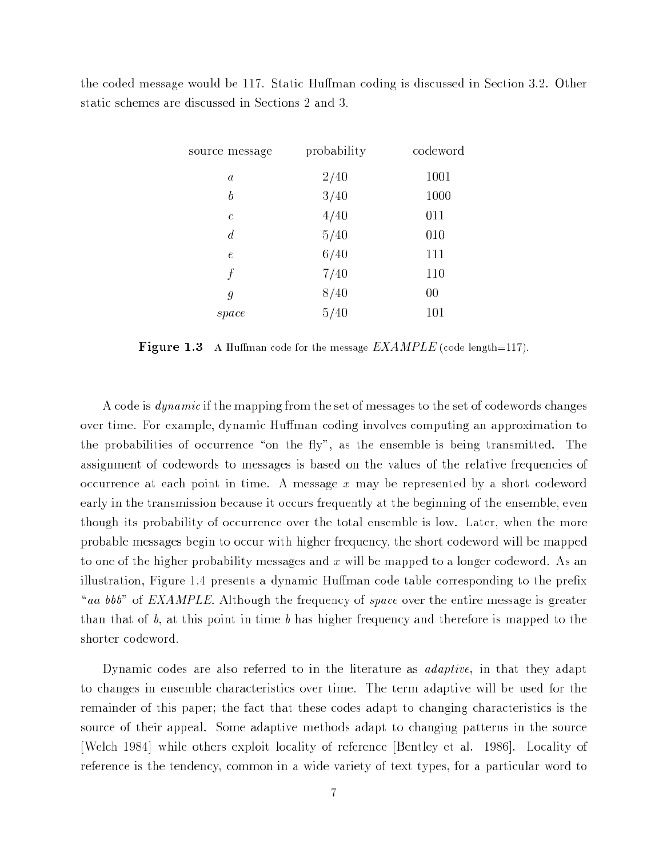the coded message would be 117. Static Human coding is discussed in Section 3.2. Other static schemes are discussed in Sections 2 and 3.

| source message   | probability | codeword |
|------------------|-------------|----------|
| $\boldsymbol{a}$ | 2/40        | 1001     |
| $\boldsymbol{b}$ | 3/40        | 1000     |
| $\mathcal{C}$    | 4/40        | 011      |
| $\overline{d}$   | 5/40        | 010      |
| $\epsilon$       | 6/40        | 111      |
| f                | 7/40        | 110      |
| 9                | 8/40        | $00\,$   |
| space            | 5/40        | 101      |
|                  |             |          |

Figure 1.3 A Huffman code for the message  $EXAMPLE$  (code length=117).

A code is *dynamic* if the mapping from the set of messages to the set of codewords changes over time. For example, dynamic Huffman coding involves computing an approximation to the probabilities of occurrence "on the fly", as the ensemble is being transmitted. The assignment of codewords to messages is based on the values of the relative frequencies of occurrence at each point in time. A message  $x$  may be represented by a short codeword early in the transmission because it occurs frequently at the beginning of the ensemble, even though its probability of occurrence over the total ensemble is low. Later, when the more probable messages begin to occur with higher frequency, the short codeword will be mapped to one of the higher probability messages and x will be mapped to a longer codeword. As an illustration, Figure 1.4 presents a dynamic Huffman code table corresponding to the prefix "aa bbb" of EXAMPLE. Although the frequency of space over the entire message is greater than that of  $b$ , at this point in time  $b$  has higher frequency and therefore is mapped to the shorter codeword.

Dynamic codes are also referred to in the literature as *adaptive*, in that they adapt to changes in ensemble characteristics over time. The term adaptive will be used for the remainder of this paper; the fact that these codes adapt to changing characteristics is the source of their appeal. Some adaptive methods adapt to changing patterns in the source [Welch 1984] while others exploit locality of reference [Bentley et al. 1986]. Locality of reference is the tendency, common in a wide variety of text types, for a particular word to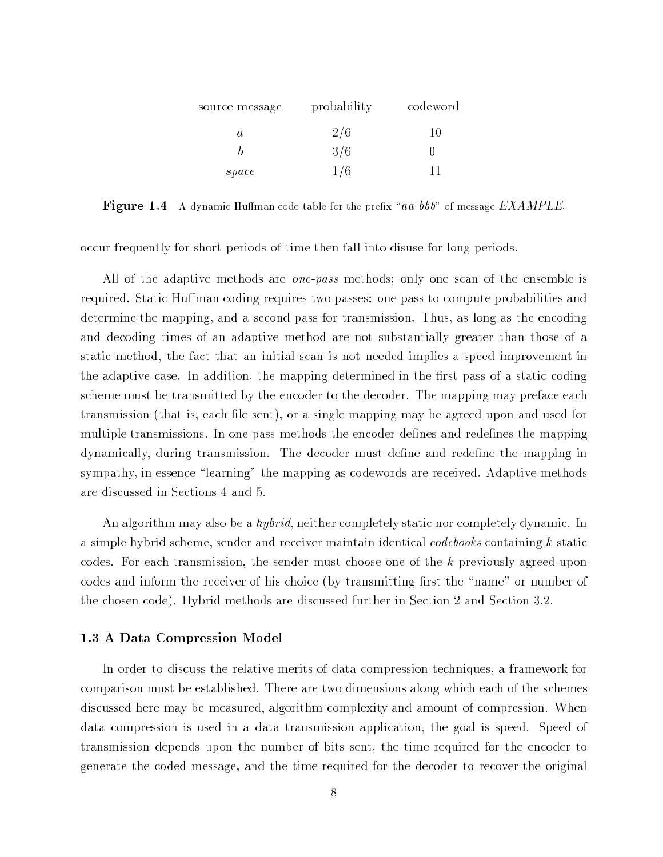| source message | probability | codeword |
|----------------|-------------|----------|
| a.             | 2/6         | 10       |
|                | 3/6         |          |
| space          | 176         |          |

**Figure 1.4** A dynamic Huffman code table for the prefix "aa bbb" of message  $EXAMPLE$ .

occur frequently for short periods of time then fall into disuse for long periods.

All of the adaptive methods are *one-pass* methods; only one scan of the ensemble is required. Static Human coding requires two passes: one pass to compute probabilities and determine the mapping, and a second pass for transmission. Thus, as long as the encoding and decoding times of an adaptive method are not substantially greater than those of a static method, the fact that an initial scan is not needed implies a speed improvement in the adaptive case. In addition, the mapping determined in the first pass of a static coding scheme must be transmitted by the encoder to the decoder. The mapping may preface each transmission (that is, each file sent), or a single mapping may be agreed upon and used for multiple transmissions. In one-pass methods the encoder defines and redefines the mapping dynamically, during transmission. The decoder must define and redefine the mapping in sympathy, in essence "learning" the mapping as codewords are received. Adaptive methods are discussed in Sections 4 and 5.

An algorithm may also be a *hybrid*, neither completely static nor completely dynamic. In a simple hybrid scheme, sender and receiver maintain identical codebooks containing k static codes. For each transmission, the sender must choose one of the  $k$  previously-agreed-upon codes and inform the receiver of his choice (by transmitting first the "name" or number of the chosen code). Hybrid methods are discussed further in Section 2 and Section 3.2.

#### 1.3 A Data Compression Model

In order to discuss the relative merits of data compression techniques, a framework for comparison must be established. There are two dimensions along which each of the schemes discussed here may be measured, algorithm complexity and amount of compression. When data compression is used in a data transmission application, the goal is speed. Speed of transmission depends upon the number of bits sent, the time required for the encoder to generate the coded message, and the time required for the decoder to recover the original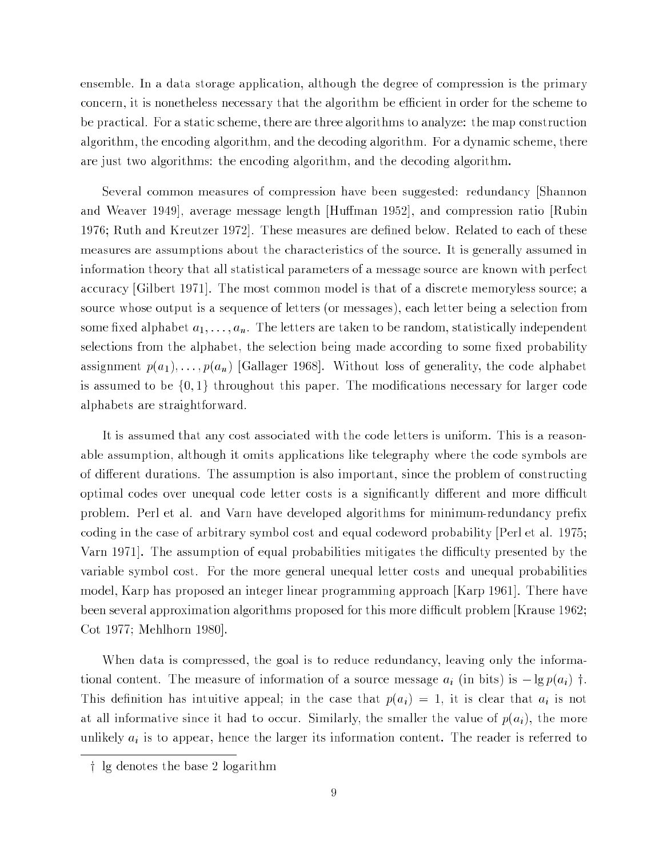ensemble. In a data storage application, although the degree of compression is the primary concern, it is nonetheless necessary that the algorithm be efficient in order for the scheme to be practical. For a static scheme, there are three algorithms to analyze: the map construction algorithm, the encoding algorithm, and the decoding algorithm. For a dynamic scheme, there are just two algorithms: the encoding algorithm, and the decoding algorithm.

Several common measures of compression have been suggested: redundancy [Shannon and Weaver 1949], average message length [Human 1952], and compression ratio [Rubin 1976; Ruth and Kreutzer 1972. These measures are defined below. Related to each of these measures are assumptions about the characteristics of the source. It is generally assumed in information theory that all statistical parameters of a message source are known with perfect accuracy [Gilbert 1971]. The most common model is that of a discrete memoryless source; a source whose output is a sequence of letters (or messages), each letter being a selection from some fixed alphabet  $a_1, \ldots, a_n$ . The letters are taken to be random, statistically independent selections from the alphabet, the selection being made according to some fixed probability assignment  $p(a_1), \ldots, p(a_n)$  [Gallager 1968]. Without loss of generality, the code alphabet is assumed to be  $\{0,1\}$  throughout this paper. The modifications necessary for larger code alphabets are straightforward.

It is assumed that any cost associated with the code letters is uniform. This is a reasonable assumption, although it omits applications like telegraphy where the code symbols are of different durations. The assumption is also important, since the problem of constructing optimal codes over unequal code letter costs is a significantly different and more difficult problem. Perl et al. and Varn have developed algorithms for minimum-redundancy prefix coding in the case of arbitrary symbol cost and equal codeword probability [Perl et al. 1975; Varn 1971. The assumption of equal probabilities mitigates the difficulty presented by the variable symbol cost. For the more general unequal letter costs and unequal probabilities model, Karp has proposed an integer linear programming approach [Karp 1961]. There have been several approximation algorithms proposed for this more difficult problem [Krause 1962; Cot 1977; Mehlhorn 1980].

When data is compressed, the goal is to reduce redundancy, leaving only the informational content. The measure of information of a source message  $a_i$  (in bits) is  $-\lg p(a_i)$   $\dagger$ . This definition has intuitive appeal; in the case that  $p(a_i) = 1$ , it is clear that  $a_i$  is not at all informative since it had to occur. Similarly, the smaller the value of  $p(a_i)$ , the more unlikely  $a_i$  is to appear, hence the larger its information content. The reader is referred to

y lg denotes the base 2 logarithm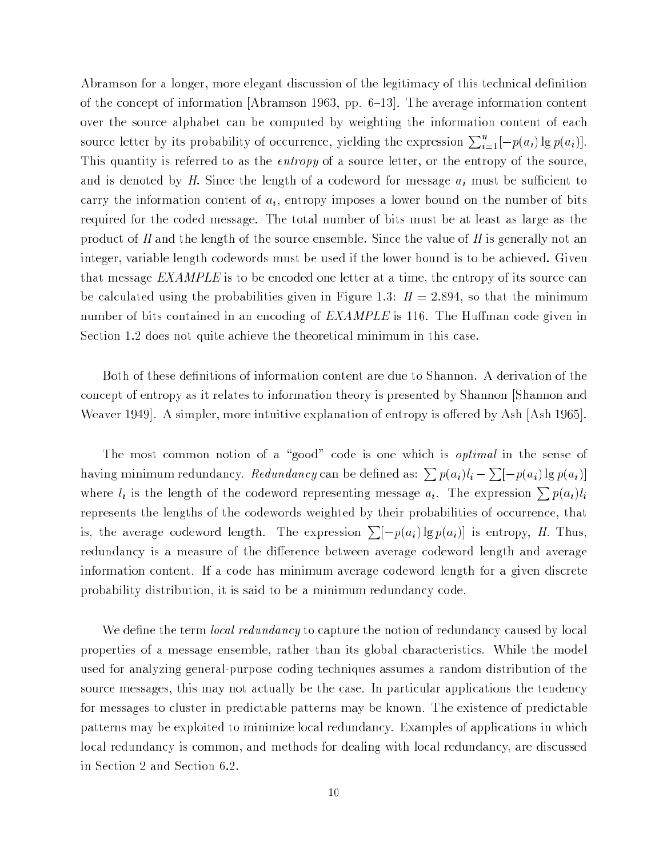Abramson for a longer, more elegant discussion of the legitimacy of this technical definition of the concept of information  $[Abramson 1963, pp. 6-13]$ . The average information content over the source alphabet can be computed by weighting the information content of each source letter by its probability of occurrence, yielding the expression  $\sum_{i=1}^{n}[-p(a_i) \lg p(a_i)].$ This quantity is referred to as the *entropy* of a source letter, or the entropy of the source, and is denoted by  $H$ . Since the length of a codeword for message  $a_i$  must be sufficient to carry the information content of  $a_i$ , entropy imposes a lower bound on the number of bits required for the coded message. The total number of bits must be at least as large as the product of H and the length of the source ensemble. Since the value of H is generally not an integer, variable length codewords must be used if the lower bound is to be achieved. Given that message  $EXAMPLE$  is to be encoded one letter at a time, the entropy of its source can be calculated using the probabilities given in Figure 1.3:  $H = 2.894$ , so that the minimum number of bits contained in an encoding of  $EXAMPLE$  is 116. The Huffman code given in Section 1.2 does not quite achieve the theoretical minimum in this case.

Both of these definitions of information content are due to Shannon. A derivation of the concept of entropy as it relates to information theory is presented by Shannon [Shannon and Weaver 1949]. A simpler, more intuitive explanation of entropy is offered by Ash  $[Ash 1965]$ .

The most common notion of a "good" code is one which is *optimal* in the sense of having minimum redundancy. Redundancy can be defined as:  $\sum p(a_i)l_i - \sum [-p(a_i) \lg p(a_i)]$ where  $l_i$  is the length of the codeword representing message  $a_i$ . The expression  $\sum p(a_i)l_i$ represents the lengths of the codewords weighted by their probabilities of occurrence, that is, the average codeword length. The expression  $\sum [-p(a_i) \lg p(a_i)]$  is entropy, H. Thus, redundancy is a measure of the difference between average codeword length and average information content. If a code has minimum average codeword length for a given discrete probability distribution, it is said to be a minimum redundancy code.

We define the term *local redundancy* to capture the notion of redundancy caused by local properties of a message ensemble, rather than its global characteristics. While the model used for analyzing general-purpose coding techniques assumes a random distribution of the source messages, this may not actually be the case. In particular applications the tendency for messages to cluster in predictable patterns may be known. The existence of predictable patterns may be exploited to minimize local redundancy. Examples of applications in which local redundancy is common, and methods for dealing with local redundancy, are discussed in Section 2 and Section 6.2.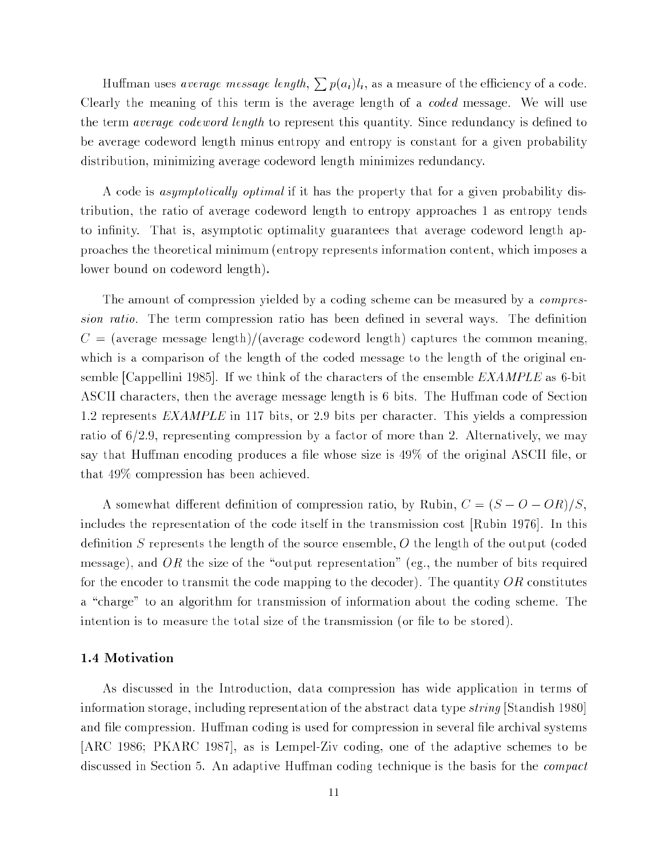Huffman uses *average message length*,  $\sum p(a_i)l_i$ , as a measure of the efficiency of a code. Clearly the meaning of this term is the average length of a coded message. We will use the term *average codeword length* to represent this quantity. Since redundancy is defined to be average codeword length minus entropy and entropy is constant for a given probability distribution, minimizing average codeword length minimizes redundancy.

A code is *asymptotically optimal* if it has the property that for a given probability distribution, the ratio of average codeword length to entropy approaches 1 as entropy tends to infinity. That is, asymptotic optimality guarantees that average codeword length approaches the theoretical minimum (entropy represents information content, which imposes a lower bound on codeword length).

The amount of compression yielded by a coding scheme can be measured by a *compres*sion ratio. The term compression ratio has been defined in several ways. The definition  $C = (average message length)/(average codeword length)$  captures the common meaning, which is a comparison of the length of the coded message to the length of the original ensemble Cappellini 1985. If we think of the characters of the ensemble  $EXAMPLE$  as 6-bit ASCII characters, then the average message length is 6 bits. The Huffman code of Section 1.2 represents EXAMPLE in 117 bits, or 2.9 bits per character. This yields a compression ratio of 6/2.9, representing compression by a factor of more than 2. Alternatively, we may say that Huffman encoding produces a file whose size is 49% of the original ASCII file, or that 49% compression has been achieved.

A somewhat different definition of compression ratio, by Rubin,  $C = (S - O - OR)/S$ , includes the representation of the code itself in the transmission cost [Rubin 1976]. In this definition S represents the length of the source ensemble,  $O$  the length of the output (coded message), and OR the size of the "output representation" (eg., the number of bits required for the encoder to transmit the code mapping to the decoder). The quantity  $OR$  constitutes a "charge" to an algorithm for transmission of information about the coding scheme. The intention is to measure the total size of the transmission (or file to be stored).

#### 1.4 Motivation

As discussed in the Introduction, data compression has wide application in terms of information storage, including representation of the abstract data type string [Standish 1980] and file compression. Huffman coding is used for compression in several file archival systems [ARC 1986; PKARC 1987], as is Lempel-Ziv coding, one of the adaptive schemes to be discussed in Section 5. An adaptive Huffman coding technique is the basis for the *compact*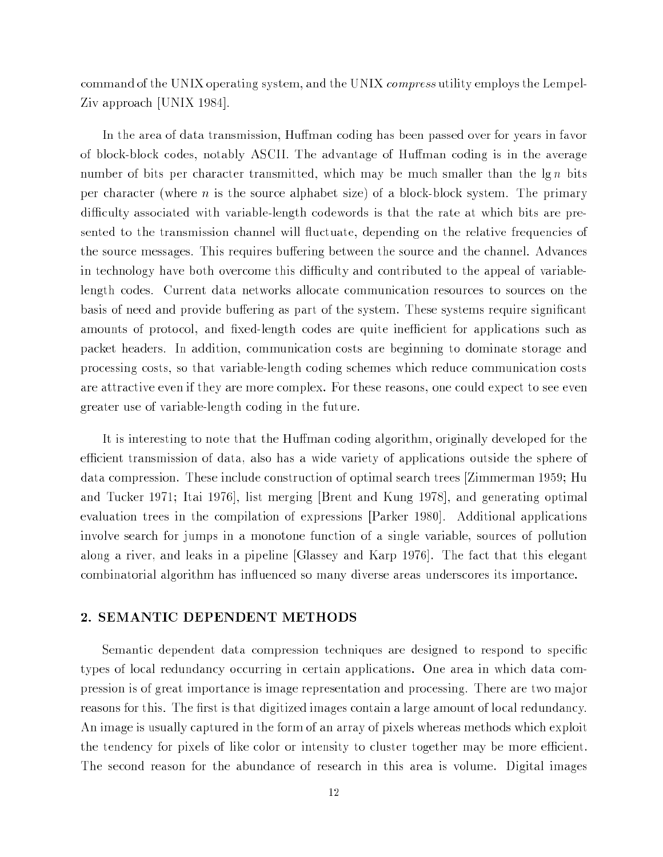command of the UNIX operating system, and the UNIX compress utility employs the Lempel-Ziv approach [UNIX 1984].

In the area of data transmission, Huffman coding has been passed over for years in favor of block-block codes, notably ASCII. The advantage of Human coding is in the average number of bits per character transmitted, which may be much smaller than the  $\lg n$  bits per character (where n is the source alphabet size) of a block-block system. The primary difficulty associated with variable-length codewords is that the rate at which bits are presented to the transmission channel will fluctuate, depending on the relative frequencies of the source messages. This requires buffering between the source and the channel. Advances in technology have both overcome this difficulty and contributed to the appeal of variablelength codes. Current data networks allocate communication resources to sources on the basis of need and provide buffering as part of the system. These systems require significant amounts of protocol, and fixed-length codes are quite inefficient for applications such as packet headers. In addition, communication costs are beginning to dominate storage and processing costs, so that variable-length coding schemes which reduce communication costs are attractive even if they are more complex. For these reasons, one could expect to see even greater use of variable-length coding in the future.

It is interesting to note that the Huffman coding algorithm, originally developed for the efficient transmission of data, also has a wide variety of applications outside the sphere of data compression. These include construction of optimal search trees [Zimmerman 1959; Hu and Tucker 1971; Itai 1976], list merging [Brent and Kung 1978], and generating optimal evaluation trees in the compilation of expressions [Parker 1980]. Additional applications involve search for jumps in a monotone function of a single variable, sources of pollution along a river, and leaks in a pipeline [Glassey and Karp 1976]. The fact that this elegant combinatorial algorithm has influenced so many diverse areas underscores its importance.

## 2. SEMANTIC DEPENDENT METHODS

Semantic dependent data compression techniques are designed to respond to specific types of local redundancy occurring in certain applications. One area in which data compression is of great importance is image representation and processing. There are two ma jor reasons for this. The first is that digitized images contain a large amount of local redundancy. An image is usually captured in the form of an array of pixels whereas methods which exploit the tendency for pixels of like color or intensity to cluster together may be more efficient. The second reason for the abundance of research in this area is volume. Digital images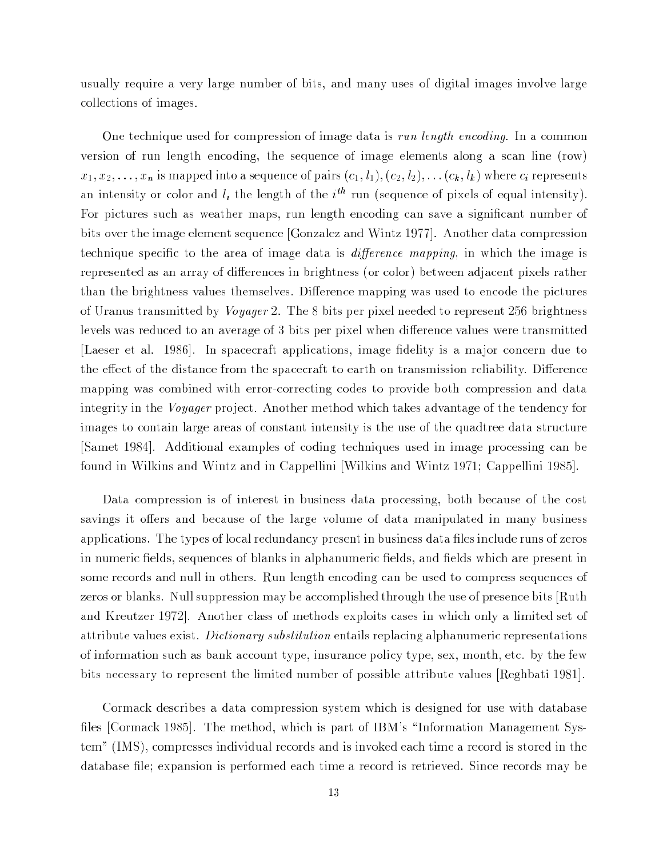usually require a very large number of bits, and many uses of digital images involve large collections of images.

One technique used for compression of image data is run length encoding. In a common version of run length encoding, the sequence of image elements along a scan line (row)  $x_1, x_2, \ldots, x_n$  is mapped into a sequence of pairs  $(c_1, l_1), (c_2, l_2), \ldots (c_k, l_k)$  where  $c_i$  represents an intensity or color and  $\iota_i$  the length of the  $i^{\ldots}$  run (sequence of pixels of equal intensity). For pictures such as weather maps, run length encoding can save a significant number of bits over the image element sequence [Gonzalez and Wintz 1977]. Another data compression technique specific to the area of image data is  $difference$  mapping, in which the image is represented as an array of differences in brightness (or color) between adjacent pixels rather than the brightness values themselves. Difference mapping was used to encode the pictures of Uranus transmitted by Voyager 2. The 8 bits per pixel needed to represent 256 brightness levels was reduced to an average of 3 bits per pixel when difference values were transmitted [Laeser et al. 1986]. In spacecraft applications, image delity is a ma jor concern due to the effect of the distance from the spacecraft to earth on transmission reliability. Difference mapping was combined with error-correcting codes to provide both compression and data integrity in the *Voyager* project. Another method which takes advantage of the tendency for images to contain large areas of constant intensity is the use of the quadtree data structure [Samet 1984]. Additional examples of coding techniques used in image processing can be found in Wilkins and Wintz and in Cappellini [Wilkins and Wintz 1971; Cappellini 1985].

Data compression is of interest in business data processing, both because of the cost savings it offers and because of the large volume of data manipulated in many business applications. The types of local redundancy present in business data files include runs of zeros in numeric fields, sequences of blanks in alphanumeric fields, and fields which are present in some records and null in others. Run length encoding can be used to compress sequences of zeros or blanks. Null suppression may be accomplished through the use of presence bits [Ruth and Kreutzer 1972]. Another class of methods exploits cases in which only a limited set of attribute values exist. Dictionary substitution entails replacing alphanumeric representations of information such as bank account type, insurance policy type, sex, month, etc. by the few bits necessary to represent the limited number of possible attribute values [Reghbati 1981].

Cormack describes a data compression system which is designed for use with database files [Cormack 1985]. The method, which is part of IBM's "Information Management System" (IMS), compresses individual records and is invoked each time a record is stored in the database file; expansion is performed each time a record is retrieved. Since records may be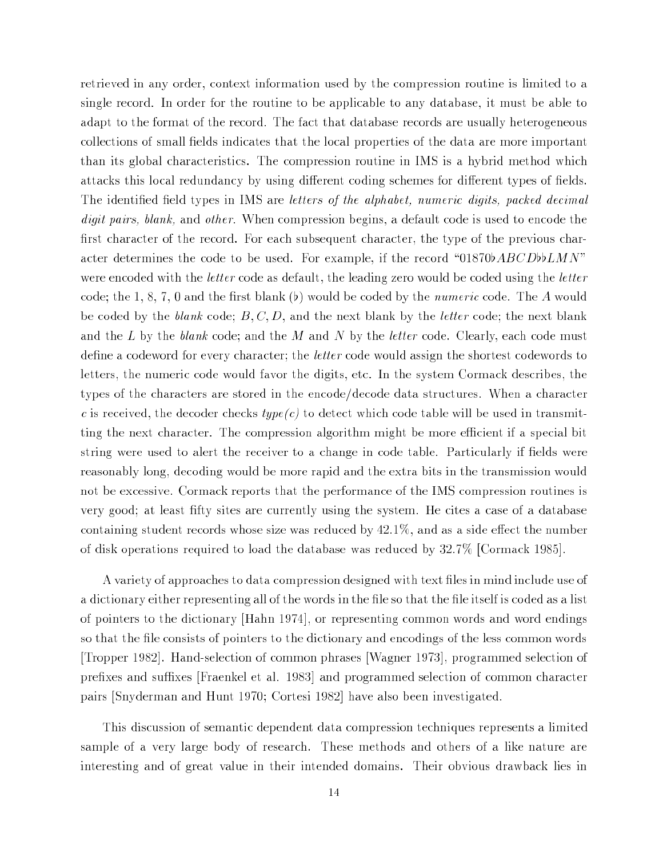retrieved in any order, context information used by the compression routine is limited to a single record. In order for the routine to be applicable to any database, it must be able to adapt to the format of the record. The fact that database records are usually heterogeneous collections of small fields indicates that the local properties of the data are more important than its global characteristics. The compression routine in IMS is a hybrid method which attacks this local redundancy by using different coding schemes for different types of fields. The identified field types in IMS are letters of the alphabet, numeric digits, packed decimal digit pairs, blank, and other. When compression begins, a default code is used to encode the first character of the record. For each subsequent character, the type of the previous character determines the code to be used. For example, if the record "01870b $ABCDb$ bLMN" were encoded with the *letter* code as default, the leading zero would be coded using the *letter* code; the 1, 8, 7, 0 and the first blank (b) would be coded by the *numeric* code. The A would be coded by the blank code;  $B, C, D$ , and the next blank by the letter code; the next blank and the L by the blank code; and the M and N by the letter code. Clearly, each code must define a codeword for every character; the *letter* code would assign the shortest codewords to letters, the numeric code would favor the digits, etc. In the system Cormack describes, the types of the characters are stored in the encode/decode data structures. When a character c is received, the decoder checks  $type(c)$  to detect which code table will be used in transmitting the next character. The compression algorithm might be more efficient if a special bit string were used to alert the receiver to a change in code table. Particularly if fields were reasonably long, decoding would be more rapid and the extra bits in the transmission would not be excessive. Cormack reports that the performance of the IMS compression routines is very good; at least fty sites are currently using the system. He cites a case of a database containing student records whose size was reduced by  $42.1\%$ , and as a side effect the number of disk operations required to load the database was reduced by 32.7% [Cormack 1985].

A variety of approaches to data compression designed with text les in mind include use of a dictionary either representing all of the words in the file so that the file itself is coded as a list of pointers to the dictionary [Hahn 1974], or representing common words and word endings so that the file consists of pointers to the dictionary and encodings of the less common words [Tropper 1982]. Hand-selection of common phrases [Wagner 1973], programmed selection of prefixes and suffixes [Fraenkel et al. 1983] and programmed selection of common character pairs [Snyderman and Hunt 1970; Cortesi 1982] have also been investigated.

This discussion of semantic dependent data compression techniques represents a limited sample of a very large body of research. These methods and others of a like nature are interesting and of great value in their intended domains. Their obvious drawback lies in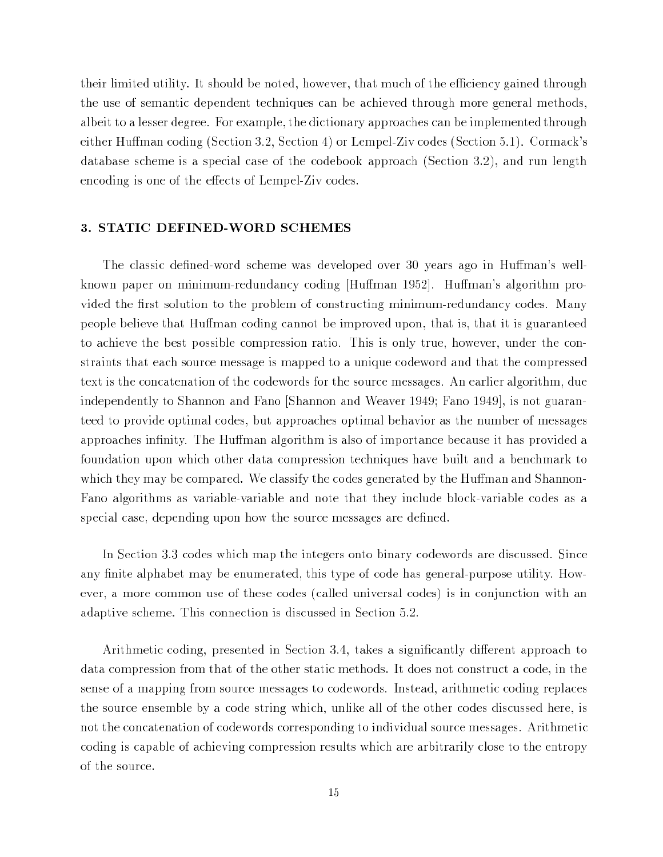their limited utility. It should be noted, however, that much of the efficiency gained through the use of semantic dependent techniques can be achieved through more general methods, albeit to a lesser degree. For example, the dictionary approaches can be implemented through either Huffman coding (Section 3.2, Section 4) or Lempel-Ziv codes (Section 5.1). Cormack's database scheme is a special case of the codebook approach (Section 3.2), and run length encoding is one of the effects of Lempel-Ziv codes.

## 3. STATIC DEFINED-WORD SCHEMES

The classic defined-word scheme was developed over 30 years ago in Huffman's wellknown paper on minimum-redundancy coding [Huffman 1952]. Huffman's algorithm provided the first solution to the problem of constructing minimum-redundancy codes. Many people believe that Huffman coding cannot be improved upon, that is, that it is guaranteed to achieve the best possible compression ratio. This is only true, however, under the constraints that each source message is mapped to a unique codeword and that the compressed text is the concatenation of the codewords for the source messages. An earlier algorithm, due independently to Shannon and Fano [Shannon and Weaver 1949; Fano 1949], is not guaranteed to provide optimal codes, but approaches optimal behavior as the number of messages approaches infinity. The Huffman algorithm is also of importance because it has provided a foundation upon which other data compression techniques have built and a benchmark to which they may be compared. We classify the codes generated by the Huffman and Shannon-Fano algorithms as variable-variable and note that they include block-variable codes as a special case, depending upon how the source messages are defined.

In Section 3.3 codes which map the integers onto binary codewords are discussed. Since any finite alphabet may be enumerated, this type of code has general-purpose utility. However, a more common use of these codes (called universal codes) is in conjunction with an adaptive scheme. This connection is discussed in Section 5.2.

Arithmetic coding, presented in Section 3.4, takes a significantly different approach to data compression from that of the other static methods. It does not construct a code, in the sense of a mapping from source messages to codewords. Instead, arithmetic coding replaces the source ensemble by a code string which, unlike all of the other codes discussed here, is not the concatenation of codewords corresponding to individual source messages. Arithmetic coding is capable of achieving compression results which are arbitrarily close to the entropy of the source.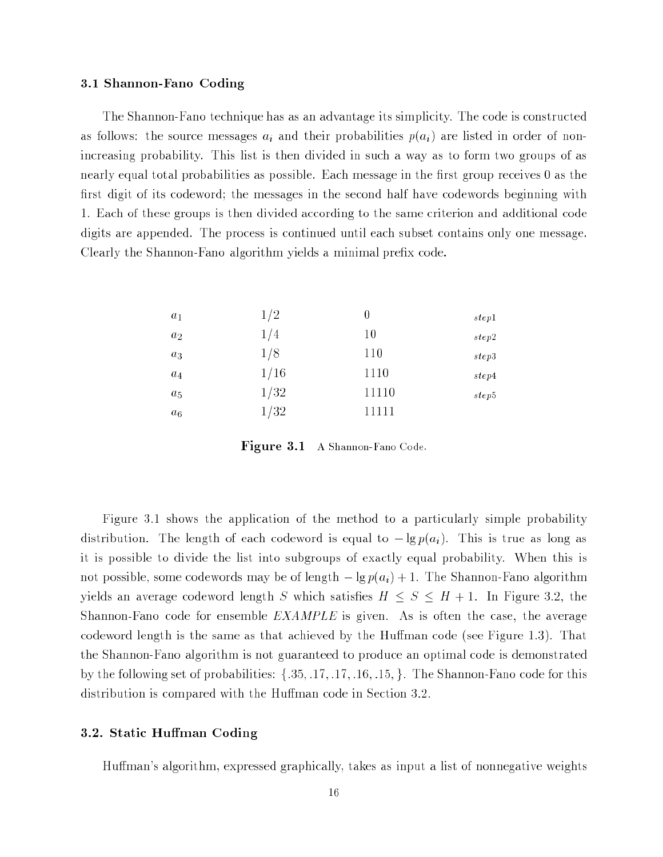### 3.1 Shannon-Fano Coding

The Shannon-Fano technique has as an advantage its simplicity. The code is constructed as follows: the source messages  $a_i$  and their probabilities  $p(a_i)$  are listed in order of nonincreasing probability. This list is then divided in such a way as to form two groups of as nearly equal total probabilities as possible. Each message in the first group receives  $\theta$  as the first digit of its codeword; the messages in the second half have codewords beginning with 1. Each of these groups is then divided according to the same criterion and additional code digits are appended. The process is continued until each subset contains only one message. Clearly the Shannon-Fano algorithm yields a minimal prefix code.

| $a_1$ | 1/2  | 0     | step1  |
|-------|------|-------|--------|
| $a_2$ | 1/4  | 10    | step2  |
| $a_3$ | 1/8  | 110   | step3  |
| $a_4$ | 1/16 | 1110  | step4  |
| $a_5$ | 1/32 | 11110 | step 5 |
| $a_6$ | 1/32 | 11111 |        |

Figure 3.1 A Shannon-Fano Code.

Figure 3.1 shows the application of the method to a particularly simple probability distribution. The length of each codeword is equal to  $-\lg p(a_i)$ . This is true as long as it is possible to divide the list into subgroups of exactly equal probability. When this is not possible, some codewords may be of length  $-\lg p(a_i) + 1$ . The Shannon-Fano algorithm yields an average codeword length S which satisfies  $H \leq S \leq H + 1$ . In Figure 3.2, the Shannon-Fano code for ensemble  $EXAMPLE$  is given. As is often the case, the average codeword length is the same as that achieved by the Huffman code (see Figure 1.3). That the Shannon-Fano algorithm is not guaranteed to produce an optimal code is demonstrated by the following set of probabilities:  $\{.35, .17, .17, .16, .15, \}$ . The Shannon-Fano code for this distribution is compared with the Huffman code in Section 3.2.

## 3.2. Static Huffman Coding

Human's algorithm, expressed graphically, takes as input a list of nonnegative weights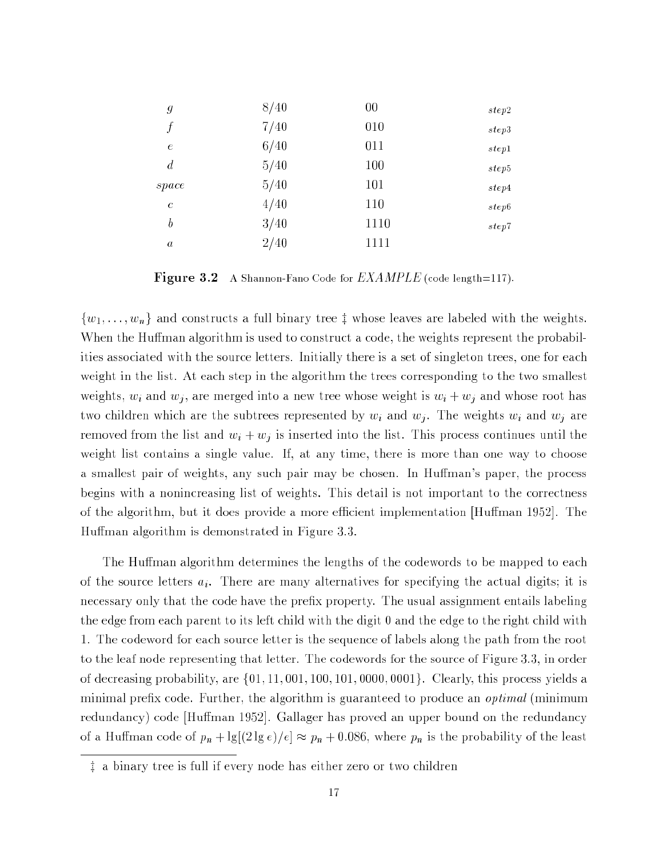| $\boldsymbol{g}$ | 8/40 | 0 <sub>0</sub> | step2  |
|------------------|------|----------------|--------|
| f                | 7/40 | 010            | step3  |
| $\epsilon$       | 6/40 | 011            | step1  |
| $\overline{d}$   | 5/40 | 100            | step 5 |
| space            | 5/40 | 101            | step4  |
| $\boldsymbol{c}$ | 4/40 | 110            | step 6 |
| $\boldsymbol{b}$ | 3/40 | 1110           | step7  |
| $\boldsymbol{a}$ | 2/40 | 1111           |        |

Figure 3.2 A Shannon-Fano Code for EXAMPLE (code length=117).

 $\{w_1, \ldots, w_n\}$  and constructs a full binary tree  $\ddagger$  whose leaves are labeled with the weights. When the Huffman algorithm is used to construct a code, the weights represent the probabilities associated with the source letters. Initially there is a set of singleton trees, one for each weight in the list. At each step in the algorithm the trees corresponding to the two smallest weights,  $w_i$  and  $w_j$ , are merged into a new tree whose weight is  $w_i + w_j$  and whose root has two children which are the subtrees represented by  $w_i$  and  $w_j$ . The weights  $w_i$  and  $w_j$  are removed from the list and  $w_i + w_j$  is inserted into the list. This process continues until the weight list contains a single value. If, at any time, there is more than one way to choose a smallest pair of weights, any such pair may be chosen. In Huffman's paper, the process begins with a nonincreasing list of weights. This detail is not important to the correctness of the algorithm, but it does provide a more efficient implementation [Huffman 1952]. The Human algorithm is demonstrated in Figure 3.3.

The Huffman algorithm determines the lengths of the codewords to be mapped to each of the source letters  $a_i$ . There are many alternatives for specifying the actual digits; it is necessary only that the code have the prefix property. The usual assignment entails labeling the edge from each parent to its left child with the digit 0 and the edge to the right child with 1. The codeword for each source letter is the sequence of labels along the path from the root to the leaf node representing that letter. The codewords for the source of Figure 3.3, in order of decreasing probability, are  $\{01, 11, 001, 100, 101, 0000, 0001\}$ . Clearly, this process yields a minimal prefix code. Further, the algorithm is guaranteed to produce an *optimal* (minimum redundancy) code [Human 1952]. Gallager has proved an upper bound on the redundancy of a Huffman code of  $p_n + \lg[(2 \lg e)/e] \approx p_n + 0.086$ , where  $p_n$  is the probability of the least

 $\ddagger$  a binary tree is full if every node has either zero or two children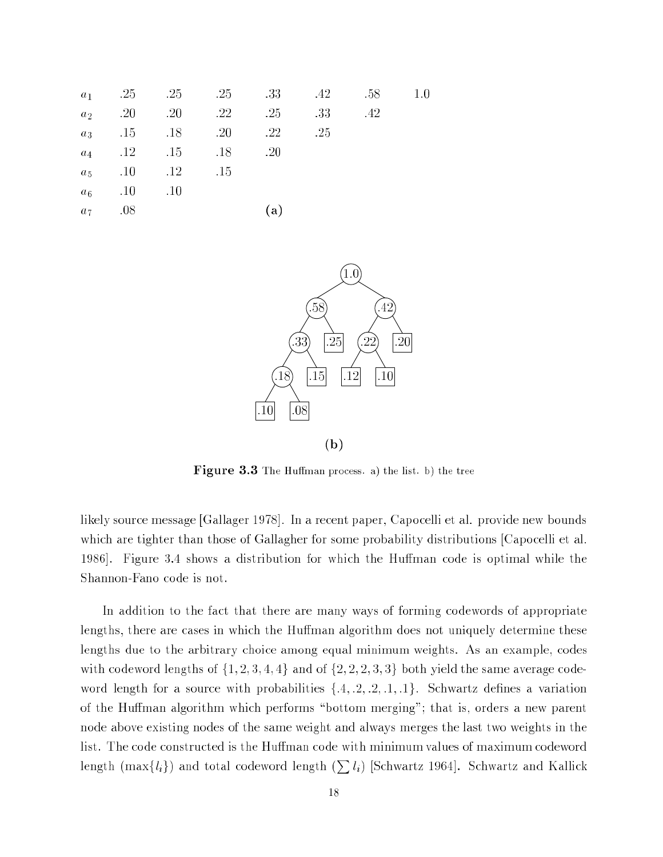|       |               |                   | $a_1$ .25 .25 .25 .33 .42 |     |     | .58 | 1.0 |
|-------|---------------|-------------------|---------------------------|-----|-----|-----|-----|
|       |               |                   | $a_2$ .20 .20 .22 .25     |     | .33 | -42 |     |
|       |               |                   | $a_3$ .15 .18 .20 .22     |     | .25 |     |     |
|       |               |                   | $a_4$ .12 .15 .18 .20     |     |     |     |     |
|       |               | $a_5$ .10 .12 .15 |                           |     |     |     |     |
|       | $a_6$ .10 .10 |                   |                           |     |     |     |     |
| $a_7$ | .08           |                   |                           | (a) |     |     |     |



Figure 3.3 The Huffman process. a) the list. b) the tree

likely source message [Gallager 1978]. In a recent paper, Capocelli et al. provide new bounds which are tighter than those of Gallagher for some probability distributions [Capocelli et al. 1986]. Figure 3.4 shows a distribution for which the Human code is optimal while the Shannon-Fano code is not.

In addition to the fact that there are many ways of forming codewords of appropriate lengths, there are cases in which the Huffman algorithm does not uniquely determine these lengths due to the arbitrary choice among equal minimum weights. As an example, codes with codeword lengths of  $\{1, 2, 3, 4, 4\}$  and of  $\{2, 2, 2, 3, 3\}$  both yield the same average codeword length for a source with probabilities  $\{.4, .2, .2, .1, .1\}$ . Schwartz defines a variation of the Huffman algorithm which performs "bottom merging"; that is, orders a new parent node above existing nodes of the same weight and always merges the last two weights in the list. The code constructed is the Huffman code with minimum values of maximum codeword length (max $\{l_i\}$ ) and total codeword length ( $\sum l_i$ ) [Schwartz 1964]. Schwartz and Kallick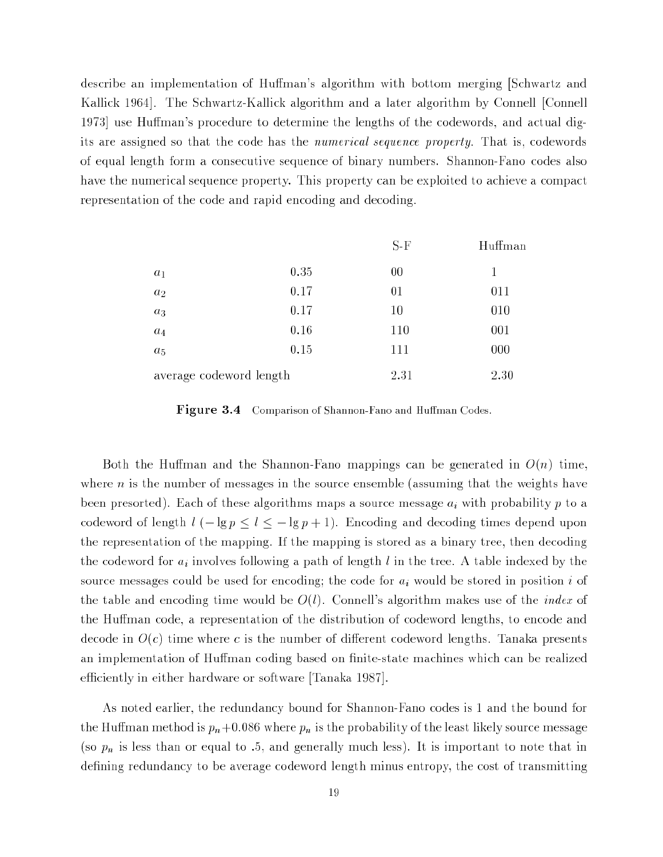describe an implementation of Huffman's algorithm with bottom merging Schwartz and Kallick 1964]. The Schwartz-Kallick algorithm and a later algorithm by Connell [Connell 1973] use Human's procedure to determine the lengths of the codewords, and actual digits are assigned so that the code has the numerical sequence property. That is, codewords of equal length form a consecutive sequence of binary numbers. Shannon-Fano codes also have the numerical sequence property. This property can be exploited to achieve a compact representation of the code and rapid encoding and decoding.

|                         |      | $S-F$  | Huffman |
|-------------------------|------|--------|---------|
| $a_1$                   | 0.35 | $00\,$ | 1       |
| $a_2$                   | 0.17 | 01     | 011     |
| $a_3$                   | 0.17 | 10     | 010     |
| $a_4$                   | 0.16 | 110    | 001     |
| $a_5$                   | 0.15 | 111    | 000     |
| average codeword length |      | 2.31   | 2.30    |

Figure 3.4 Comparison of Shannon-Fano and Huffman Codes.

Both the Huffman and the Shannon-Fano mappings can be generated in  $O(n)$  time, where  $n$  is the number of messages in the source ensemble (assuming that the weights have been presorted). Each of these algorithms maps a source message  $a_i$  with probability p to a codeword of length  $l$   $\left( -\lg p \leq l \leq -\lg p + 1 \right)$ . Encoding and decoding times depend upon the representation of the mapping. If the mapping is stored as a binary tree, then decoding the codeword for  $a_i$  involves following a path of length l in the tree. A table indexed by the source messages could be used for encoding; the code for  $a_i$  would be stored in position i of the table and encoding time would be  $O(l)$ . Connell's algorithm makes use of the *index* of the Human code, a representation of the distribution of codeword lengths, to encode and decode in  $O(c)$  time where c is the number of different codeword lengths. Tanaka presents an implementation of Huffman coding based on finite-state machines which can be realized efficiently in either hardware or software [Tanaka 1987].

As noted earlier, the redundancy bound for Shannon-Fano codes is 1 and the bound for the Huffman method is  $p_n+0.086$  where  $p_n$  is the probability of the least likely source message (so  $p_n$  is less than or equal to .5, and generally much less). It is important to note that in defining redundancy to be average codeword length minus entropy, the cost of transmitting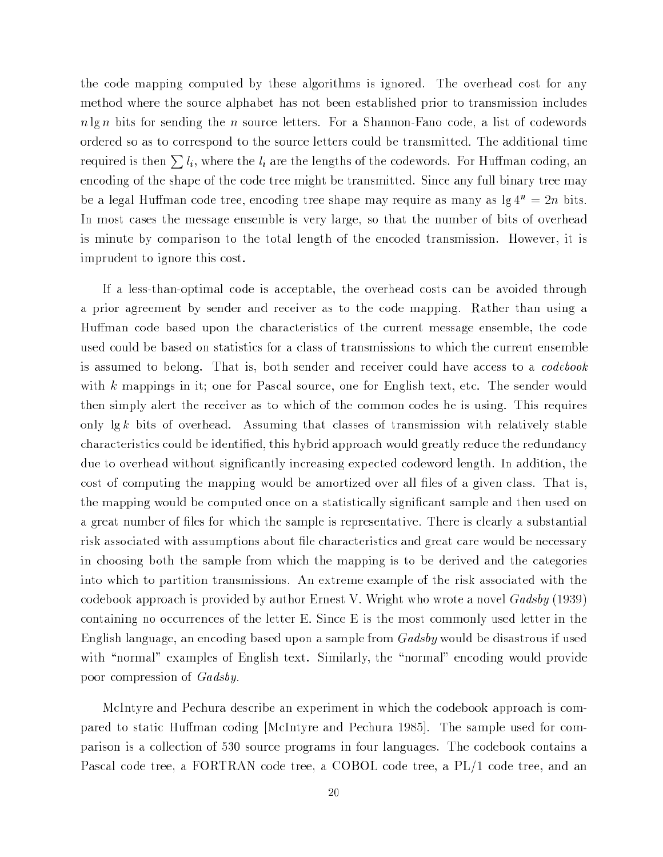the code mapping computed by these algorithms is ignored. The overhead cost for any method where the source alphabet has not been established prior to transmission includes  $n \lg n$  bits for sending the *n* source letters. For a Shannon-Fano code, a list of codewords ordered so as to correspond to the source letters could be transmitted. The additional time required is then  $\sum l_i$ , where the  $l_i$  are the lengths of the codewords. For Huffman coding, an encoding of the shape of the code tree might be transmitted. Since any full binary tree may be a legal Huffman code tree, encoding tree shape may require as many as  $\lg 4^n = 2n$  bits. In most cases the message ensemble is very large, so that the number of bits of overhead is minute by comparison to the total length of the encoded transmission. However, it is imprudent to ignore this cost.

If a less-than-optimal code is acceptable, the overhead costs can be avoided through a prior agreement by sender and receiver as to the code mapping. Rather than using a Human code based upon the characteristics of the current message ensemble, the code used could be based on statistics for a class of transmissions to which the current ensemble is assumed to belong. That is, both sender and receiver could have access to a *codebook* with  $k$  mappings in it; one for Pascal source, one for English text, etc. The sender would then simply alert the receiver as to which of the common codes he is using. This requires only  $\lg k$  bits of overhead. Assuming that classes of transmission with relatively stable characteristics could be identied, this hybrid approach would greatly reduce the redundancy due to overhead without signicantly increasing expected codeword length. In addition, the cost of computing the mapping would be amortized over all files of a given class. That is, the mapping would be computed once on a statistically signicant sample and then used on a great number of les for which the sample is representative. There is clearly a substantial risk associated with assumptions about file characteristics and great care would be necessary in choosing both the sample from which the mapping is to be derived and the categories into which to partition transmissions. An extreme example of the risk associated with the codebook approach is provided by author Ernest V. Wright who wrote a novel Gadsby (1939) containing no occurrences of the letter E. Since E is the most commonly used letter in the English language, an encoding based upon a sample from Gadsby would be disastrous if used with "normal" examples of English text. Similarly, the "normal" encoding would provide poor compression of Gadsby.

McIntyre and Pechura describe an experiment in which the codebook approach is compared to static Human coding [McIntyre and Pechura 1985]. The sample used for comparison is a collection of 530 source programs in four languages. The codebook contains a Pascal code tree, a FORTRAN code tree, a COBOL code tree, a PL/1 code tree, and an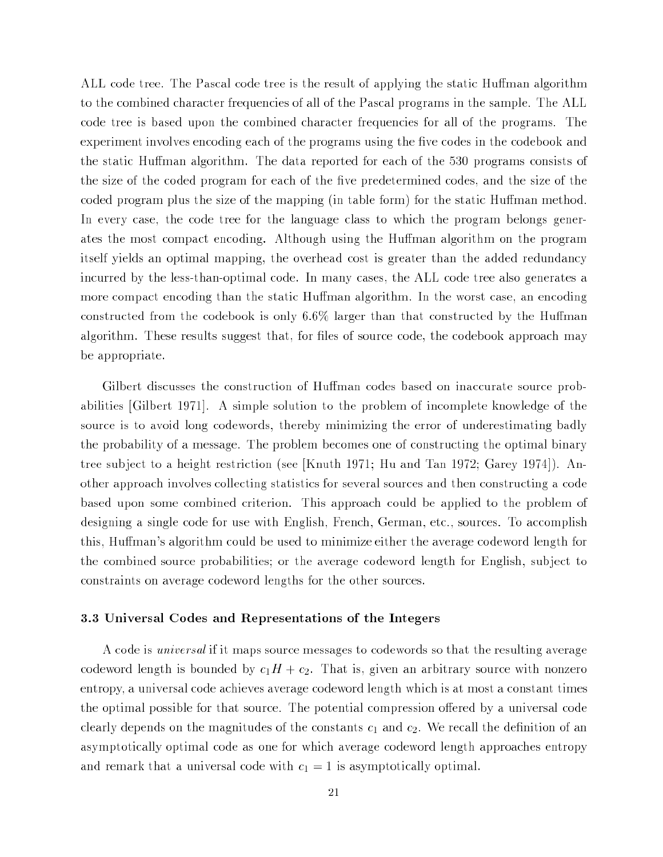ALL code tree. The Pascal code tree is the result of applying the static Huffman algorithm to the combined character frequencies of all of the Pascal programs in the sample. The ALL code tree is based upon the combined character frequencies for all of the programs. The experiment involves encoding each of the programs using the five codes in the codebook and the static Human algorithm. The data reported for each of the 530 programs consists of the size of the coded program for each of the five predetermined codes, and the size of the coded program plus the size of the mapping (in table form) for the static Huffman method. In every case, the code tree for the language class to which the program belongs generates the most compact encoding. Although using the Human algorithm on the program itself yields an optimal mapping, the overhead cost is greater than the added redundancy incurred by the less-than-optimal code. In many cases, the ALL code tree also generates a more compact encoding than the static Huffman algorithm. In the worst case, an encoding constructed from the codebook is only 6.6% larger than that constructed by the Human algorithm. These results suggest that, for files of source code, the codebook approach may be appropriate.

Gilbert discusses the construction of Huffman codes based on inaccurate source probabilities [Gilbert 1971]. A simple solution to the problem of incomplete knowledge of the source is to avoid long codewords, thereby minimizing the error of underestimating badly the probability of a message. The problem becomes one of constructing the optimal binary tree sub ject to a height restriction (see [Knuth 1971; Hu and Tan 1972; Garey 1974]). Another approach involves collecting statistics for several sources and then constructing a code based upon some combined criterion. This approach could be applied to the problem of designing a single code for use with English, French, German, etc., sources. To accomplish this, Human's algorithm could be used to minimize either the average codeword length for the combined source probabilities; or the average codeword length for English, sub ject to constraints on average codeword lengths for the other sources.

## 3.3 Universal Codes and Representations of the Integers

A code is *universal* if it maps source messages to codewords so that the resulting average codeword length is bounded by  $c_1H + c_2$ . That is, given an arbitrary source with nonzero entropy, a universal code achieves average codeword length which is at most a constant times the optimal possible for that source. The potential compression offered by a universal code clearly depends on the magnitudes of the constants  $c_1$  and  $c_2$ . We recall the definition of an asymptotically optimal code as one for which average codeword length approaches entropy and remark that a universal code with  $c_1 = 1$  is asymptotically optimal.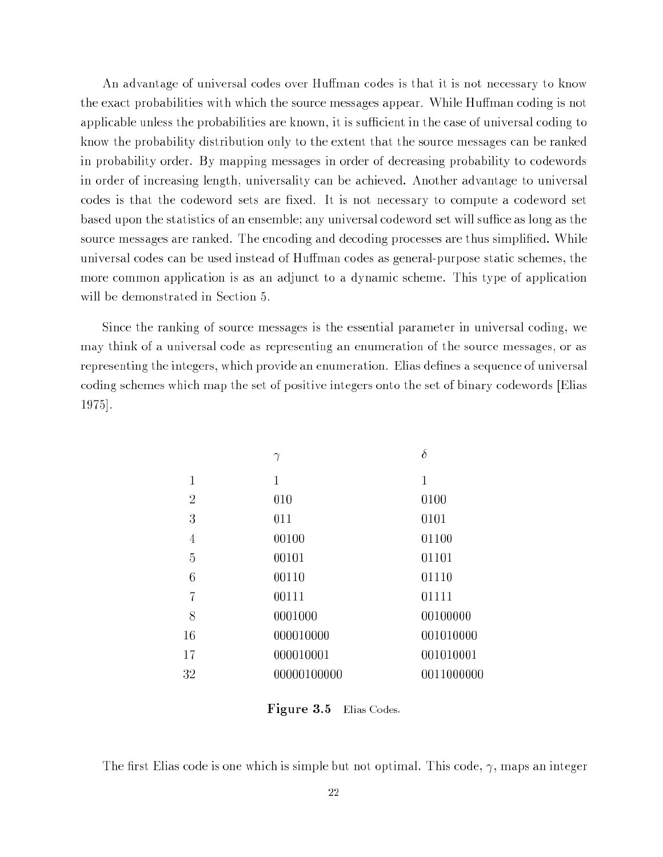An advantage of universal codes over Huffman codes is that it is not necessary to know the exact probabilities with which the source messages appear. While Huffman coding is not applicable unless the probabilities are known, it is sufficient in the case of universal coding to know the probability distribution only to the extent that the source messages can be ranked in probability order. By mapping messages in order of decreasing probability to codewords in order of increasing length, universality can be achieved. Another advantage to universal codes is that the codeword sets are fixed. It is not necessary to compute a codeword set based upon the statistics of an ensemble; any universal codeword set will suffice as long as the source messages are ranked. The encoding and decoding processes are thus simplified. While universal codes can be used instead of Human codes as general-purpose static schemes, the more common application is as an adjunct to a dynamic scheme. This type of application will be demonstrated in Section 5.

Since the ranking of source messages is the essential parameter in universal coding, we may think of a universal code as representing an enumeration of the source messages, or as representing the integers, which provide an enumeration. Elias defines a sequence of universal coding schemes which map the set of positive integers onto the set of binary codewords [Elias 1975].

|                | $\gamma$    | $\delta$  |
|----------------|-------------|-----------|
| $\mathbf{1}$   | 1           | 1         |
| $\overline{2}$ | 010         | 0100      |
| 3              | 011         | 0101      |
| $\overline{4}$ | 00100       | 01100     |
| 5              | 00101       | 01101     |
| 6              | 00110       | 01110     |
| 7              | 00111       | 01111     |
| 8              | 0001000     | 00100000  |
| 16             | 000010000   | 001010000 |
| 17             | 000010001   | 001010001 |
| 32             | 00000100000 | 001100000 |
|                |             |           |

Figure 3.5 Elias Codes.

The first Elias code is one which is simple but not optimal. This code,  $\gamma$ , maps an integer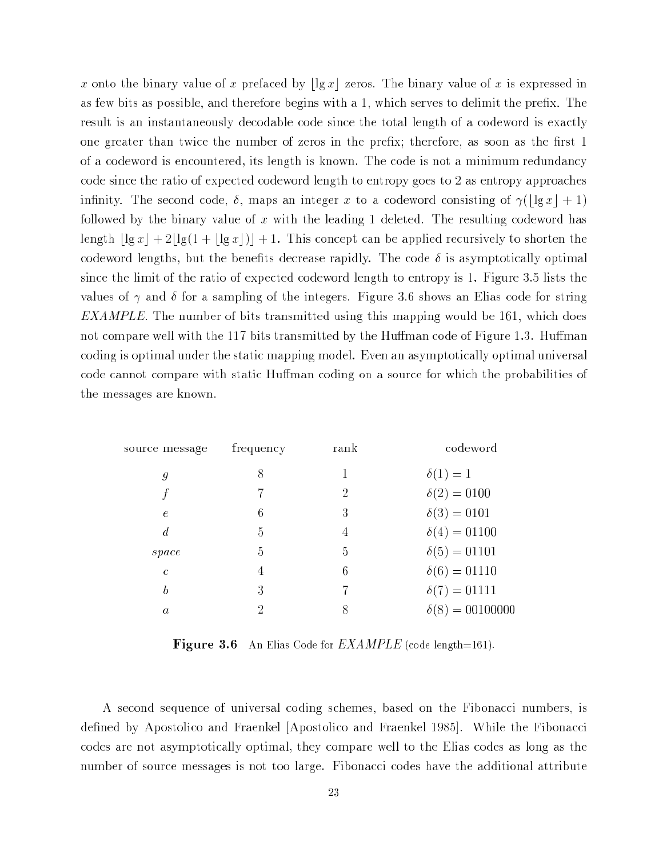x onto the binary value of x prefaced by  $\left| \lg x \right|$  zeros. The binary value of x is expressed in as few bits as possible, and therefore begins with a 1, which serves to delimit the prefix. The result is an instantaneously decodable code since the total length of a codeword is exactly one greater than twice the number of zeros in the prefix; therefore, as soon as the first 1 of a codeword is encountered, its length is known. The code is not a minimum redundancy code since the ratio of expected codeword length to entropy goes to 2 as entropy approaches infinity. The second code,  $\delta$ , maps an integer x to a codeword consisting of  $\gamma(|fgx|+1)$ followed by the binary value of x with the leading 1 deleted. The resulting codeword has length  $\left| \lg x \right| + 2\left| \lg(1 + \left| \lg x \right|) \right| + 1$ . This concept can be applied recursively to shorten the codeword lengths, but the benefits decrease rapidly. The code  $\delta$  is asymptotically optimal since the limit of the ratio of expected codeword length to entropy is 1. Figure 3.5 lists the values of  $\gamma$  and  $\delta$  for a sampling of the integers. Figure 3.6 shows an Elias code for string EXAMPLE. The number of bits transmitted using this mapping would be 161, which does not compare well with the 117 bits transmitted by the Huffman code of Figure 1.3. Huffman coding is optimal under the static mapping model. Even an asymptotically optimal universal code cannot compare with static Huffman coding on a source for which the probabilities of the messages are known.

| source message   | frequency | rank | codeword               |
|------------------|-----------|------|------------------------|
| 9                | 8         |      | $\delta(1)=1$          |
|                  |           | 2    | $\delta(2) = 0100$     |
| $\epsilon$       | 6         | 3    | $\delta(3) = 0101$     |
| $\overline{d}$   | 5         | 4    | $\delta(4) = 01100$    |
| space            | 5         | 5    | $\delta(5) = 01101$    |
| $\mathcal{C}$    | 4         | 6    | $\delta(6) = 01110$    |
| $\boldsymbol{b}$ | 3         |      | $\delta(7) = 01111$    |
| $\mathfrak a$    | 2         | 8    | $\delta(8) = 00100000$ |
|                  |           |      |                        |

**Figure 3.6** An Elias Code for  $EXAMPLE$  (code length=161).

A second sequence of universal coding schemes, based on the Fibonacci numbers, is defined by Apostolico and Fraenkel [Apostolico and Fraenkel 1985]. While the Fibonacci codes are not asymptotically optimal, they compare well to the Elias codes as long as the number of source messages is not too large. Fibonacci codes have the additional attribute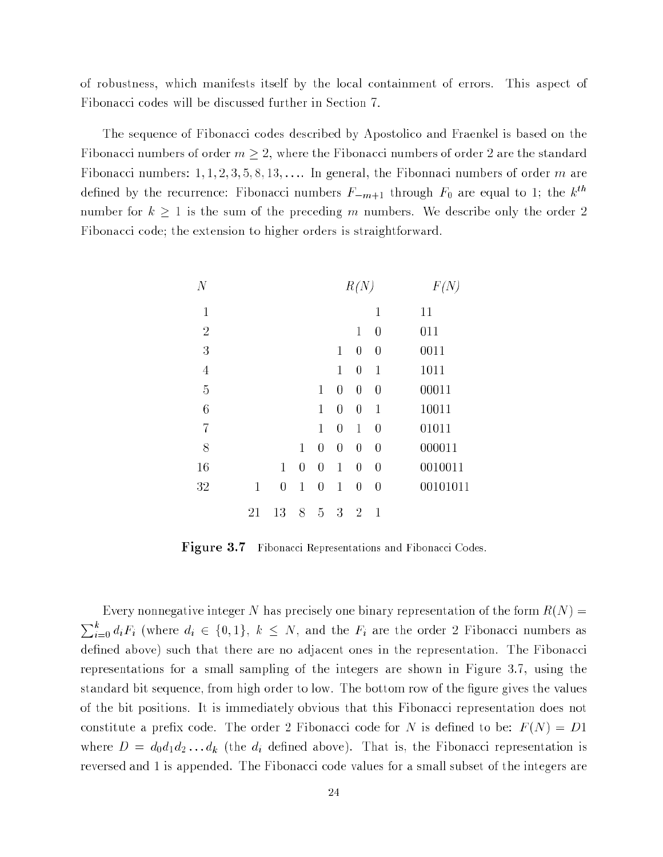of robustness, which manifests itself by the local containment of errors. This aspect of Fibonacci codes will be discussed further in Section 7.

The sequence of Fibonacci codes described by Apostolico and Fraenkel is based on the Fibonacci numbers of order  $m \geq 2$ , where the Fibonacci numbers of order 2 are the standard Fibonacci numbers:  $1, 1, 2, 3, 5, 8, 13, \ldots$  In general, the Fibonnaci numbers of order m are defined by the recurrence: Fibonacci numbers  $F_{-m+1}$  through  $F_0$  are equal to 1; the  $k^{th}$ number for  $k \geq 1$  is the sum of the preceding m numbers. We describe only the order 2 Fibonacci code; the extension to higher orders is straightforward.

| $\overline{N}$ |              |                |                |                |                | R(N)           |                  | $F\prime$ |
|----------------|--------------|----------------|----------------|----------------|----------------|----------------|------------------|-----------|
| 1              |              |                |                |                |                |                | $\mathbf{1}$     | 11        |
| $\overline{2}$ |              |                |                |                |                | $\mathbf{1}$   | $\overline{0}$   | 011       |
| 3              |              |                |                |                | $\mathbf 1$    | 0              | $\boldsymbol{0}$ | 0011      |
| $\overline{4}$ |              |                |                |                | $\mathbf{1}$   | $\overline{0}$ | $\mathbf{1}$     | 1011      |
| $\overline{5}$ |              |                |                | 1              | $\overline{0}$ | 0              | $\boldsymbol{0}$ | 00011     |
| 6              |              |                |                | 1              | $\overline{0}$ | $\pmb{0}$      | $\mathbf{1}$     | 10011     |
| $\overline{7}$ |              |                |                | 1              | $\overline{0}$ | $\mathbf{1}$   | $\boldsymbol{0}$ | 01011     |
| 8              |              |                | 1              | $\overline{0}$ | $\overline{0}$ | 0              | $\boldsymbol{0}$ | 000011    |
| 16             |              | 1              | $\overline{0}$ | $\overline{0}$ | 1              | $\pmb{0}$      | $\overline{0}$   | 0010011   |
| 32             | $\mathbf{1}$ | $\overline{0}$ | 1              | $\overline{0}$ | 1              | $\overline{0}$ | $\overline{0}$   | 00101011  |
|                | 21           | 13             | 8              | 5              | 3              | $\overline{2}$ | 1                |           |

Figure 3.7 Fibonacci Representations and Fibonacci Codes.

Every nonnegative integer N has precisely one binary representation of the form  $R(N)$  =  $\leftarrow$ k $\epsilon$ i=0 different different different  $\epsilon$  (c)  $\epsilon$  ),  $\epsilon$  ,  $\epsilon$  and the order  $\epsilon$  are the order  $\epsilon$  as  $\epsilon$  as associated as  $\epsilon$ defined above) such that there are no adjacent ones in the representation. The Fibonacci representations for a small sampling of the integers are shown in Figure 3.7, using the standard bit sequence, from high order to low. The bottom row of the figure gives the values of the bit positions. It is immediately obvious that this Fibonacci representation does not constitute a prefix code. The order 2 Fibonacci code for N is defined to be:  $F(N) = D1$ where  $D = d_0 d_1 d_2 \ldots d_k$  (the  $d_i$  defined above). That is, the Fibonacci representation is reversed and 1 is appended. The Fibonacci code values for a small subset of the integers are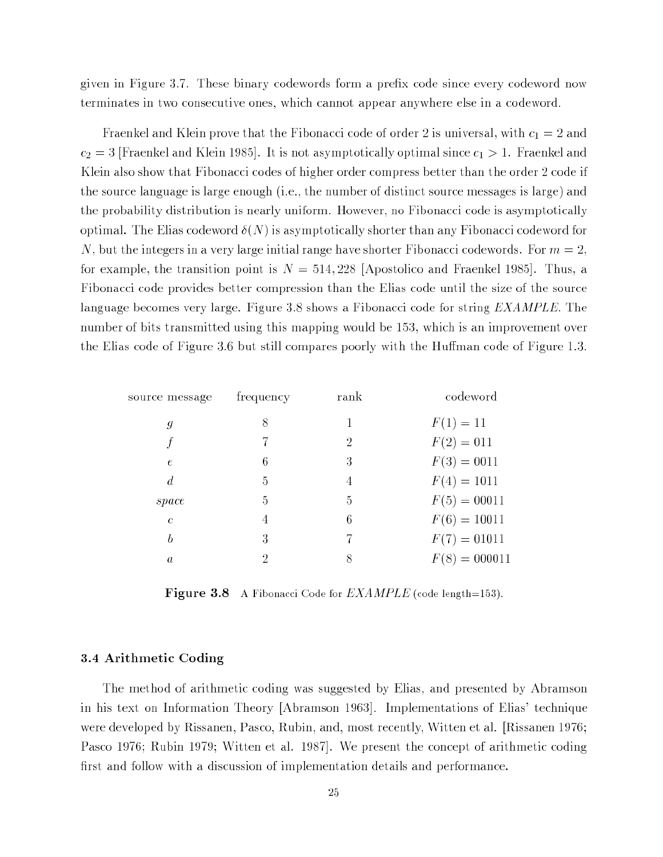given in Figure 3.7. These binary codewords form a prefix code since every codeword now terminates in two consecutive ones, which cannot appear anywhere else in a codeword.

Fraenkel and Klein prove that the Fibonacci code of order 2 is universal, with  $c_1 = 2$  and  $c_2 = 3$  [Fraenkel and Klein 1985]. It is not asymptotically optimal since  $c_1 > 1$ . Fraenkel and Klein also show that Fibonacci codes of higher order compress better than the order 2 code if the source language is large enough (i.e., the number of distinct source messages is large) and the probability distribution is nearly uniform. However, no Fibonacci code is asymptotically optimal. The Elias codeword  $\delta(N)$  is asymptotically shorter than any Fibonacci codeword for N, but the integers in a very large initial range have shorter Fibonacci codewords. For  $m = 2$ , for example, the transition point is  $N = 514,228$  [Apostolico and Fraenkel 1985]. Thus, a Fibonacci code provides better compression than the Elias code until the size of the source language becomes very large. Figure 3.8 shows a Fibonacci code for string *EXAMPLE*. The number of bits transmitted using this mapping would be 153, which is an improvement over the Elias code of Figure 3.6 but still compares poorly with the Human code of Figure 1.3.

| source message   | frequency | rank | codeword        |
|------------------|-----------|------|-----------------|
| 9                | 8         |      | $F(1) = 11$     |
|                  |           | 2    | $F(2) = 011$    |
| $\epsilon$       | 6         | 3    | $F(3) = 0011$   |
| $\overline{d}$   | 5         | 4    | $F(4) = 1011$   |
| space            | 5         | 5    | $F(5) = 00011$  |
| $\mathcal{C}$    | 4         | 6    | $F(6) = 10011$  |
| $\boldsymbol{b}$ | 3         |      | $F(7) = 01011$  |
| $\overline{a}$   | 2         | 8    | $F(8) = 000011$ |
|                  |           |      |                 |

**Figure 3.8** A Fibonacci Code for  $EXAMPLE$  (code length=153).

## 3.4 Arithmetic Coding

The method of arithmetic coding was suggested by Elias, and presented by Abramson in his text on Information Theory [Abramson 1963]. Implementations of Elias' technique were developed by Rissanen, Pasco, Rubin, and, most recently, Witten et al. [Rissanen 1976; Pasco 1976; Rubin 1979; Witten et al. 1987]. We present the concept of arithmetic coding first and follow with a discussion of implementation details and performance.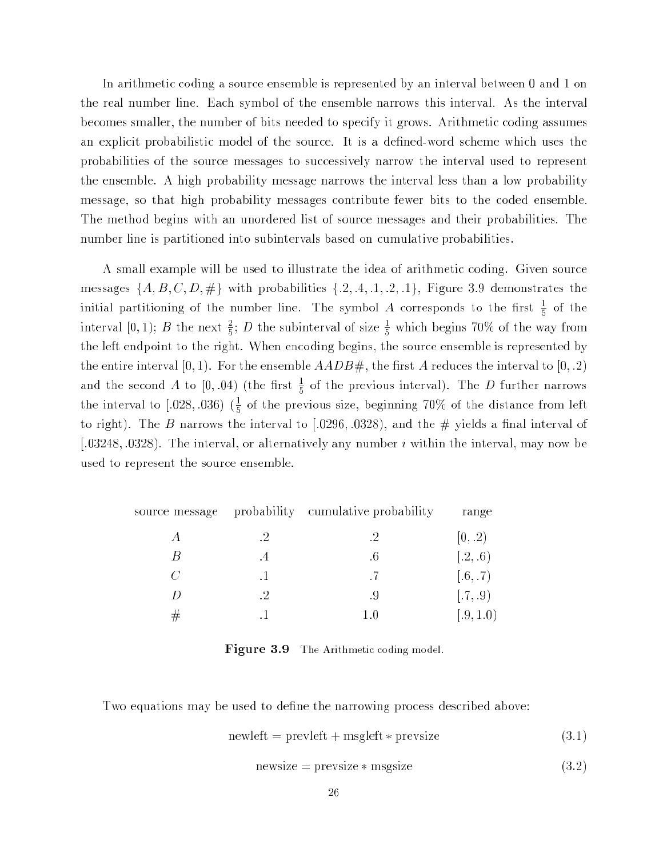In arithmetic coding a source ensemble is represented by an interval between 0 and 1 on the real number line. Each symbol of the ensemble narrows this interval. As the interval becomes smaller, the number of bits needed to specify it grows. Arithmetic coding assumes an explicit probabilistic model of the source. It is a defined-word scheme which uses the probabilities of the source messages to successively narrow the interval used to represent the ensemble. A high probability message narrows the interval less than a low probability message, so that high probability messages contribute fewer bits to the coded ensemble. The method begins with an unordered list of source messages and their probabilities. The number line is partitioned into subintervals based on cumulative probabilities.

A small example will be used to illustrate the idea of arithmetic coding. Given source messages  $\{A, B, C, D, \# \}$  with probabilities  $\{.2, .4, .1, .2, .1\}$ , Figure 3.9 demonstrates the initial partitioning of the number line. The symbol  $A$  corresponds to the first  $\frac{1}{5}$  of the interval [0, 1]; B the next  $\frac{1}{5}$ ; D the subinterval of size  $\frac{1}{5}$  which begins 70% of the way from the left endpoint to the right. When encoding begins, the source ensemble is represented by the entire interval [0, 1). For the ensemble  $AADB\#$ , the first A reduces the interval to [0, .2) and the second A to  $[0, .04)$  (the first  $\frac{1}{5}$  of the previous interval). The  $D$  further narrows the interval to  $\lfloor .028, .036 \rfloor$  ( $\frac{1}{5}$  of the previous size, beginning 70% of the distance from left to right). The B narrows the interval to [.0296, .0328), and the  $\#$  yields a final interval of [.03248, 0328). The interval, or alternatively any number i within the interval, may now be used to represent the source ensemble.

| source message |           | probability cumulative probability | range     |
|----------------|-----------|------------------------------------|-----------|
| А              | $\cdot^2$ | -2                                 | [0, .2)   |
| В              | .4        | .6                                 | [.2, .6)  |
| C              | $\cdot$ 1 | $\cdot 7$                          | [.6, .7)  |
| $\prime$       | .2        | -9                                 | [.7, .9)  |
| #              |           | 10                                 | (.9, 1.0) |

Figure 3.9 The Arithmetic coding model.

Two equations may be used to define the narrowing process described above:

$$
newleft = prevleft + msgleft * prevsize
$$
\n(3.1)

$$
newsize = prevsize * msgsize
$$
\n
$$
(3.2)
$$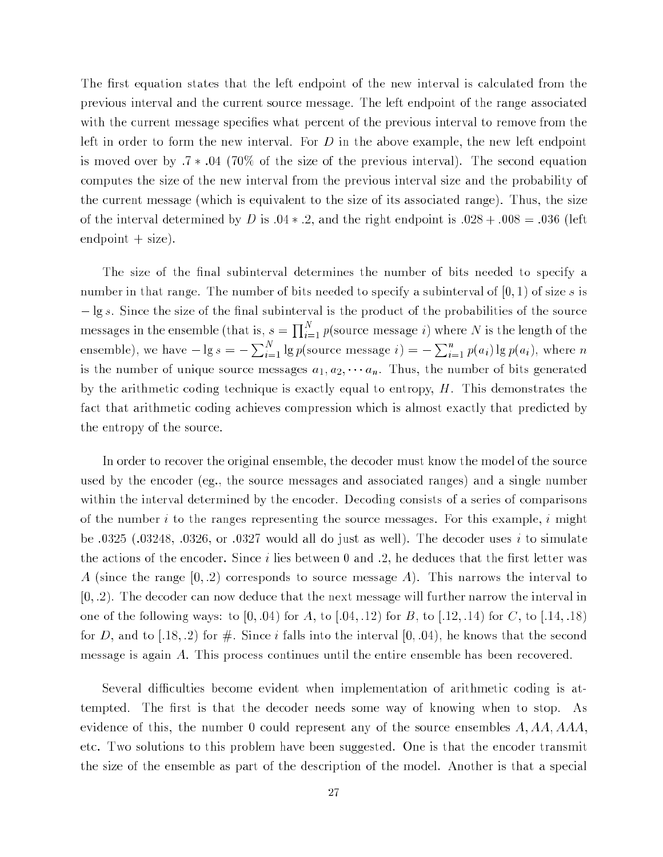The first equation states that the left endpoint of the new interval is calculated from the previous interval and the current source message. The left endpoint of the range associated with the current message specifies what percent of the previous interval to remove from the left in order to form the new interval. For  $D$  in the above example, the new left endpoint is moved over by  $.7 * .04$  (70% of the size of the previous interval). The second equation computes the size of the new interval from the previous interval size and the probability of the current message (which is equivalent to the size of its associated range). Thus, the size of the interval determined by D is  $.04 * .2$ , and the right endpoint is  $.028 + .008 = .036$  (left  $endpoint + size)$ .

The size of the final subinterval determines the number of bits needed to specify a number in that range. The number of bits needed to specify a subinterval of  $[0, 1)$  of size s is  $-\lg s$ . Since the size of the final subinterval is the product of the probabilities of the source messages in the ensemble (that is,  $s = \prod_{i=1}^{N}$  $\mathbf{i}$ =1 p(source message i) where  $\mathbf{r}$  is the length of the  $\mathbf{r}$ ensemble), we have  $-\lg s = -\sum_{i=1}^N \lg p(\text{source message } i) = -\sum_{i=1}^n p(a_i) \lg p(a_i)$ , where n is the number of unique source messages  $a_1, a_2, \cdots a_n$ . Thus, the number of bits generated by the arithmetic coding technique is exactly equal to entropy,  $H$ . This demonstrates the fact that arithmetic coding achieves compression which is almost exactly that predicted by the entropy of the source.

In order to recover the original ensemble, the decoder must know the model of the source used by the encoder (eg., the source messages and associated ranges) and a single number within the interval determined by the encoder. Decoding consists of a series of comparisons of the number i to the ranges representing the source messages. For this example, i might be .0325 (.03248, .0326, or .0327 would all do just as well). The decoder uses i to simulate the actions of the encoder. Since  $i$  lies between 0 and .2, he deduces that the first letter was A (since the range  $[0, 2)$  corresponds to source message A). This narrows the interval to  $[0, 2)$ . The decoder can now deduce that the next message will further narrow the interval in one of the following ways: to  $[0, .04)$  for A, to  $[.04, .12)$  for B, to  $[.12, .14)$  for C, to  $[.14, .18)$ for D, and to  $[.18, .2)$  for  $\#$ . Since i falls into the interval  $[0, .04)$ , he knows that the second message is again A. This process continues until the entire ensemble has been recovered.

Several difficulties become evident when implementation of arithmetic coding is attempted. The first is that the decoder needs some way of knowing when to stop. As evidence of this, the number 0 could represent any of the source ensembles  $A, AA, AAA,$ etc. Two solutions to this problem have been suggested. One is that the encoder transmit the size of the ensemble as part of the description of the model. Another is that a special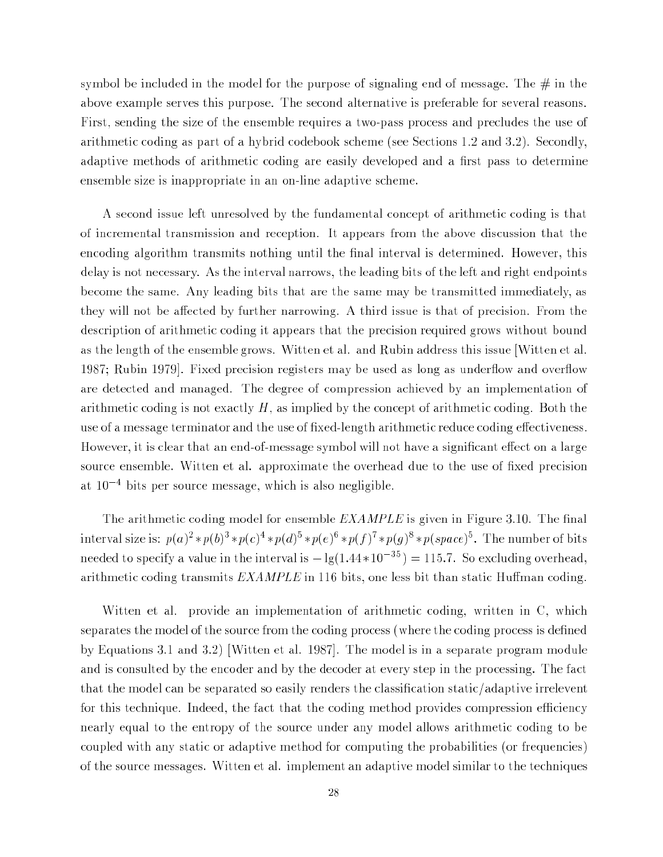symbol be included in the model for the purpose of signaling end of message. The  $\#$  in the above example serves this purpose. The second alternative is preferable for several reasons. First, sending the size of the ensemble requires a two-pass process and precludes the use of arithmetic coding as part of a hybrid codebook scheme (see Sections 1.2 and 3.2). Secondly, adaptive methods of arithmetic coding are easily developed and a first pass to determine ensemble size is inappropriate in an on-line adaptive scheme.

A second issue left unresolved by the fundamental concept of arithmetic coding is that of incremental transmission and reception. It appears from the above discussion that the encoding algorithm transmits nothing until the final interval is determined. However, this delay is not necessary. As the interval narrows, the leading bits of the left and right endpoints become the same. Any leading bits that are the same may be transmitted immediately, as they will not be affected by further narrowing. A third issue is that of precision. From the description of arithmetic coding it appears that the precision required grows without bound as the length of the ensemble grows. Witten et al. and Rubin address this issue [Witten et al. 1987; Rubin 1979. Fixed precision registers may be used as long as underflow and overflow are detected and managed. The degree of compression achieved by an implementation of arithmetic coding is not exactly  $H$ , as implied by the concept of arithmetic coding. Both the use of a message terminator and the use of fixed-length arithmetic reduce coding effectiveness. However, it is clear that an end-of-message symbol will not have a significant effect on a large source ensemble. Witten et al. approximate the overhead due to the use of fixed precision at 104 bits per source message, which is also negligible.

The arithmetic coding model for ensemble  $EXAMPLE$  is given in Figure 3.10. The final interval size is:  $p(a)^\dagger * p(b)^\dagger * p(c)^\dagger * p(d)^\dagger * p(e)^\dagger * p(f)^\dagger * p(g)^\dagger * p(s) \text{pace})^\dagger$ . I ne number of bits needed to specify a value in the interval is  $-\lg(1.44 * 10^{-35}) = 115.7$ . So excluding overhead, arithmetic coding transmits EXAMPLE in 116 bits, one less bit than static Huffman coding.

Witten et al. provide an implementation of arithmetic coding, written in C, which separates the model of the source from the coding process (where the coding process is defined by Equations 3.1 and 3.2) [Witten et al. 1987]. The model is in a separate program module and is consulted by the encoder and by the decoder at every step in the processing. The fact that the model can be separated so easily renders the classification static/adaptive irrelevent for this technique. Indeed, the fact that the coding method provides compression efficiency nearly equal to the entropy of the source under any model allows arithmetic coding to be coupled with any static or adaptive method for computing the probabilities (or frequencies) of the source messages. Witten et al. implement an adaptive model similar to the techniques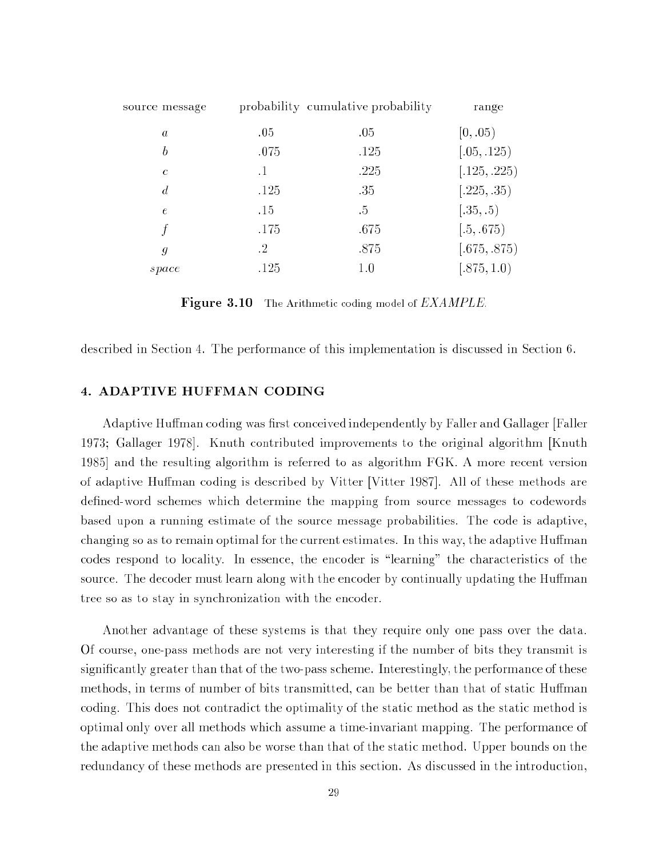| source message   |           | probability cumulative probability | range        |
|------------------|-----------|------------------------------------|--------------|
| $\boldsymbol{a}$ | .05       | .05                                | [0, .05)     |
| $\boldsymbol{b}$ | .075      | .125                               | [.05, .125)  |
| $\epsilon$       | $\cdot$ 1 | .225                               | [.125, .225) |
| $\overline{d}$   | .125      | .35                                | [.225, .35)  |
| $\epsilon$       | .15       | $\overline{.5}$                    | [.35, .5)    |
|                  | .175      | .675                               | [.5, .675)   |
| $\mathfrak{g}$   | $\cdot$ 2 | .875                               | [.675, .875) |
| space            | .125      | 1.0                                | (.875, 1.0)  |

Figure 3.10 The Arithmetic coding model of  $EXAMPLE$ .

described in Section 4. The performance of this implementation is discussed in Section 6.

## **4. ADAPTIVE HUFFMAN CODING**

Adaptive Huffman coding was first conceived independently by Faller and Gallager [Faller 1973; Gallager 1978]. Knuth contributed improvements to the original algorithm [Knuth 1985] and the resulting algorithm is referred to as algorithm FGK. A more recent version of adaptive Human coding is described by Vitter [Vitter 1987]. All of these methods are defined-word schemes which determine the mapping from source messages to codewords based upon a running estimate of the source message probabilities. The code is adaptive, changing so as to remain optimal for the current estimates. In this way, the adaptive Human codes respond to locality. In essence, the encoder is \learning" the characteristics of the source. The decoder must learn along with the encoder by continually updating the Huffman tree so as to stay in synchronization with the encoder.

Another advantage of these systems is that they require only one pass over the data. Of course, one-pass methods are not very interesting if the number of bits they transmit is signicantly greater than that of the two-pass scheme. Interestingly, the performance of these methods, in terms of number of bits transmitted, can be better than that of static Human coding. This does not contradict the optimality of the static method as the static method is optimal only over all methods which assume a time-invariant mapping. The performance of the adaptive methods can also be worse than that of the static method. Upper bounds on the redundancy of these methods are presented in this section. As discussed in the introduction,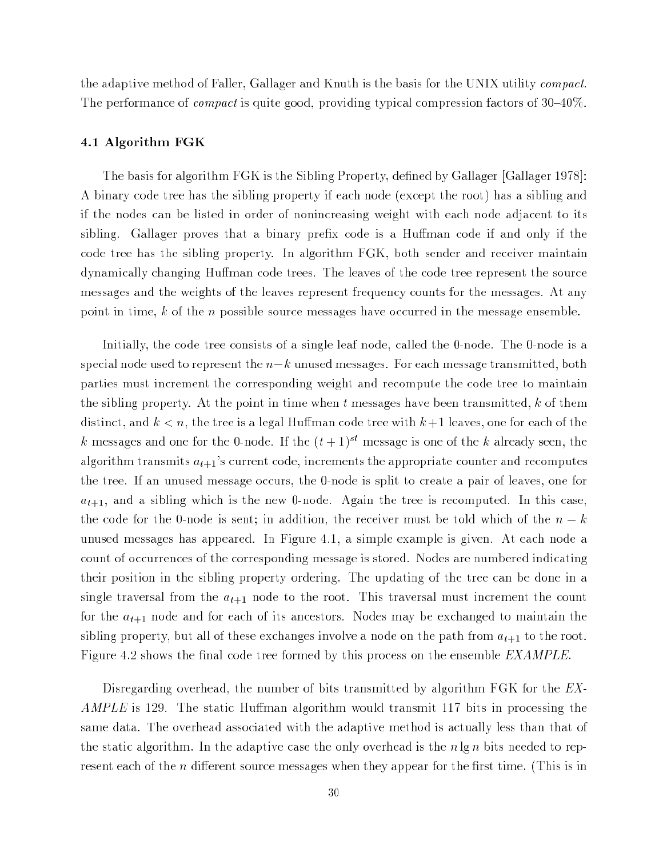the adaptive method of Faller, Gallager and Knuth is the basis for the UNIX utility compact. The performance of *compact* is quite good, providing typical compression factors of  $30-40\%$ .

#### 4.1 Algorithm FGK

The basis for algorithm FGK is the Sibling Property, defined by Gallager [Gallager 1978]: A binary code tree has the sibling property if each node (except the root) has a sibling and if the nodes can be listed in order of nonincreasing weight with each node adjacent to its sibling. Gallager proves that a binary prefix code is a Huffman code if and only if the code tree has the sibling property. In algorithm FGK, both sender and receiver maintain dynamically changing Human code trees. The leaves of the code tree represent the source messages and the weights of the leaves represent frequency counts for the messages. At any point in time,  $k$  of the *n* possible source messages have occurred in the message ensemble.

Initially, the code tree consists of a single leaf node, called the 0-node. The 0-node is a special node used to represent the  $n-k$  unused messages. For each message transmitted, both parties must increment the corresponding weight and recompute the code tree to maintain the sibling property. At the point in time when  $t$  messages have been transmitted, k of them distinct, and  $k < n$ , the tree is a legal Huffman code tree with  $k+1$  leaves, one for each of the k messages and one for the 0-node. If the  $(t+1)^{st}$  message is one of the k already seen, the algorithm transmits  $a_{t+1}$ 's current code, increments the appropriate counter and recomputes the tree. If an unused message occurs, the 0-node is split to create a pair of leaves, one for  $a_{t+1}$ , and a sibling which is the new 0-node. Again the tree is recomputed. In this case, the code for the 0-node is sent; in addition, the receiver must be told which of the  $n - k$ unused messages has appeared. In Figure 4.1, a simple example is given. At each node a count of occurrences of the corresponding message is stored. Nodes are numbered indicating their position in the sibling property ordering. The updating of the tree can be done in a single traversal from the  $a_{t+1}$  node to the root. This traversal must increment the count for the  $a_{t+1}$  node and for each of its ancestors. Nodes may be exchanged to maintain the sibling property, but all of these exchanges involve a node on the path from  $a_{t+1}$  to the root. Figure 4.2 shows the final code tree formed by this process on the ensemble EXAMPLE.

Disregarding overhead, the number of bits transmitted by algorithm FGK for the EX-AMPLE is 129. The static Huffman algorithm would transmit 117 bits in processing the same data. The overhead associated with the adaptive method is actually less than that of the static algorithm. In the adaptive case the only overhead is the  $n \lg n$  bits needed to represent each of the  $n$  different source messages when they appear for the first time. (This is in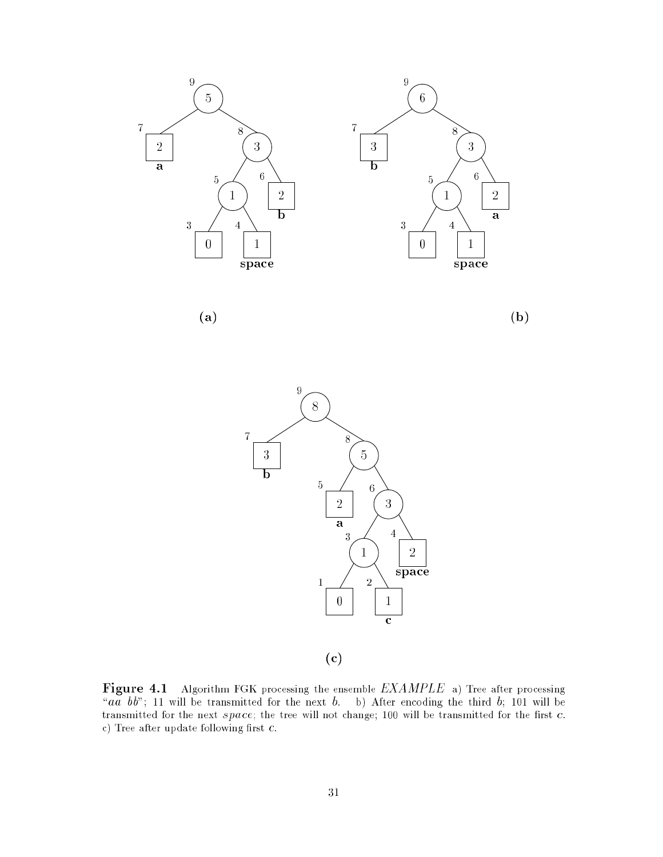



(c)

Figure 4.1 Algorithm FGK processing the ensemble EXAMPLE a) Tree after processing "aa bb"; 11 will be transmitted for the next b. b) After encoding the third b; 101 will be transmitted for the next  $space$ ; the tree will not change; 100 will be transmitted for the first  $c$ . c) Tree after update following first  $c$ .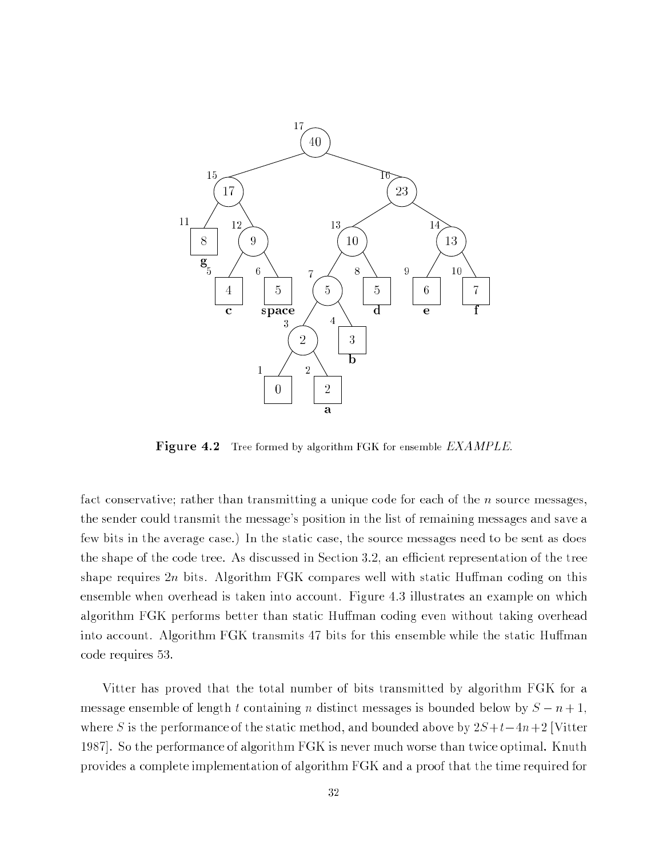

Figure 4.2 Tree formed by algorithm FGK for ensemble EXAMPLE.

fact conservative; rather than transmitting a unique code for each of the  $n$  source messages, the sender could transmit the message's position in the list of remaining messages and save a few bits in the average case.) In the static case, the source messages need to be sent as does the shape of the code tree. As discussed in Section 3.2, an efficient representation of the tree shape requires  $2n$  bits. Algorithm FGK compares well with static Huffman coding on this ensemble when overhead is taken into account. Figure 4.3 illustrates an example on which algorithm FGK performs better than static Huffman coding even without taking overhead into account. Algorithm FGK transmits 47 bits for this ensemble while the static Huffman code requires 53.

Vitter has proved that the total number of bits transmitted by algorithm FGK for a message ensemble of length t containing n distinct messages is bounded below by  $S - n + 1$ , where S is the performance of the static method, and bounded above by  $2S+t-4n+2$  [Vitter 1987]. So the performance of algorithm FGK is never much worse than twice optimal. Knuth provides a complete implementation of algorithm FGK and a proof that the time required for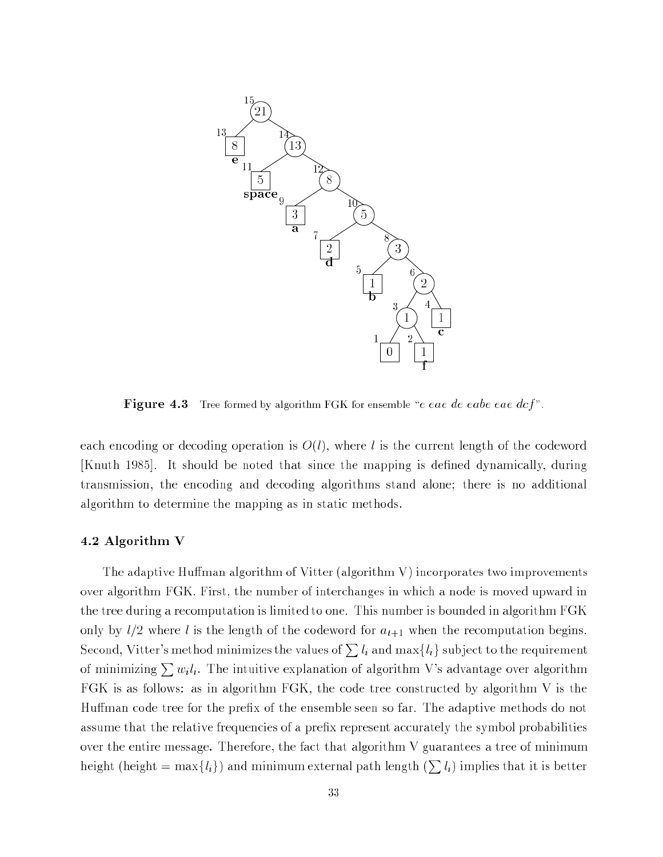

Figure 4.3 Tree formed by algorithm FGK for ensemble "e eae de eabe eae  $dcf$ ".

each encoding or decoding operation is  $O(l)$ , where l is the current length of the codeword [Knuth 1985]. It should be noted that since the mapping is defined dynamically, during transmission, the encoding and decoding algorithms stand alone; there is no additional algorithm to determine the mapping as in static methods.

## 4.2 Algorithm V

The adaptive Huffman algorithm of Vitter (algorithm V) incorporates two improvements over algorithm FGK. First, the number of interchanges in which a node is moved upward in the tree during a recomputation is limited to one. This number is bounded in algorithm FGK only by  $l/2$  where l is the length of the codeword for  $a_{t+1}$  when the recomputation begins. Second, Vitter's method minimizes the values of  $\sum l_i$  and max $\{l_i\}$  subject to the requirement of minimizing  $\sum w_i l_i$ . The intuitive explanation of algorithm V's advantage over algorithm FGK is as follows: as in algorithm FGK, the code tree constructed by algorithm V is the Huffman code tree for the prefix of the ensemble seen so far. The adaptive methods do not assume that the relative frequencies of a prefix represent accurately the symbol probabilities over the entire message. Therefore, the fact that algorithm V guarantees a tree of minimum height (height  $=\max\{l_i\}$ ) and minimum external path length  $(\sum l_i)$  implies that it is better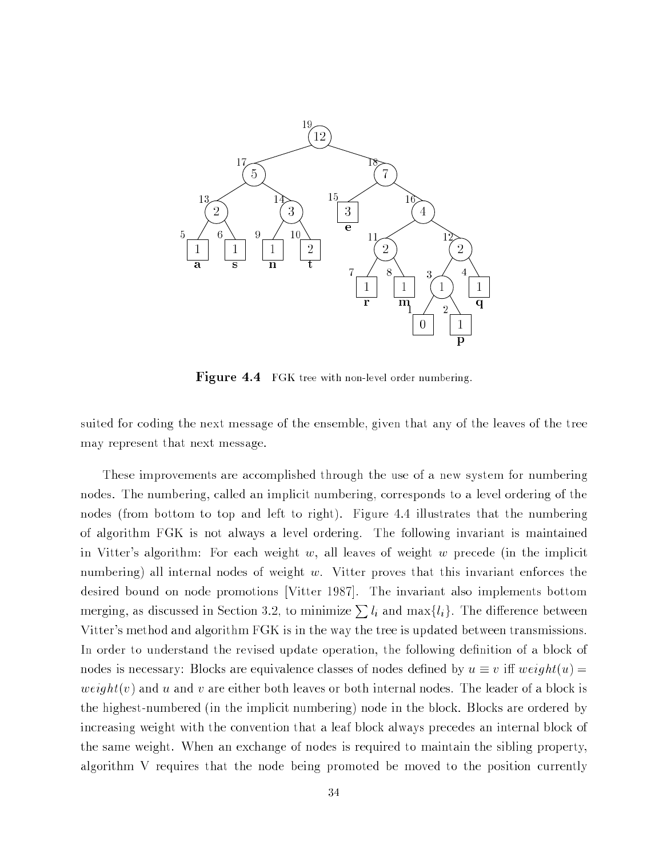

Figure 4.4 FGK tree with non-level order numbering.

suited for coding the next message of the ensemble, given that any of the leaves of the tree may represent that next message.

These improvements are accomplished through the use of a new system for numbering nodes. The numbering, called an implicit numbering, corresponds to a level ordering of the nodes (from bottom to top and left to right). Figure 4.4 illustrates that the numbering of algorithm FGK is not always a level ordering. The following invariant is maintained in Vitter's algorithm: For each weight  $w$ , all leaves of weight  $w$  precede (in the implicit numbering) all internal nodes of weight  $w$ . Vitter proves that this invariant enforces the desired bound on node promotions [Vitter 1987]. The invariant also implements bottom merging, as discussed in Section 3.2, to minimize  $\sum l_i$  and max $\{l_i\}$ . The difference between Vitter's method and algorithm FGK is in the way the tree is updated between transmissions. In order to understand the revised update operation, the following definition of a block of nodes is necessary: Blocks are equivalence classes of nodes defined by  $u \equiv v$  iff  $weight(u)$ *weight(v)* and u and v are either both leaves or both internal nodes. The leader of a block is the highest-numbered (in the implicit numbering) node in the block. Blocks are ordered by increasing weight with the convention that a leaf block always precedes an internal block of the same weight. When an exchange of nodes is required to maintain the sibling property, algorithm V requires that the node being promoted be moved to the position currently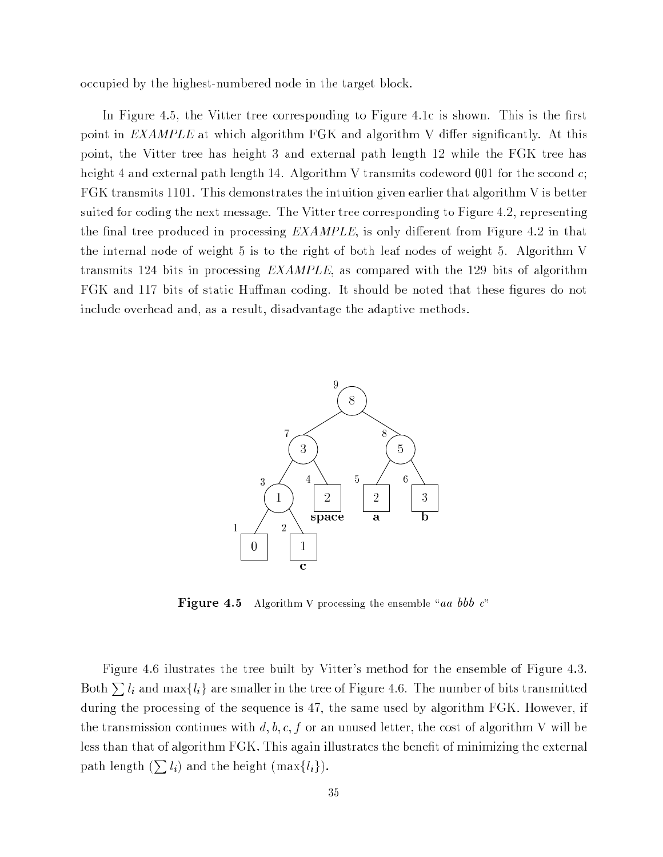occupied by the highest-numbered node in the target block.

In Figure 4.5, the Vitter tree corresponding to Figure 4.1c is shown. This is the first point in  $EXAMPLE$  at which algorithm FGK and algorithm V differ significantly. At this point, the Vitter tree has height 3 and external path length 12 while the FGK tree has height 4 and external path length 14. Algorithm V transmits codeword 001 for the second c; FGK transmits 1101. This demonstrates the intuition given earlier that algorithm V is better suited for coding the next message. The Vitter tree corresponding to Figure 4.2, representing the final tree produced in processing  $EXAMPLE$ , is only different from Figure 4.2 in that the internal node of weight 5 is to the right of both leaf nodes of weight 5. Algorithm V transmits 124 bits in processing EXAMPLE, as compared with the 129 bits of algorithm FGK and 117 bits of static Huffman coding. It should be noted that these figures do not include overhead and, as a result, disadvantage the adaptive methods.



Figure 4.5 Algorithm V processing the ensemble "aa bbb  $c$ "

Figure 4.6 ilustrates the tree built by Vitter's method for the ensemble of Figure 4.3. Both  $\sum l_i$  and max $\{l_i\}$  are smaller in the tree of Figure 4.6. The number of bits transmitted during the processing of the sequence is 47, the same used by algorithm FGK. However, if the transmission continues with  $d, b, c, f$  or an unused letter, the cost of algorithm V will be less than that of algorithm FGK. This again illustrates the benefit of minimizing the external path length  $(\sum l_i)$  and the height  $(\max\{l_i\})$ .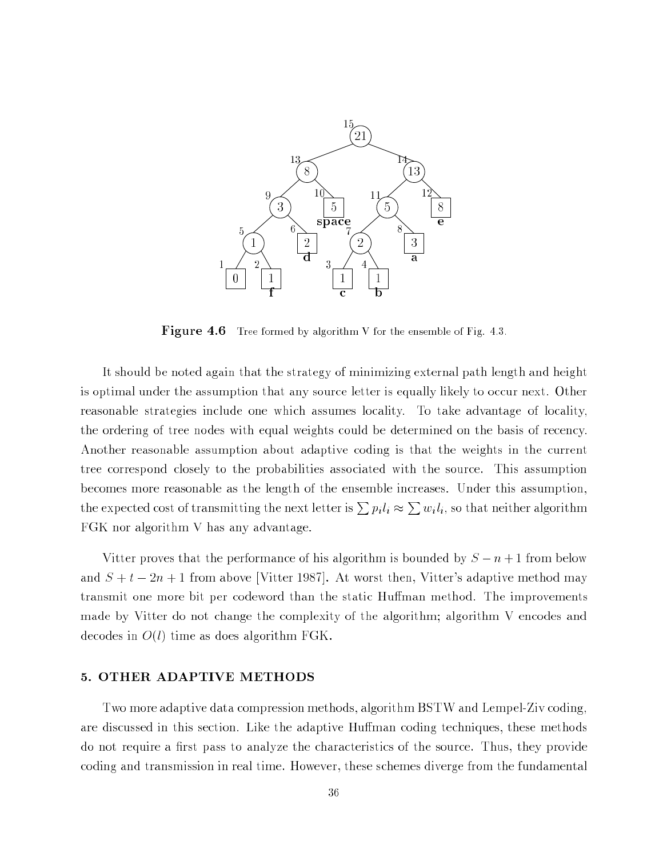

**Figure 4.6** Tree formed by algorithm V for the ensemble of Fig. 4.3.

It should be noted again that the strategy of minimizing external path length and height is optimal under the assumption that any source letter is equally likely to occur next. Other reasonable strategies include one which assumes locality. To take advantage of locality, the ordering of tree nodes with equal weights could be determined on the basis of recency. Another reasonable assumption about adaptive coding is that the weights in the current tree correspond closely to the probabilities associated with the source. This assumption becomes more reasonable as the length of the ensemble increases. Under this assumption, the expected cost of transmitting the next letter is  $\sum p_i l_i \approx \sum w_i l_i$ , so that neither algorithm FGK nor algorithm V has any advantage.

Vitter proves that the performance of his algorithm is bounded by  $S - n + 1$  from below and  $S + t - 2n + 1$  from above [Vitter 1987]. At worst then, Vitter's adaptive method may transmit one more bit per codeword than the static Huffman method. The improvements made by Vitter do not change the complexity of the algorithm; algorithm V encodes and decodes in  $O(l)$  time as does algorithm FGK.

#### 5. OTHER ADAPTIVE METHODS

Two more adaptive data compression methods, algorithm BSTW and Lempel-Ziv coding, are discussed in this section. Like the adaptive Human coding techniques, these methods do not require a first pass to analyze the characteristics of the source. Thus, they provide coding and transmission in real time. However, these schemes diverge from the fundamental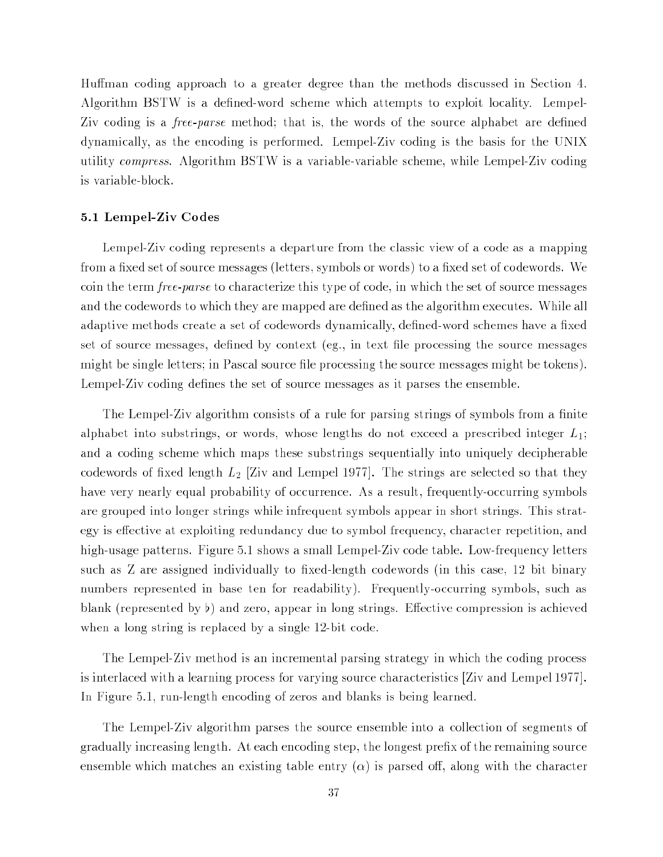Human coding approach to a greater degree than the methods discussed in Section 4. Algorithm BSTW is a defined-word scheme which attempts to exploit locality. Lempel-Ziv coding is a *free-parse* method; that is, the words of the source alphabet are defined dynamically, as the encoding is performed. Lempel-Ziv coding is the basis for the UNIX utility compress. Algorithm BSTW is a variable-variable scheme, while Lempel-Ziv coding is variable-block.

## 5.1 Lempel-Ziv Codes

Lempel-Ziv coding represents a departure from the classic view of a code as a mapping from a fixed set of source messages (letters, symbols or words) to a fixed set of codewords. We coin the term free-parse to characterize this type of code, in which the set of source messages and the codewords to which they are mapped are defined as the algorithm executes. While all adaptive methods create a set of codewords dynamically, defined-word schemes have a fixed set of source messages, defined by context (eg., in text file processing the source messages might be single letters; in Pascal source file processing the source messages might be tokens). Lempel-Ziv coding defines the set of source messages as it parses the ensemble.

The Lempel-Ziv algorithm consists of a rule for parsing strings of symbols from a finite alphabet into substrings, or words, whose lengths do not exceed a prescribed integer  $L_1$ ; and a coding scheme which maps these substrings sequentially into uniquely decipherable codewords of fixed length  $L_2$  [Ziv and Lempel 1977]. The strings are selected so that they have very nearly equal probability of occurrence. As a result, frequently-occurring symbols are grouped into longer strings while infrequent symbols appear in short strings. This strategy is effective at exploiting redundancy due to symbol frequency, character repetition, and high-usage patterns. Figure 5.1 shows a small Lempel-Ziv code table. Low-frequency letters such as Z are assigned individually to fixed-length codewords (in this case, 12 bit binary numbers represented in base ten for readability). Frequently-occurring symbols, such as blank (represented by  $\flat$ ) and zero, appear in long strings. Effective compression is achieved when a long string is replaced by a single 12-bit code.

The Lempel-Ziv method is an incremental parsing strategy in which the coding process is interlaced with a learning process for varying source characteristics [Ziv and Lempel 1977]. In Figure 5.1, run-length encoding of zeros and blanks is being learned.

The Lempel-Ziv algorithm parses the source ensemble into a collection of segments of gradually increasing length. At each encoding step, the longest prefix of the remaining source ensemble which matches an existing table entry  $(\alpha)$  is parsed off, along with the character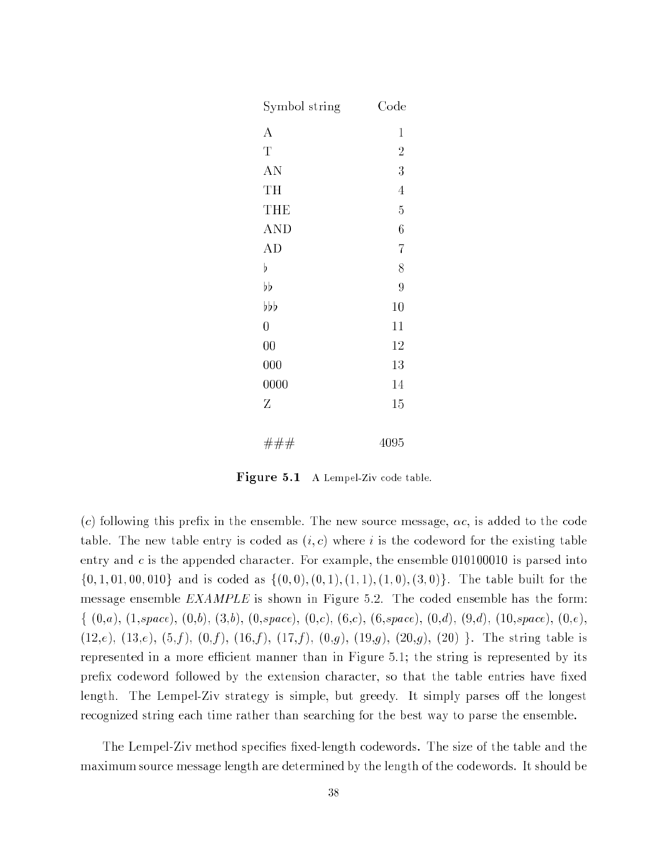| Symbol string   | $\rm Code$     |
|-----------------|----------------|
| $\mathbf{A}$    | 1              |
| T               | $\overline{2}$ |
| AN              | 3              |
| TН              | $\overline{4}$ |
| THE             | $\overline{5}$ |
| <b>AND</b>      | 6              |
| AD              | $\overline{7}$ |
| b               | 8              |
| bb              | 9              |
| bbb             | 10             |
| $\overline{0}$  | 11             |
| $\overline{00}$ | 12             |
| 000             | 13             |
| 0000            | 14             |
| Ζ               | 15             |
|                 |                |
| ###             | 4095           |

Figure 5.1 A Lempel-Ziv code table.

(c) following this prefix in the ensemble. The new source message,  $\alpha c$ , is added to the code table. The new table entry is coded as  $(i, c)$  where i is the codeword for the existing table entry and  $c$  is the appended character. For example, the ensemble 010100010 is parsed into  $\{0, 1, 01, 00, 010\}$  and is coded as  $\{(0, 0), (0, 1), (1, 1), (1, 0), (3, 0)\}.$  The table built for the message ensemble EXAMPLE is shown in Figure 5.2. The coded ensemble has the form:  $\{ (0,a), (1, space), (0,b), (3,b), (0, space), (0,c), (6,c), (6, space), (0,d), (9,d), (10, space), (0,e),\}$  $(12,e), (13,e), (5,f), (0,f), (16,f), (17,f), (0,g), (19,g), (20,g), (20)$ . The string table is represented in a more efficient manner than in Figure 5.1; the string is represented by its prefix codeword followed by the extension character, so that the table entries have fixed length. The Lempel-Ziv strategy is simple, but greedy. It simply parses off the longest recognized string each time rather than searching for the best way to parse the ensemble.

The Lempel-Ziv method specifies fixed-length codewords. The size of the table and the maximum source message length are determined by the length of the codewords. It should be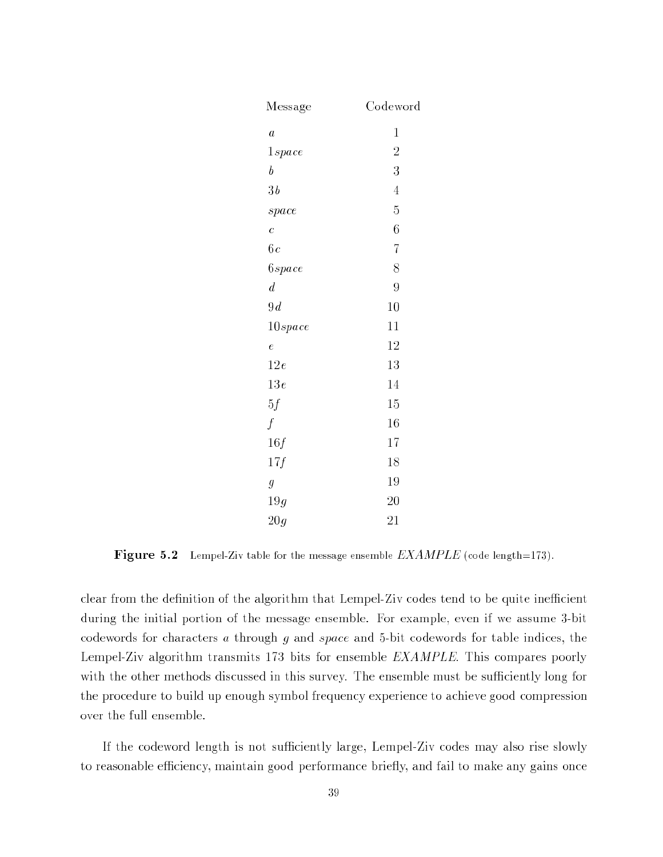| Message          | Codeword       |
|------------------|----------------|
| $\overline{a}$   | 1              |
| $_{1space}$      | $\overline{2}$ |
| $\boldsymbol{b}$ | 3              |
| 3b               | $\overline{4}$ |
| space            | $\overline{5}$ |
| $\overline{c}$   | 6              |
| 6c               | $\overline{7}$ |
| 6 space          | 8              |
| $\boldsymbol{d}$ | 9              |
| 9d               | 10             |
| 10 space         | 11             |
| $\epsilon$       | 12             |
| 12e              | 13             |
| 13e              | 14             |
| 5f               | 15             |
| $\int$           | 16             |
| 16f              | 17             |
| 17f              | 18             |
| $\overline{g}$   | 19             |
| 19g              | 20             |
| 20g              | 21             |
|                  |                |

Figure 5.2 Lempel-Ziv table for the message ensemble  $EXAMPLE$  (code length=173).

clear from the definition of the algorithm that Lempel-Ziv codes tend to be quite inefficient during the initial portion of the message ensemble. For example, even if we assume 3-bit codewords for characters a through g and space and 5-bit codewords for table indices, the Lempel-Ziv algorithm transmits 173 bits for ensemble EXAMPLE. This compares poorly with the other methods discussed in this survey. The ensemble must be sufficiently long for the procedure to build up enough symbol frequency experience to achieve good compression over the full ensemble.

If the codeword length is not sufficiently large, Lempel-Ziv codes may also rise slowly to reasonable efficiency, maintain good performance briefly, and fail to make any gains once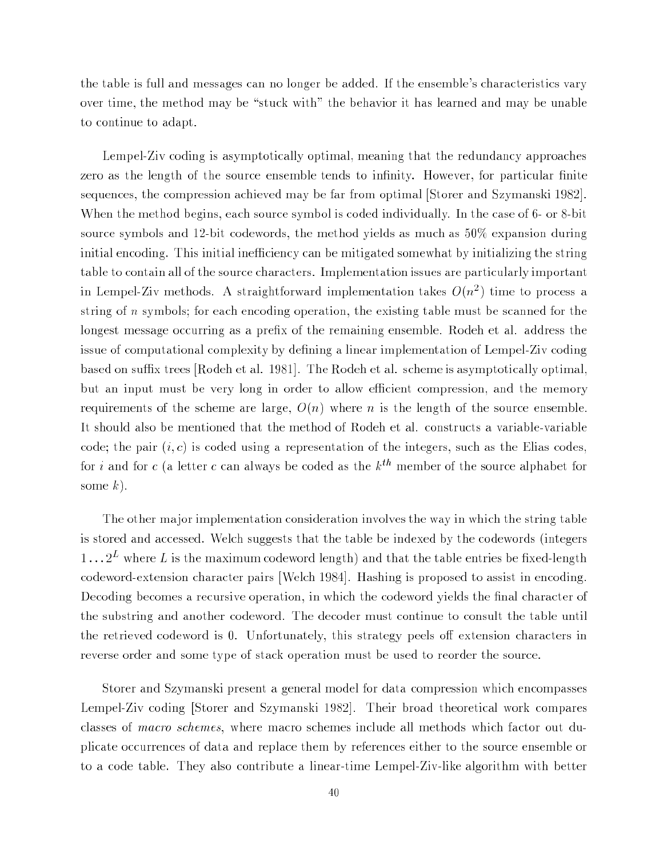the table is full and messages can no longer be added. If the ensemble's characteristics vary over time, the method may be "stuck with" the behavior it has learned and may be unable to continue to adapt.

Lempel-Ziv coding is asymptotically optimal, meaning that the redundancy approaches zero as the length of the source ensemble tends to infinity. However, for particular finite sequences, the compression achieved may be far from optimal [Storer and Szymanski 1982]. When the method begins, each source symbol is coded individually. In the case of 6- or 8-bit source symbols and 12-bit codewords, the method yields as much as 50% expansion during initial encoding. This initial inefficiency can be mitigated somewhat by initializing the string table to contain all of the source characters. Implementation issues are particularly important in Lempel-Ziv methods. A straightforward implementation takes  $O(n^+)$  time to process a string of n symbols; for each encoding operation, the existing table must be scanned for the longest message occurring as a prefix of the remaining ensemble. Rodeh et al. address the issue of computational complexity by defining a linear implementation of Lempel-Ziv coding based on suffix trees [Rodeh et al. 1981]. The Rodeh et al. scheme is asymptotically optimal, but an input must be very long in order to allow efficient compression, and the memory requirements of the scheme are large,  $O(n)$  where n is the length of the source ensemble. It should also be mentioned that the method of Rodeh et al. constructs a variable-variable code; the pair  $(i, c)$  is coded using a representation of the integers, such as the Elias codes, for i and for c (a letter c can always be coded as the  $k^{th}$  member of the source alphabet for some  $k$ ).

The other ma jor implementation consideration involves the way in which the string table is stored and accessed. Welch suggests that the table be indexed by the codewords (integers  $1 \ldots 2^-$  where  $L$  is the maximum codeword length) and that the table entries be fixed-length codeword-extension character pairs [Welch 1984]. Hashing is proposed to assist in encoding. Decoding becomes a recursive operation, in which the codeword yields the final character of the substring and another codeword. The decoder must continue to consult the table until the retrieved codeword is 0. Unfortunately, this strategy peels off extension characters in reverse order and some type of stack operation must be used to reorder the source.

Storer and Szymanski present a general model for data compression which encompasses Lempel-Ziv coding [Storer and Szymanski 1982]. Their broad theoretical work compares classes of macro schemes, where macro schemes include all methods which factor out duplicate occurrences of data and replace them by references either to the source ensemble or to a code table. They also contribute a linear-time Lempel-Ziv-like algorithm with better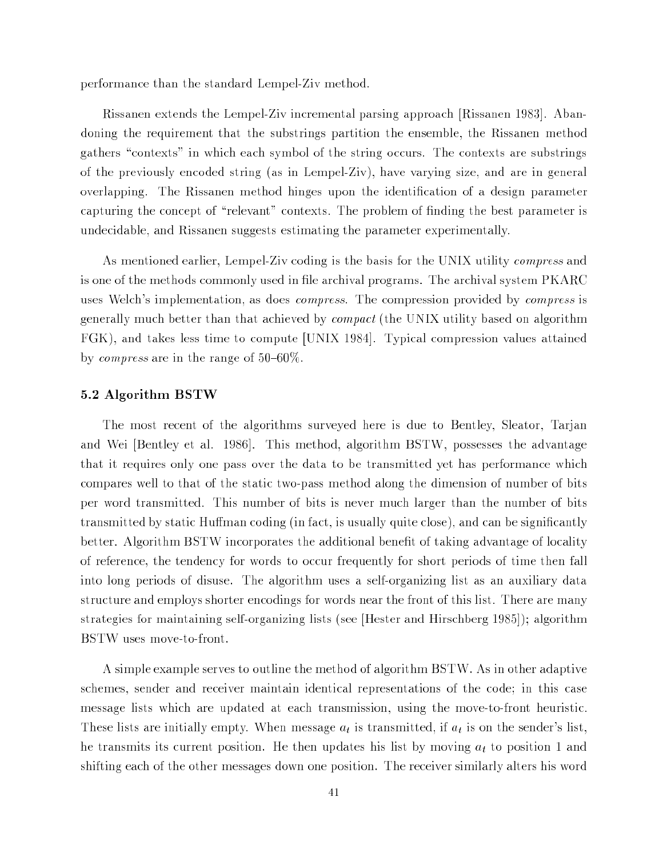performance than the standard Lempel-Ziv method.

Rissanen extends the Lempel-Ziv incremental parsing approach [Rissanen 1983]. Abandoning the requirement that the substrings partition the ensemble, the Rissanen method gathers "contexts" in which each symbol of the string occurs. The contexts are substrings of the previously encoded string (as in Lempel-Ziv), have varying size, and are in general overlapping. The Rissanen method hinges upon the identication of a design parameter capturing the concept of "relevant" contexts. The problem of finding the best parameter is undecidable, and Rissanen suggests estimating the parameter experimentally.

As mentioned earlier, Lempel-Ziv coding is the basis for the UNIX utility *compress* and is one of the methods commonly used in file archival programs. The archival system PKARC uses Welch's implementation, as does *compress*. The compression provided by *compress* is generally much better than that achieved by compact (the UNIX utility based on algorithm FGK), and takes less time to compute [UNIX 1984]. Typical compression values attained by *compress* are in the range of  $50{\text -}60\%$ .

## 5.2 Algorithm BSTW

The most recent of the algorithms surveyed here is due to Bentley, Sleator, Tarjan and Wei [Bentley et al. 1986]. This method, algorithm BSTW, possesses the advantage that it requires only one pass over the data to be transmitted yet has performance which compares well to that of the static two-pass method along the dimension of number of bits per word transmitted. This number of bits is never much larger than the number of bits transmitted by static Human coding (in fact, is usually quite close), and can be signicantly better. Algorithm BSTW incorporates the additional benet of taking advantage of locality of reference, the tendency for words to occur frequently for short periods of time then fall into long periods of disuse. The algorithm uses a self-organizing list as an auxiliary data structure and employs shorter encodings for words near the front of this list. There are many strategies for maintaining self-organizing lists (see [Hester and Hirschberg 1985]); algorithm BSTW uses move-to-front.

A simple example serves to outline the method of algorithm BSTW. As in other adaptive schemes, sender and receiver maintain identical representations of the code; in this case message lists which are updated at each transmission, using the move-to-front heuristic. These lists are initially empty. When message  $a_t$  is transmitted, if  $a_t$  is on the sender's list, he transmits its current position. He then updates his list by moving  $a_t$  to position 1 and shifting each of the other messages down one position. The receiver similarly alters his word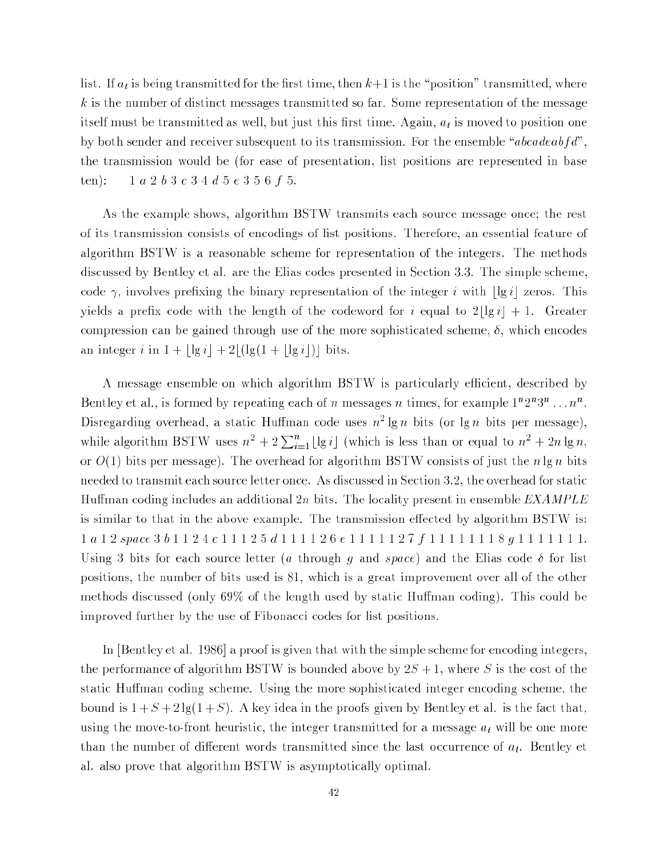list. If  $a_t$  is being transmitted for the first time, then  $k+1$  is the "position" transmitted, where  $k$  is the number of distinct messages transmitted so far. Some representation of the message itself must be transmitted as well, but just this first time. Again,  $a_t$  is moved to position one by both sender and receiver subsequent to its transmission. For the ensemble "abcadeabfd", the transmission would be (for ease of presentation, list positions are represented in base ten):  $1 \ a \ 2 \ b \ 3 \ c \ 3 \ 4 \ d \ 5 \ e \ 3 \ 5 \ 6 \ f \ 5.$ 

As the example shows, algorithm BSTW transmits each source message once; the rest of its transmission consists of encodings of list positions. Therefore, an essential feature of algorithm BSTW is a reasonable scheme for representation of the integers. The methods discussed by Bentley et al. are the Elias codes presented in Section 3.3. The simple scheme, code  $\gamma$ , involves prefixing the binary representation of the integer i with  $\left|\lg i\right|$  zeros. This yields a prefix code with the length of the codeword for i equal to  $2|\lg i| + 1$ . Greater compression can be gained through use of the more sophisticated scheme,  $\delta$ , which encodes an integer i in  $1 + \lfloor \lg i \rfloor + 2\lfloor (\lg(1 + \lfloor \lg i \rfloor)) \rfloor$  bits.

A message ensemble on which algorithm BSTW is particularly efficient, described by Dentiey et al., is formed by repeating each of n messages n times, for example  $1^{\circ}Z^{\circ}3^{\circ}\ldots n^{\circ}$ . Disregarding overhead, a static Humman code uses  $n$  ig n bits (or ig n bits per message), while algorithm BSTW uses  $n^2 + 2\sum_{i=1}^n \lfloor \lg i \rfloor$  (which is less than or equal to  $n^2 + 2n \lg n$ , or  $O(1)$  bits per message). The overhead for algorithm BSTW consists of just the n lg n bits needed to transmit each source letter once. As discussed in Section 3.2, the overhead for static Huffman coding includes an additional  $2n$  bits. The locality present in ensemble  $EXAMPLE$ is similar to that in the above example. The transmission effected by algorithm BSTW is: 1 a 1 2 space 3 b 1 1 2 4 c 1 1 1 2 5 d 1 1 1 1 2 6 e 1 1 1 1 1 2 7 f 1 1 1 1 1 1 1 8 g 1 1 1 1 1 1 1. Using 3 bits for each source letter (a through g and space) and the Elias code  $\delta$  for list positions, the number of bits used is 81, which is a great improvement over all of the other methods discussed (only 69% of the length used by static Human coding). This could be improved further by the use of Fibonacci codes for list positions.

In [Bentley et al. 1986] a proof is given that with the simple scheme for encoding integers, the performance of algorithm BSTW is bounded above by  $2S + 1$ , where S is the cost of the static Human coding scheme. Using the more sophisticated integer encoding scheme, the bound is  $1 + S + 2 \lg(1 + S)$ . A key idea in the proofs given by Bentley et al. is the fact that, using the move-to-front heuristic, the integer transmitted for a message  $a_t$  will be one more than the number of different words transmitted since the last occurrence of  $a_t$ . Bentley et al. also prove that algorithm BSTW is asymptotically optimal.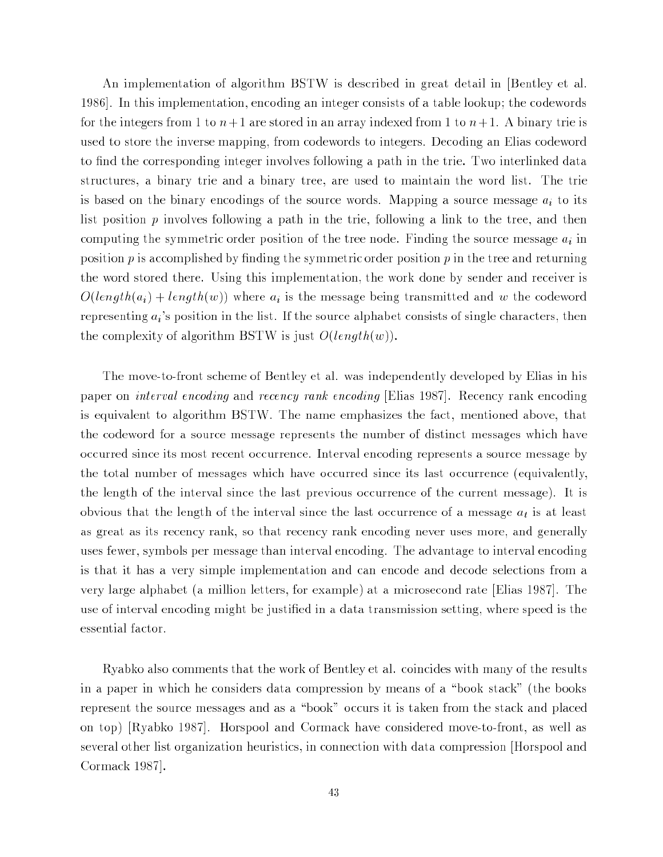An implementation of algorithm BSTW is described in great detail in [Bentley et al. 1986]. In this implementation, encoding an integer consists of a table lookup; the codewords for the integers from 1 to  $n+1$  are stored in an array indexed from 1 to  $n+1$ . A binary trie is used to store the inverse mapping, from codewords to integers. Decoding an Elias codeword to find the corresponding integer involves following a path in the trie. Two interlinked data structures, a binary trie and a binary tree, are used to maintain the word list. The trie is based on the binary encodings of the source words. Mapping a source message  $a_i$  to its list position p involves following a path in the trie, following a link to the tree, and then computing the symmetric order position of the tree node. Finding the source message  $a_i$  in position  $p$  is accomplished by finding the symmetric order position  $p$  in the tree and returning the word stored there. Using this implementation, the work done by sender and receiver is  $O(length(a_i) + length(w))$  where  $a_i$  is the message being transmitted and w the codeword representing  $a_i$ 's position in the list. If the source alphabet consists of single characters, then the complexity of algorithm BSTW is just  $O(length(w)).$ 

The move-to-front scheme of Bentley et al. was independently developed by Elias in his paper on interval encoding and recency rank encoding [Elias 1987]. Recency rank encoding is equivalent to algorithm BSTW. The name emphasizes the fact, mentioned above, that the codeword for a source message represents the number of distinct messages which have occurred since its most recent occurrence. Interval encoding represents a source message by the total number of messages which have occurred since its last occurrence (equivalently, the length of the interval since the last previous occurrence of the current message). It is obvious that the length of the interval since the last occurrence of a message  $a_t$  is at least as great as its recency rank, so that recency rank encoding never uses more, and generally uses fewer, symbols per message than interval encoding. The advantage to interval encoding is that it has a very simple implementation and can encode and decode selections from a very large alphabet (a million letters, for example) at a microsecond rate [Elias 1987]. The use of interval encoding might be justied in a data transmission setting, where speed is the essential factor.

Ryabko also comments that the work of Bentley et al. coincides with many of the results in a paper in which he considers data compression by means of a "book stack" (the books represent the source messages and as a "book" occurs it is taken from the stack and placed on top) [Ryabko 1987]. Horspool and Cormack have considered move-to-front, as well as several other list organization heuristics, in connection with data compression [Horspool and Cormack 1987].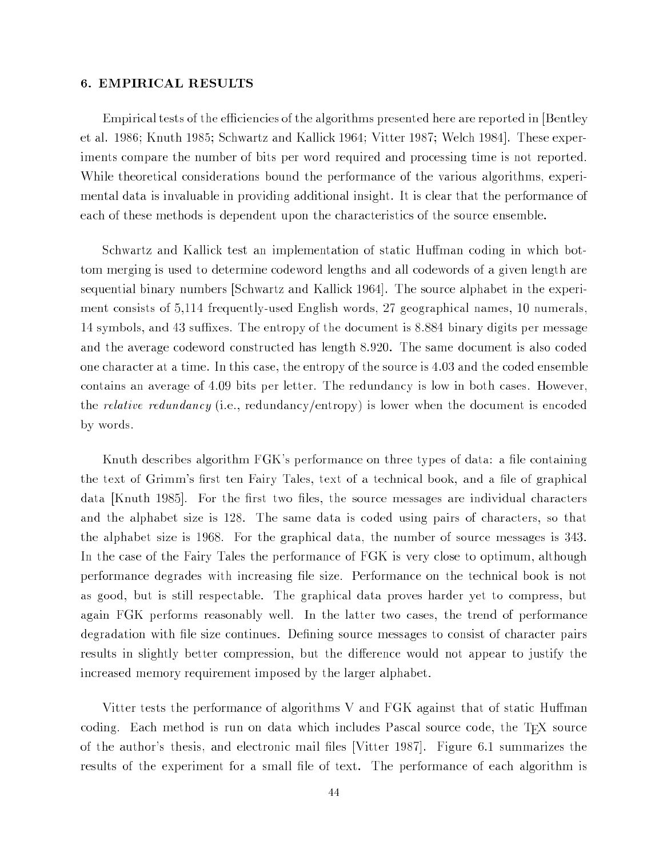## 6. EMPIRICAL RESULTS

Empirical tests of the efficiencies of the algorithms presented here are reported in [Bentley et al. 1986; Knuth 1985; Schwartz and Kallick 1964; Vitter 1987; Welch 1984]. These experiments compare the number of bits per word required and processing time is not reported. While theoretical considerations bound the performance of the various algorithms, experimental data is invaluable in providing additional insight. It is clear that the performance of each of these methods is dependent upon the characteristics of the source ensemble.

Schwartz and Kallick test an implementation of static Huffman coding in which bottom merging is used to determine codeword lengths and all codewords of a given length are sequential binary numbers [Schwartz and Kallick 1964]. The source alphabet in the experiment consists of 5,114 frequently-used English words, 27 geographical names, 10 numerals, 14 symbols, and 43 suffixes. The entropy of the document is 8.884 binary digits per message and the average codeword constructed has length 8.920. The same document is also coded one character at a time. In this case, the entropy of the source is 4.03 and the coded ensemble contains an average of 4.09 bits per letter. The redundancy is low in both cases. However, the relative redundancy (i.e., redundancy/entropy) is lower when the document is encoded by words.

Knuth describes algorithm FGK's performance on three types of data: a file containing the text of Grimm's first ten Fairy Tales, text of a technical book, and a file of graphical data [Knuth 1985]. For the first two files, the source messages are individual characters and the alphabet size is 128. The same data is coded using pairs of characters, so that the alphabet size is 1968. For the graphical data, the number of source messages is 343. In the case of the Fairy Tales the performance of FGK is very close to optimum, although performance degrades with increasing file size. Performance on the technical book is not as good, but is still respectable. The graphical data proves harder yet to compress, but again FGK performs reasonably well. In the latter two cases, the trend of performance degradation with file size continues. Defining source messages to consist of character pairs results in slightly better compression, but the difference would not appear to justify the increased memory requirement imposed by the larger alphabet.

Vitter tests the performance of algorithms V and FGK against that of static Huffman coding. Each method is run on data which includes Pascal source code, the TFX source of the author's thesis, and electronic mail files [Vitter 1987]. Figure 6.1 summarizes the results of the experiment for a small file of text. The performance of each algorithm is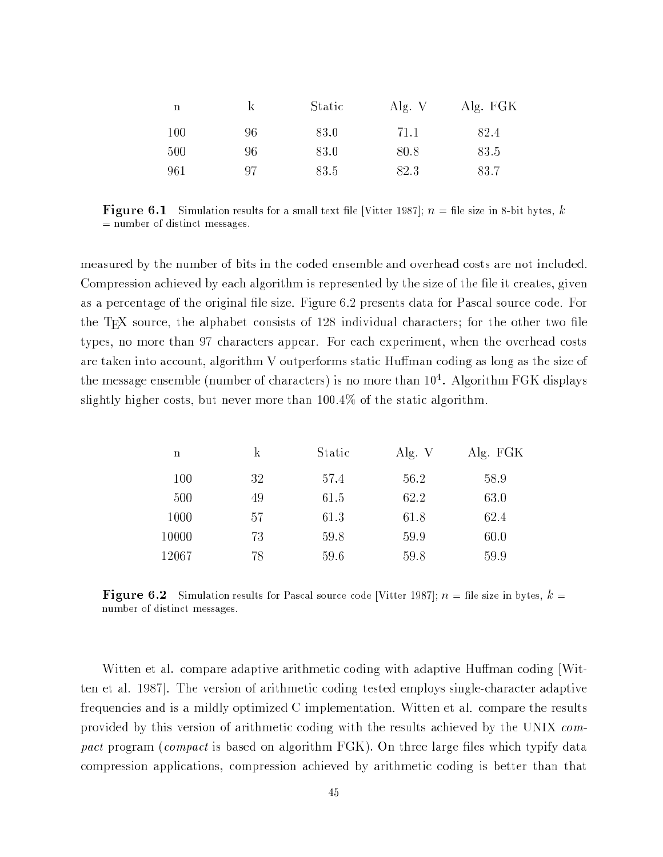| n   | K  | Static | Alg. $V$ | Alg. FGK |
|-----|----|--------|----------|----------|
| 100 | 96 | 83.0   | 71.1     | 82.4     |
| 500 | 96 | 83.0   | 80.8     | 83.5     |
| 961 | 97 | 83.5   | 82.3     | 83.7     |

**Figure 6.1** Simulation results for a small text file [Vitter 1987];  $n =$  file size in 8-bit bytes, k  $=$  number of distinct messages.

measured by the number of bits in the coded ensemble and overhead costs are not included. Compression achieved by each algorithm is represented by the size of the file it creates, given as a percentage of the original file size. Figure 6.2 presents data for Pascal source code. For the T<sub>EX</sub> source, the alphabet consists of  $128$  individual characters; for the other two file types, no more than 97 characters appear. For each experiment, when the overhead costs are taken into account, algorithm V outperforms static Huffman coding as long as the size of the message ensemble (number of characters) is no more than 10°. Algorithm FGK displays slightly higher costs, but never more than 100:4% of the static algorithm.

| n     | k  | Static | Alg. V | Alg. FGK |
|-------|----|--------|--------|----------|
| 100   | 32 | 57.4   | 56.2   | 58.9     |
| 500   | 49 | 61.5   | 62.2   | 63.0     |
| 1000  | 57 | 61.3   | 61.8   | 62.4     |
| 10000 | 73 | 59.8   | 59.9   | 60.0     |
| 12067 | 78 | 59.6   | 59.8   | 59.9     |

**Figure 6.2** Simulation results for Pascal source code [Vitter 1987];  $n =$  file size in bytes,  $k =$ number of distinct messages.

Witten et al. compare adaptive arithmetic coding with adaptive Huffman coding Witten et al. 1987]. The version of arithmetic coding tested employs single-character adaptive frequencies and is a mildly optimized C implementation. Witten et al. compare the results provided by this version of arithmetic coding with the results achieved by the UNIX compact program (compact is based on algorithm  $F G K$ ). On three large files which typify data compression applications, compression achieved by arithmetic coding is better than that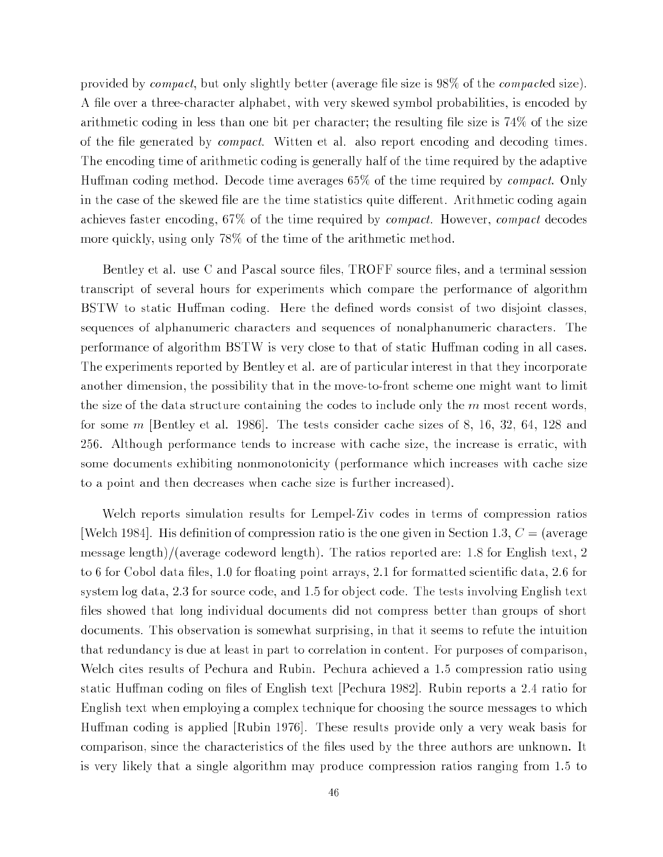provided by *compact*, but only slightly better (average file size is 98% of the *compacted* size). A file over a three-character alphabet, with very skewed symbol probabilities, is encoded by arithmetic coding in less than one bit per character; the resulting file size is 74% of the size of the file generated by *compact*. Witten et al. also report encoding and decoding times. The encoding time of arithmetic coding is generally half of the time required by the adaptive Human coding method. Decode time averages 65% of the time required by compact. Only in the case of the skewed file are the time statistics quite different. Arithmetic coding again achieves faster encoding, 67% of the time required by compact. However, compact decodes more quickly, using only 78% of the time of the arithmetic method.

Bentley et al. use C and Pascal source files, TROFF source files, and a terminal session transcript of several hours for experiments which compare the performance of algorithm BSTW to static Huffman coding. Here the defined words consist of two disjoint classes, sequences of alphanumeric characters and sequences of nonalphanumeric characters. The performance of algorithm BSTW is very close to that of static Human coding in all cases. The experiments reported by Bentley et al. are of particular interest in that they incorporate another dimension, the possibility that in the move-to-front scheme one might want to limit the size of the data structure containing the codes to include only the  $m$  most recent words, for some  $m$  [Bentley et al. 1986]. The tests consider cache sizes of 8, 16, 32, 64, 128 and 256. Although performance tends to increase with cache size, the increase is erratic, with some documents exhibiting nonmonotonicity (performance which increases with cache size to a point and then decreases when cache size is further increased).

Welch reports simulation results for Lempel-Ziv codes in terms of compression ratios Welch 1984. His definition of compression ratio is the one given in Section 1.3,  $C =$  (average message length)/(average codeword length). The ratios reported are: 1.8 for English text, 2 to 6 for Cobol data files, 1.0 for floating point arrays, 2.1 for formatted scientific data, 2.6 for system log data, 2.3 for source code, and 1.5 for object code. The tests involving English text files showed that long individual documents did not compress better than groups of short documents. This observation is somewhat surprising, in that it seems to refute the intuition that redundancy is due at least in part to correlation in content. For purposes of comparison, Welch cites results of Pechura and Rubin. Pechura achieved a 1.5 compression ratio using static Huffman coding on files of English text | Pechura 1982|. Rubin reports a 2.4 ratio for English text when employing a complex technique for choosing the source messages to which Human coding is applied [Rubin 1976]. These results provide only a very weak basis for comparison, since the characteristics of the files used by the three authors are unknown. It is very likely that a single algorithm may produce compression ratios ranging from 1.5 to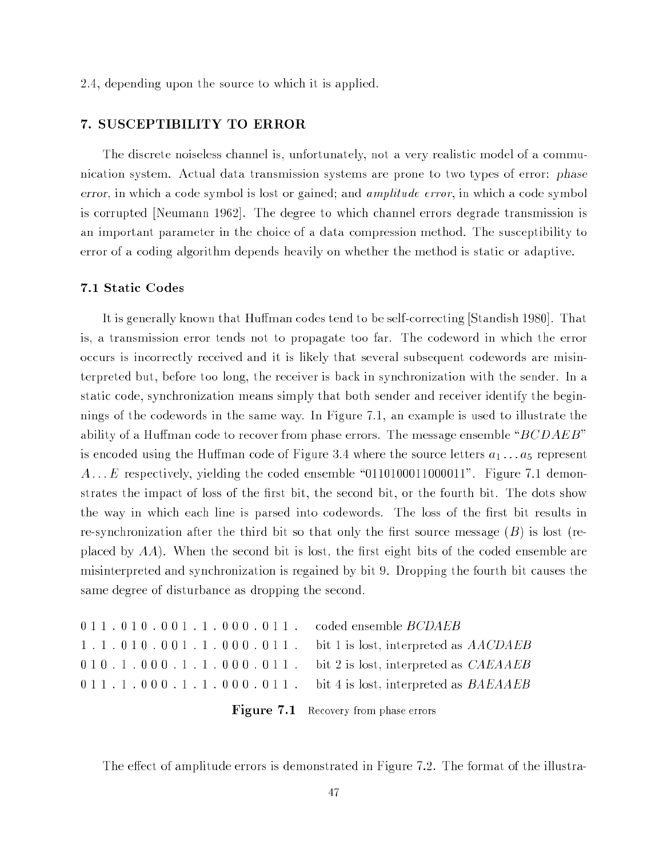2.4, depending upon the source to which it is applied.

## 7. SUSCEPTIBILITY TO ERROR

The discrete noiseless channel is, unfortunately, not a very realistic model of a communication system. Actual data transmission systems are prone to two types of error: phase error, in which a code symbol is lost or gained; and *amplitude error*, in which a code symbol is corrupted [Neumann 1962]. The degree to which channel errors degrade transmission is an important parameter in the choice of a data compression method. The susceptibility to error of a coding algorithm depends heavily on whether the method is static or adaptive.

# 7.1 Static Codes

It is generally known that Huffman codes tend to be self-correcting [Standish 1980]. That is, a transmission error tends not to propagate too far. The codeword in which the error occurs is incorrectly received and it is likely that several subsequent codewords are misinterpreted but, before too long, the receiver is back in synchronization with the sender. In a static code, synchronization means simply that both sender and receiver identify the beginnings of the codewords in the same way. In Figure 7.1, an example is used to illustrate the ability of a Huffman code to recover from phase errors. The message ensemble " $BCDAEB$ " is encoded using the Huffman code of Figure 3.4 where the source letters  $a_1 \ldots a_5$  represent  $A \dots E$  respectively, yielding the coded ensemble "0110100011000011". Figure 7.1 demonstrates the impact of loss of the first bit, the second bit, or the fourth bit. The dots show the way in which each line is parsed into codewords. The loss of the first bit results in re-synchronization after the third bit so that only the first source message  $(B)$  is lost (replaced by  $AA$ ). When the second bit is lost, the first eight bits of the coded ensemble are misinterpreted and synchronization is regained by bit 9. Dropping the fourth bit causes the same degree of disturbance as dropping the second.

|  |  |  |  |  |  |  |  |  |  |  | $011.010.001.1.000.011.$ coded ensemble $BCDAEB$                                                                 |
|--|--|--|--|--|--|--|--|--|--|--|------------------------------------------------------------------------------------------------------------------|
|  |  |  |  |  |  |  |  |  |  |  | $1.1.010.001.1.000.011.$ bit 1 is lost, interpreted as $AACDAEB$                                                 |
|  |  |  |  |  |  |  |  |  |  |  |                                                                                                                  |
|  |  |  |  |  |  |  |  |  |  |  | $0\;1\;1\;.\;1\;.\;0\;0\;0\;.\;1\;.\;1\;.\;0\;0\;0\;.\;0\;1\;1\;.\qquad$ bit 4 is lost, interpreted as $BAEAAEB$ |

Figure 7.1 Recovery from phase errors

The effect of amplitude errors is demonstrated in Figure 7.2. The format of the illustra-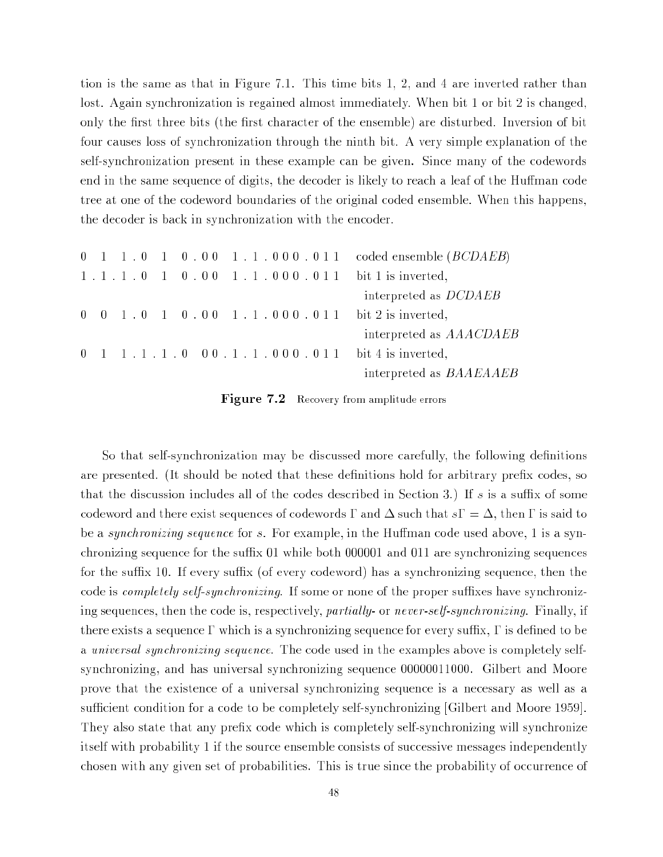tion is the same as that in Figure 7.1. This time bits 1, 2, and 4 are inverted rather than lost. Again synchronization is regained almost immediately. When bit 1 or bit 2 is changed, only the first three bits (the first character of the ensemble) are disturbed. Inversion of bit four causes loss of synchronization through the ninth bit. A very simple explanation of the self-synchronization present in these example can be given. Since many of the codewords end in the same sequence of digits, the decoder is likely to reach a leaf of the Huffman code tree at one of the codeword boundaries of the original coded ensemble. When this happens, the decoder is back in synchronization with the encoder.

|  |  |                                                                                                                                                             | $0 \quad 1 \quad 1 \quad 0 \quad 1 \quad 0 \quad 0 \quad 0 \quad 1 \quad 1 \quad 0 \quad 0 \quad 0 \quad 0 \quad 1 \quad 1 \quad \text{codeed ensemble } (BCDAEB)$ |
|--|--|-------------------------------------------------------------------------------------------------------------------------------------------------------------|--------------------------------------------------------------------------------------------------------------------------------------------------------------------|
|  |  | $1.1.1.0$ 1 0.00 1.1.000.011 bit 1 is inverted,                                                                                                             |                                                                                                                                                                    |
|  |  |                                                                                                                                                             | interpreted as <i>DCDAEB</i>                                                                                                                                       |
|  |  | $0 \t 1 \t 0 \t 1 \t 0 \t 1 \t 0 \t 0 \t 1 \t 1 \t 0 \t 0 \t 0 \t 0 \t 1 \t 1 \t bit 2 \t is inverted,$                                                     |                                                                                                                                                                    |
|  |  |                                                                                                                                                             | interpreted as AAACDAEB                                                                                                                                            |
|  |  | $0 \quad 1 \quad 1 \quad 1 \quad 1 \quad 0 \quad 0 \quad 0 \quad 1 \quad 1 \quad 0 \quad 0 \quad 0 \quad 0 \quad 1 \quad 1 \quad \text{bit 4 is inverted},$ |                                                                                                                                                                    |
|  |  |                                                                                                                                                             | interpreted as <i>BAAEAAEB</i>                                                                                                                                     |

Figure 7.2 Recovery from amplitude errors

So that self-synchronization may be discussed more carefully, the following definitions are presented. (It should be noted that these definitions hold for arbitrary prefix codes, so that the discussion includes all of the codes described in Section 3.) If  $s$  is a suffix of some codeword and there exist sequences of codewords  $\Gamma$  and  $\Delta$  such that  $s\Gamma = \Delta$ , then  $\Gamma$  is said to be a *synchronizing sequence* for s. For example, in the Huffman code used above, 1 is a synchronizing sequence for the suffix  $01$  while both  $000001$  and  $011$  are synchronizing sequences for the suffix 10. If every suffix (of every codeword) has a synchronizing sequence, then the code is *completely self-synchronizing*. If some or none of the proper suffixes have synchronizing sequences, then the code is, respectively, partially- or never-self-synchronizing. Finally, if there exists a sequence  $\Gamma$  which is a synchronizing sequence for every suffix,  $\Gamma$  is defined to be a universal synchronizing sequence. The code used in the examples above is completely selfsynchronizing, and has universal synchronizing sequence 00000011000. Gilbert and Moore prove that the existence of a universal synchronizing sequence is a necessary as well as a sufficient condition for a code to be completely self-synchronizing [Gilbert and Moore 1959]. They also state that any prefix code which is completely self-synchronizing will synchronize itself with probability 1 if the source ensemble consists of successive messages independently chosen with any given set of probabilities. This is true since the probability of occurrence of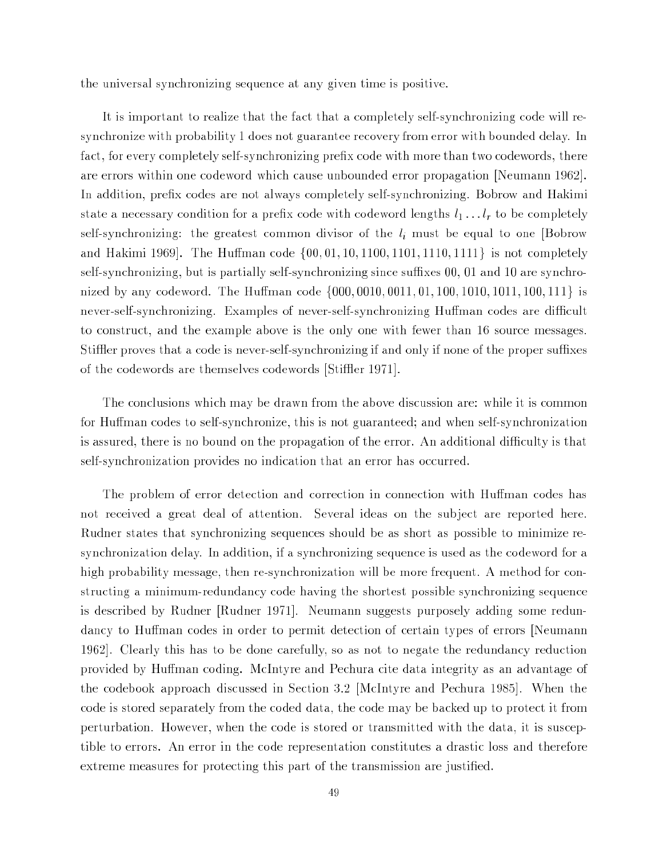the universal synchronizing sequence at any given time is positive.

It is important to realize that the fact that a completely self-synchronizing code will resynchronize with probability 1 does not guarantee recovery from error with bounded delay. In fact, for every completely self-synchronizing prefix code with more than two codewords, there are errors within one codeword which cause unbounded error propagation [Neumann 1962]. In addition, prefix codes are not always completely self-synchronizing. Bobrow and Hakimi state a necessary condition for a prefix code with codeword lengths  $l_1 \ldots l_r$  to be completely self-synchronizing: the greatest common divisor of the  $l_i$  must be equal to one [Bobrow and Hakimi 1969]. The Huffman code  $\{00, 01, 10, 1100, 1101, 1110, 1111\}$  is not completely self-synchronizing, but is partially self-synchronizing since suffixes 00, 01 and 10 are synchronized by any codeword. The Huffman code  $\{000, 0010, 0011, 01, 100, 1010, 1011, 100, 111\}$  is never-self-synchronizing. Examples of never-self-synchronizing Huffman codes are difficult to construct, and the example above is the only one with fewer than 16 source messages. Stiffler proves that a code is never-self-synchronizing if and only if none of the proper suffixes of the codewords are themselves codewords [Stiffler 1971].

The conclusions which may be drawn from the above discussion are: while it is common for Human codes to self-synchronize, this is not guaranteed; and when self-synchronization is assured, there is no bound on the propagation of the error. An additional difficulty is that self-synchronization provides no indication that an error has occurred.

The problem of error detection and correction in connection with Huffman codes has not received a great deal of attention. Several ideas on the subject are reported here. Rudner states that synchronizing sequences should be as short as possible to minimize resynchronization delay. In addition, if a synchronizing sequence is used as the codeword for a high probability message, then re-synchronization will be more frequent. A method for constructing a minimum-redundancy code having the shortest possible synchronizing sequence is described by Rudner [Rudner 1971]. Neumann suggests purposely adding some redundancy to Huffman codes in order to permit detection of certain types of errors [Neumann 1962]. Clearly this has to be done carefully, so as not to negate the redundancy reduction provided by Human coding. McIntyre and Pechura cite data integrity as an advantage of the codebook approach discussed in Section 3.2 [McIntyre and Pechura 1985]. When the code is stored separately from the coded data, the code may be backed up to protect it from perturbation. However, when the code is stored or transmitted with the data, it is susceptible to errors. An error in the code representation constitutes a drastic loss and therefore extreme measures for protecting this part of the transmission are justied.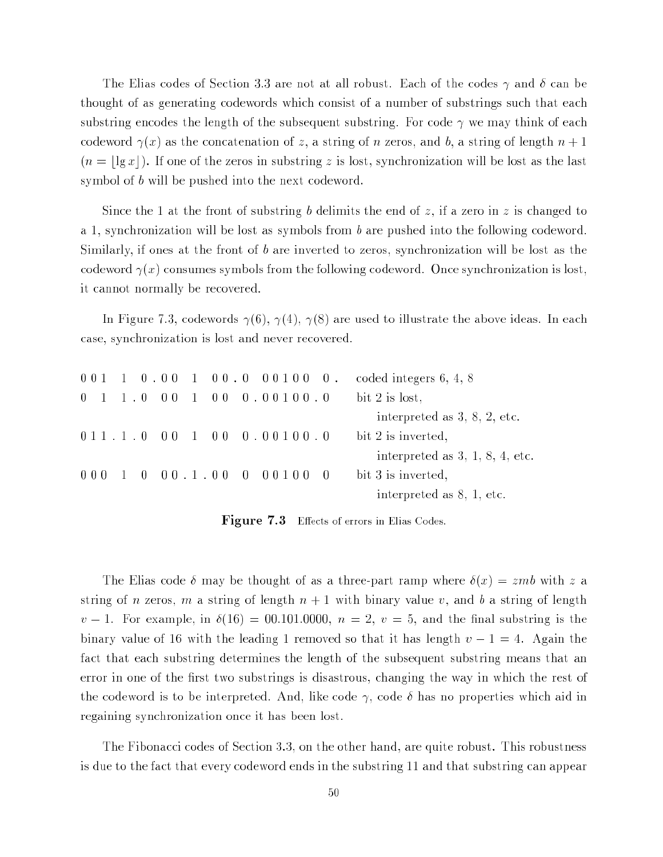The Elias codes of Section 3.3 are not at all robust. Each of the codes  $\gamma$  and  $\delta$  can be thought of as generating codewords which consist of a number of substrings such that each substring encodes the length of the subsequent substring. For code  $\gamma$  we may think of each codeword  $\gamma(x)$  as the concatenation of z, a string of n zeros, and b, a string of length  $n+1$  $(n = |g x|)$ . If one of the zeros in substring z is lost, synchronization will be lost as the last symbol of b will be pushed into the next codeword.

Since the 1 at the front of substring b delimits the end of z, if a zero in z is changed to a 1, synchronization will be lost as symbols from b are pushed into the following codeword. Similarly, if ones at the front of b are inverted to zeros, synchronization will be lost as the codeword  $\gamma(x)$  consumes symbols from the following codeword. Once synchronization is lost, it cannot normally be recovered.

In Figure 7.3, codewords  $\gamma(6)$ ,  $\gamma(4)$ ,  $\gamma(8)$  are used to illustrate the above ideas. In each case, synchronization is lost and never recovered.

|  |                            |  |  | 001 1 0.00 1 00.0 00100 0. coded integers 6, 4, 8 |
|--|----------------------------|--|--|---------------------------------------------------|
|  |                            |  |  |                                                   |
|  |                            |  |  | interpreted as $3, 8, 2$ , etc.                   |
|  | 011.1.0 00 1 00 0.00100.0  |  |  | bit 2 is inverted,                                |
|  |                            |  |  | interpreted as $3, 1, 8, 4$ , etc.                |
|  | 000 1 0 00 1 000 0 00100 0 |  |  | bit 3 is inverted,                                |
|  |                            |  |  | interpreted as 8, 1, etc.                         |
|  |                            |  |  |                                                   |

Figure 7.3 Effects of errors in Elias Codes.

The Elias code  $\delta$  may be thought of as a three-part ramp where  $\delta(x) = zm b$  with z a string of n zeros, m a string of length  $n + 1$  with binary value v, and b a string of length  $v-1$ . For example, in  $\delta(16) = 00.101.0000$ ,  $n = 2$ ,  $v = 5$ , and the final substring is the binary value of 16 with the leading 1 removed so that it has length  $v - 1 = 4$ . Again the fact that each substring determines the length of the subsequent substring means that an error in one of the first two substrings is disastrous, changing the way in which the rest of the codeword is to be interpreted. And, like code  $\gamma$ , code  $\delta$  has no properties which aid in regaining synchronization once it has been lost.

The Fibonacci codes of Section 3.3, on the other hand, are quite robust. This robustness is due to the fact that every codeword ends in the substring 11 and that substring can appear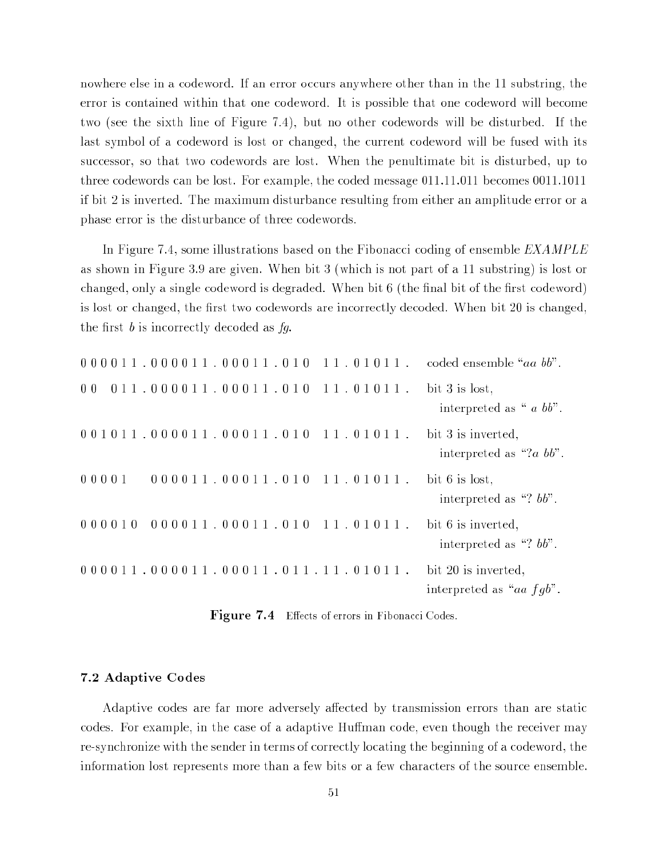nowhere else in a codeword. If an error occurs anywhere other than in the 11 substring, the error is contained within that one codeword. It is possible that one codeword will become two (see the sixth line of Figure 7.4), but no other codewords will be disturbed. If the last symbol of a codeword is lost or changed, the current codeword will be fused with its successor, so that two codewords are lost. When the penultimate bit is disturbed, up to three codewords can be lost. For example, the coded message 011.11.011 becomes 0011.1011 if bit 2 is inverted. The maximum disturbance resulting from either an amplitude error or a phase error is the disturbance of three codewords.

In Figure 7.4, some illustrations based on the Fibonacci coding of ensemble EXAMPLE as shown in Figure 3.9 are given. When bit 3 (which is not part of a 11 substring) is lost or changed, only a single codeword is degraded. When bit  $6$  (the final bit of the first codeword) is lost or changed, the first two codewords are incorrectly decoded. When bit 20 is changed, the first  $b$  is incorrectly decoded as  $fg$ .

|                |        | $0\ 0\ 0\ 0\ 1\ 1\ 0\ 0\ 0\ 0\ 1\ 1\ 0\ 0\ 0\ 1\ 1\ 0\ 1\ 0\ 1\ 0\ 1\ 1\ 0\ 1\ 0\ 1\ 1\ 1\  \text{ coded ensemble "aa bb".}$ |                                                 |
|----------------|--------|------------------------------------------------------------------------------------------------------------------------------|-------------------------------------------------|
| 0 <sub>0</sub> |        | 011.000011.00011.010 11.01011.                                                                                               | bit 3 is lost,<br>interpreted as " $a \, bb$ ". |
|                |        |                                                                                                                              | interpreted as "? <i>a</i> $bb$ ".              |
| 00001          |        | 000011.00011.010 11.01011.                                                                                                   | bit 6 is lost,<br>interpreted as "? $bb$ ".     |
|                | 000010 | $000011.00011.010 11.01011. bit 6 is inverted.$                                                                              | interpreted as "? $bb$ ".                       |
|                |        |                                                                                                                              | interpreted as " <i>aa</i> $f q b$ ".           |

Figure 7.4 Effects of errors in Fibonacci Codes.

## 7.2 Adaptive Codes

Adaptive codes are far more adversely affected by transmission errors than are static codes. For example, in the case of a adaptive Huffman code, even though the receiver may re-synchronize with the sender in terms of correctly locating the beginning of a codeword, the information lost represents more than a few bits or a few characters of the source ensemble.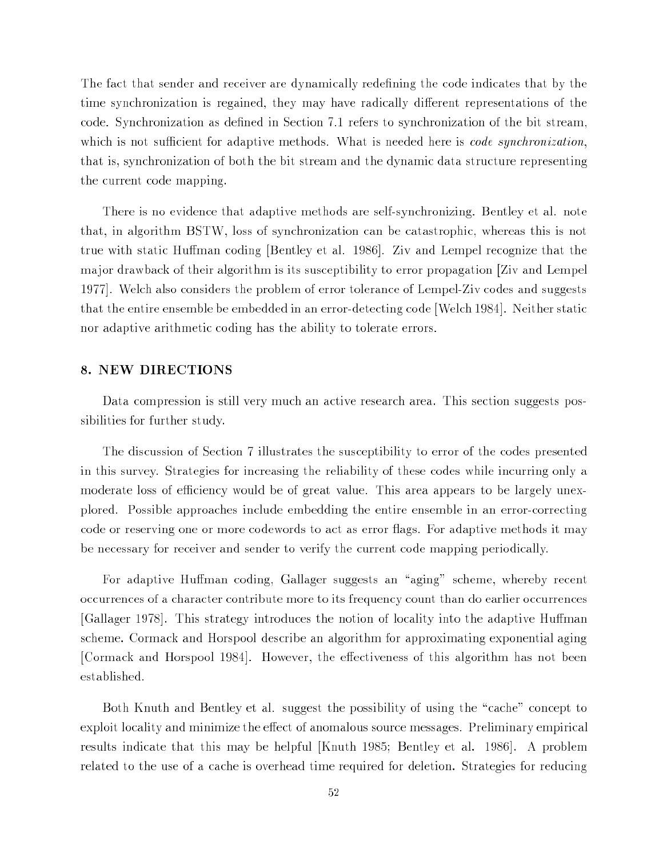The fact that sender and receiver are dynamically redening the code indicates that by the time synchronization is regained, they may have radically different representations of the code. Synchronization as defined in Section 7.1 refers to synchronization of the bit stream, which is not sufficient for adaptive methods. What is needed here is *code synchronization*, that is, synchronization of both the bit stream and the dynamic data structure representing the current code mapping.

There is no evidence that adaptive methods are self-synchronizing. Bentley et al. note that, in algorithm BSTW, loss of synchronization can be catastrophic, whereas this is not true with static Human coding [Bentley et al. 1986]. Ziv and Lempel recognize that the ma jor drawback of their algorithm is its susceptibility to error propagation [Ziv and Lempel 1977]. Welch also considers the problem of error tolerance of Lempel-Ziv codes and suggests that the entire ensemble be embedded in an error-detecting code [Welch 1984]. Neither static nor adaptive arithmetic coding has the ability to tolerate errors.

## 8. NEW DIRECTIONS

Data compression is still very much an active research area. This section suggests possibilities for further study.

The discussion of Section 7 illustrates the susceptibility to error of the codes presented in this survey. Strategies for increasing the reliability of these codes while incurring only a moderate loss of efficiency would be of great value. This area appears to be largely unexplored. Possible approaches include embedding the entire ensemble in an error-correcting code or reserving one or more codewords to act as error flags. For adaptive methods it may be necessary for receiver and sender to verify the current code mapping periodically.

For adaptive Huffman coding, Gallager suggests an "aging" scheme, whereby recent occurrences of a character contribute more to its frequency count than do earlier occurrences [Gallager 1978]. This strategy introduces the notion of locality into the adaptive Human scheme. Cormack and Horspool describe an algorithm for approximating exponential aging [Cormack and Horspool 1984]. However, the effectiveness of this algorithm has not been established.

Both Knuth and Bentley et al. suggest the possibility of using the \cache" concept to exploit locality and minimize the effect of anomalous source messages. Preliminary empirical results indicate that this may be helpful [Knuth 1985; Bentley et al. 1986]. A problem related to the use of a cache is overhead time required for deletion. Strategies for reducing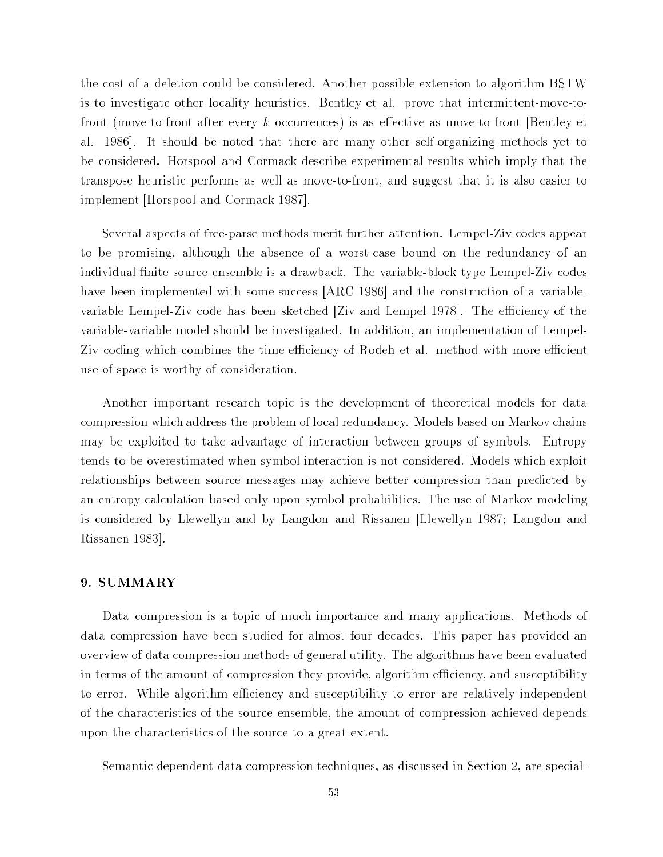the cost of a deletion could be considered. Another possible extension to algorithm BSTW is to investigate other locality heuristics. Bentley et al. prove that intermittent-move-tofront (move-to-front after every k occurrences) is as effective as move-to-front [Bentley et al. 1986]. It should be noted that there are many other self-organizing methods yet to be considered. Horspool and Cormack describe experimental results which imply that the transpose heuristic performs as well as move-to-front, and suggest that it is also easier to implement [Horspool and Cormack 1987].

Several aspects of free-parse methods merit further attention. Lempel-Ziv codes appear to be promising, although the absence of a worst-case bound on the redundancy of an individual finite source ensemble is a drawback. The variable-block type Lempel-Ziv codes have been implemented with some success [ARC 1986] and the construction of a variablevariable Lempel-Ziv code has been sketched [Ziv and Lempel 1978]. The efficiency of the variable-variable model should be investigated. In addition, an implementation of Lempel-Ziv coding which combines the time efficiency of Rodeh et al. method with more efficient use of space is worthy of consideration.

Another important research topic is the development of theoretical models for data compression which address the problem of local redundancy. Models based on Markov chains may be exploited to take advantage of interaction between groups of symbols. Entropy tends to be overestimated when symbol interaction is not considered. Models which exploit relationships between source messages may achieve better compression than predicted by an entropy calculation based only upon symbol probabilities. The use of Markov modeling is considered by Llewellyn and by Langdon and Rissanen [Llewellyn 1987; Langdon and Rissanen 1983].

Data compression is a topic of much importance and many applications. Methods of data compression have been studied for almost four decades. This paper has provided an overview of data compression methods of general utility. The algorithms have been evaluated in terms of the amount of compression they provide, algorithm efficiency, and susceptibility to error. While algorithm efficiency and susceptibility to error are relatively independent of the characteristics of the source ensemble, the amount of compression achieved depends upon the characteristics of the source to a great extent.

Semantic dependent data compression techniques, as discussed in Section 2, are special-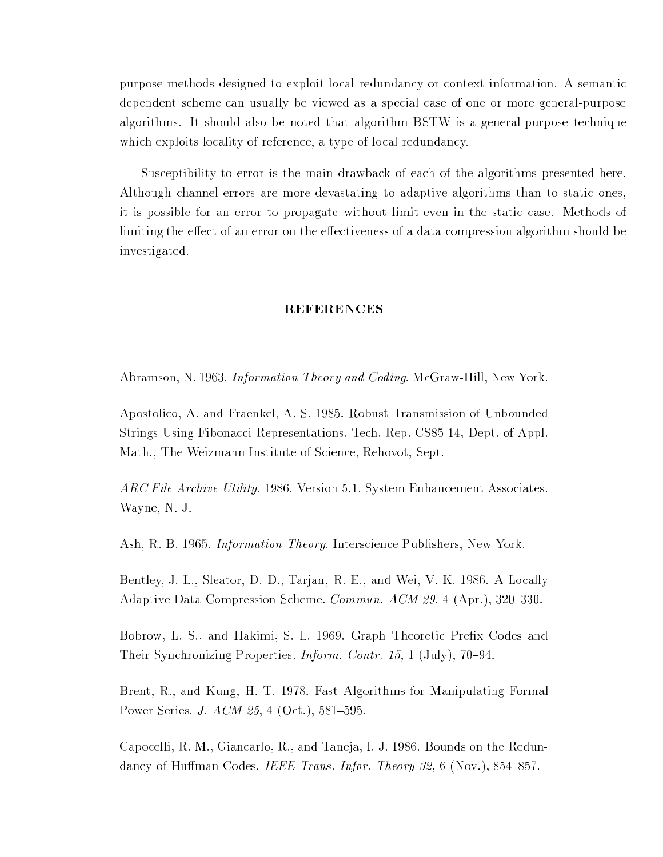purpose methods designed to exploit local redundancy or context information. A semantic dependent scheme can usually be viewed as a special case of one or more general-purpose algorithms. It should also be noted that algorithm BSTW is a general-purpose technique which exploits locality of reference, a type of local redundancy.

Susceptibility to error is the main drawback of each of the algorithms presented here. Although channel errors are more devastating to adaptive algorithms than to static ones, it is possible for an error to propagate without limit even in the static case. Methods of limiting the effect of an error on the effectiveness of a data compression algorithm should be investigated.

Abramson, N. 1963. Information Theory and Coding. McGraw-Hill, New York.

Apostolico, A. and Fraenkel, A. S. 1985. Robust Transmission of Unbounded Strings Using Fibonacci Representations. Tech. Rep. CS85-14, Dept. of Appl. Math., The Weizmann Institute of Science, Rehovot, Sept.

ARC File Archive Utility. 1986. Version 5.1. System Enhancement Associates. Wayne, N. J.

Ash, R. B. 1965. Information Theory. Interscience Publishers, New York.

Bentley, J. L., Sleator, D. D., Tarjan, R. E., and Wei, V. K. 1986. A Locally Adaptive Data Compression Scheme. Commun.  $ACM$  29, 4 (Apr.), 320–330.

Bobrow, L. S., and Hakimi, S. L. 1969. Graph Theoretic Prefix Codes and Their Synchronizing Properties. Inform. Contr.  $15$ , 1 (July), 70-94.

Brent, R., and Kung, H. T. 1978. Fast Algorithms for Manipulating Formal Power Series. *J. ACM 25*, 4 (Oct.), 581-595.

Capocelli, R. M., Giancarlo, R., and Taneja, I. J. 1986. Bounds on the Redundancy of Huffman Codes. IEEE Trans. Infor. Theory 32, 6 (Nov.), 854–857.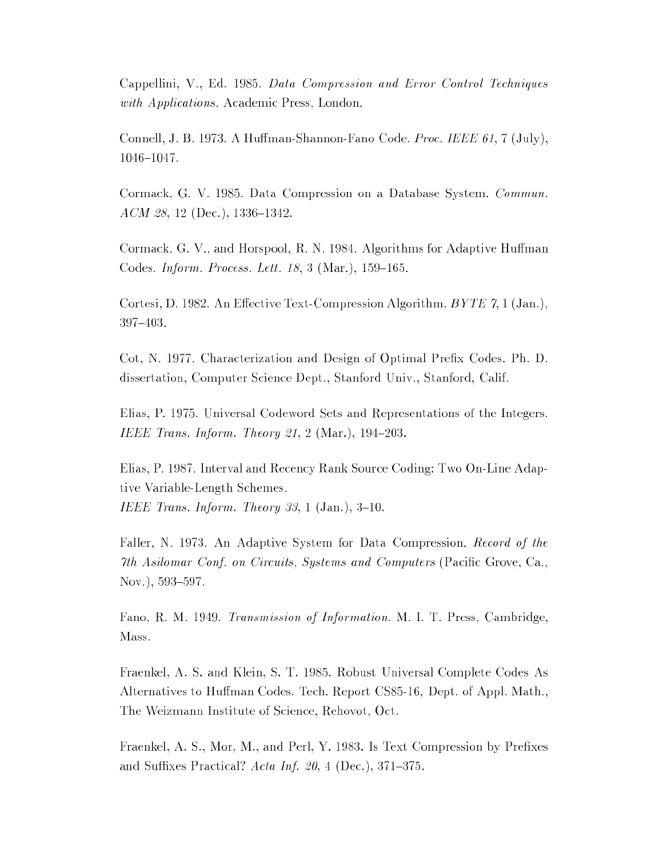Cappellini, V., Ed. 1985. Data Compression and Error Control Techniques with Applications. Academic Press, London.

Connell, J. B. 1973. A Huffman-Shannon-Fano Code. *Proc. IEEE 61*, 7 (July), 1046-1047.

Cormack, G. V. 1985. Data Compression on a Database System. Commun.  $ACM$  28, 12 (Dec.), 1336-1342.

Cormack, G. V., and Horspool, R. N. 1984. Algorithms for Adaptive Huffman Codes. Inform. Process. Lett.  $18, 3$  (Mar.),  $159-165$ .

Cortesi, D. 1982. An Effective Text-Compression Algorithm.  $BYTE$  7, 1 (Jan.), 397-403.

Cot, N. 1977. Characterization and Design of Optimal Prefix Codes. Ph. D. dissertation, Computer Science Dept., Stanford Univ., Stanford, Calif.

Elias, P. 1975. Universal Codeword Sets and Representations of the Integers. IEEE Trans. Inform. Theory 21, 2 (Mar.),  $194-203$ .

Elias, P. 1987. Interval and Recency Rank Source Coding: Two On-Line Adaptive Variable-Length Schemes. IEEE Trans. Inform. Theory 33, 1  $(Jan.), 3-10.$ 

Faller, N. 1973. An Adaptive System for Data Compression. Record of the 7th Asilomar Conf. on Circuits, Systems and Computers (Pacific Grove, Ca., Nov.),  $593-597$ .

Fano, R. M. 1949. Transmission of Information. M. I. T. Press, Cambridge, Mass.

Fraenkel, A. S. and Klein, S. T. 1985. Robust Universal Complete Codes As Alternatives to Human Codes. Tech. Report CS85-16, Dept. of Appl. Math., The Weizmann Institute of Science, Rehovot, Oct.

Fraenkel, A. S., Mor, M., and Perl, Y. 1983. Is Text Compression by Prefixes and Suffixes Practical? Acta Inf. 20, 4 (Dec.), 371-375.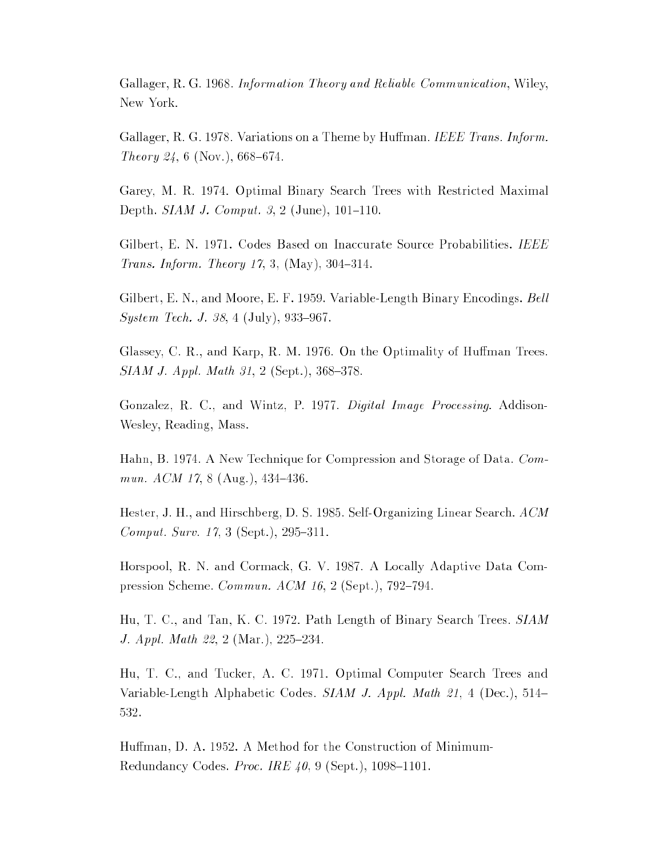Gallager, R. G. 1968. Information Theory and Reliable Communication, Wiley, New York.

Gallager, R. G. 1978. Variations on a Theme by Huffman. IEEE Trans. Inform. Theory 24, 6 (Nov.), 668–674.

Garey, M. R. 1974. Optimal Binary Search Trees with Restricted Maximal Depth. *SIAM J. Comput.* 3, 2 (June),  $101-110$ .

Gilbert, E. N. 1971. Codes Based on Inaccurate Source Probabilities. IEEE Trans. Inform. Theory 17, 3,  $(May)$ , 304-314.

Gilbert, E. N., and Moore, E. F. 1959. Variable-Length Binary Encodings. Bell  $System \, Tech. \, J. \, 38, \, 4 \, (July), \, 933–967.$ 

Glassey, C. R., and Karp, R. M. 1976. On the Optimality of Huffman Trees.  $SIAM J. Appl. Math 31, 2 (Sept.), 368-378.$ 

Gonzalez, R. C., and Wintz, P. 1977. Digital Image Processing. Addison-Wesley, Reading, Mass.

Hahn, B. 1974. A New Technique for Compression and Storage of Data. Commun.  $ACM$  17, 8 (Aug.), 434-436.

Hester, J. H., and Hirschberg, D. S. 1985. Self-Organizing Linear Search. ACM Comput. Surv. 17, 3 (Sept.),  $295-311$ .

Horspool, R. N. and Cormack, G. V. 1987. A Locally Adaptive Data Compression Scheme.  $Commun.$   $ACM$  16, 2 (Sept.), 792-794.

Hu, T. C., and Tan, K. C. 1972. Path Length of Binary Search Trees. SIAM J. Appl. Math 22, 2 (Mar.), 225–234.

Hu, T. C., and Tucker, A. C. 1971. Optimal Computer Search Trees and Variable-Length Alphabetic Codes. SIAM J. Appl. Math 21, 4 (Dec.), 514– 532.

Human, D. A. 1952. A Method for the Construction of Minimum-Redundancy Codes. Proc. IRE  $40, 9$  (Sept.), 1098-1101.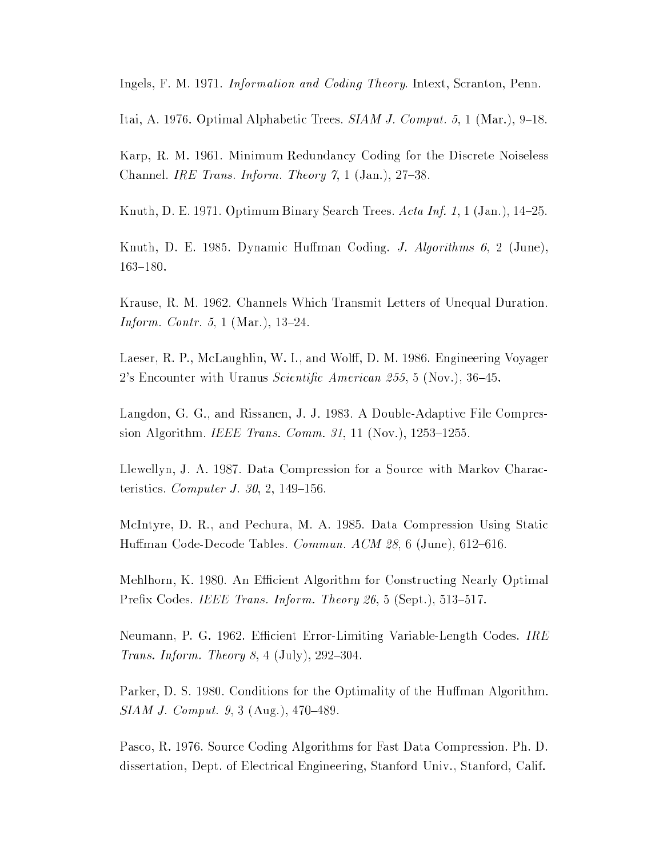Ingels, F. M. 1971. Information and Coding Theory. Intext, Scranton, Penn.

Itai, A. 1976. Optimal Alphabetic Trees. SIAM J. Comput. 5, 1 (Mar.), 9-18.

Karp, R. M. 1961. Minimum Redundancy Coding for the Discrete Noiseless Channel. IRE Trans. Inform. Theory  $7, 1$  (Jan.), 27-38.

Knuth, D. E. 1971. Optimum Binary Search Trees. Acta Inf. 1, 1 (Jan.), 14-25.

Knuth, D. E. 1985. Dynamic Huffman Coding. J. Algorithms  $6, 2$  (June), 163-180.

Krause, R. M. 1962. Channels Which Transmit Letters of Unequal Duration. Inform. Contr. 5, 1 (Mar.),  $13-24$ .

Laeser, R. P., McLaughlin, W. I., and Wolff, D. M. 1986. Engineering Voyager 2's Encounter with Uranus Scientific American 255, 5 (Nov.), 36–45.

Langdon, G. G., and Rissanen, J. J. 1983. A Double-Adaptive File Compression Algorithm. IEEE Trans. Comm. 31, 11 (Nov.), 1253-1255.

Llewellyn, J. A. 1987. Data Compression for a Source with Markov Characteristics. Computer J. 30, 2, 149-156.

McIntyre, D. R., and Pechura, M. A. 1985. Data Compression Using Static Huffman Code-Decode Tables.  $Commun.$   $ACM$  28, 6 (June), 612–616.

Mehlhorn, K. 1980. An Efficient Algorithm for Constructing Nearly Optimal Prefix Codes. IEEE Trans. Inform. Theory 26, 5 (Sept.), 513-517.

Neumann, P. G. 1962. Efficient Error-Limiting Variable-Length Codes. IRE Trans. Inform. Theory  $8, 4$  (July), 292-304.

Parker, D. S. 1980. Conditions for the Optimality of the Huffman Algorithm.  $SIAM J. Comput. 9, 3 (Aug.), 470–489.$ 

Pasco, R. 1976. Source Coding Algorithms for Fast Data Compression. Ph. D. dissertation, Dept. of Electrical Engineering, Stanford Univ., Stanford, Calif.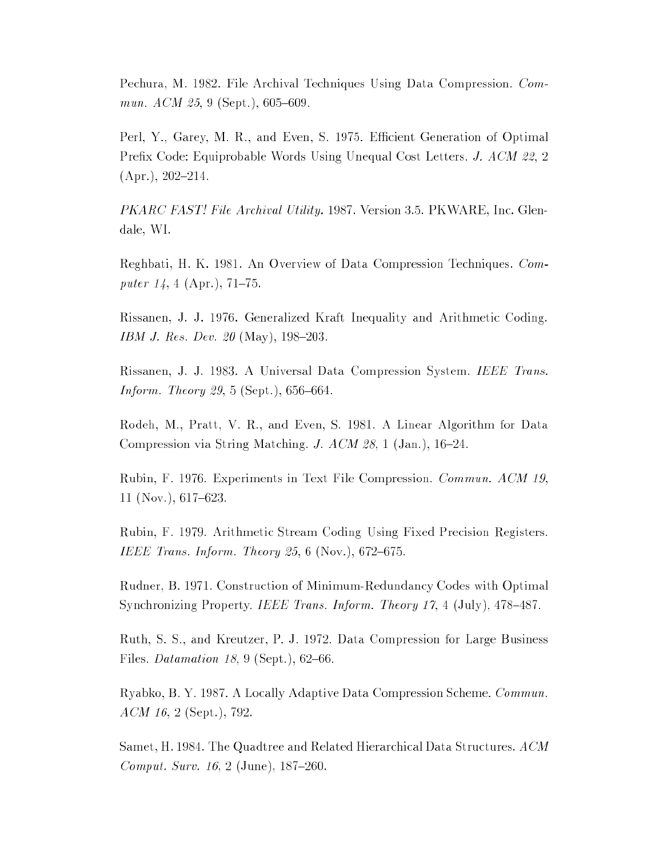Pechura, M. 1982. File Archival Techniques Using Data Compression. Commun.  $ACM$  25, 9 (Sept.), 605-609.

Perl, Y., Garey, M. R., and Even, S. 1975. Efficient Generation of Optimal Prefix Code: Equiprobable Words Using Unequal Cost Letters. *J. ACM 22*, 2  $(Apr.), 202-214.$ 

PKARC FAST! File Archival Utility. 1987. Version 3.5. PKWARE, Inc. Glendale, WI.

Reghbati, H. K. 1981. An Overview of Data Compression Techniques. Computer  $14, 4$  (Apr.), 71-75.

Rissanen, J. J. 1976. Generalized Kraft Inequality and Arithmetic Coding. IBM J. Res. Dev. 20 (May),  $198-203$ .

Rissanen, J. J. 1983. A Universal Data Compression System. IEEE Trans. Inform. Theory 29, 5 (Sept.),  $656-664$ .

Rodeh, M., Pratt, V. R., and Even, S. 1981. A Linear Algorithm for Data Compression via String Matching. J.  $ACM$  28, 1 (Jan.), 16-24.

Rubin, F. 1976. Experiments in Text File Compression. Commun. ACM 19, 11 (Nov.),  $617-623$ .

Rubin, F. 1979. Arithmetic Stream Coding Using Fixed Precision Registers. IEEE Trans. Inform. Theory 25, 6 (Nov.), 672-675.

Rudner, B. 1971. Construction of Minimum-Redundancy Codes with Optimal Synchronizing Property. IEEE Trans. Inform. Theory 17, 4 (July),  $478-487$ .

Ruth, S. S., and Kreutzer, P. J. 1972. Data Compression for Large Business Files. Datamation 18, 9 (Sept.),  $62-66$ .

Ryabko, B. Y. 1987. A Locally Adaptive Data Compression Scheme. Commun. ACM 16, 2 (Sept.), 792.

Samet, H. 1984. The Quadtree and Related Hierarchical Data Structures. ACM Comput. Surv.  $16, 2$  (June),  $187-260$ .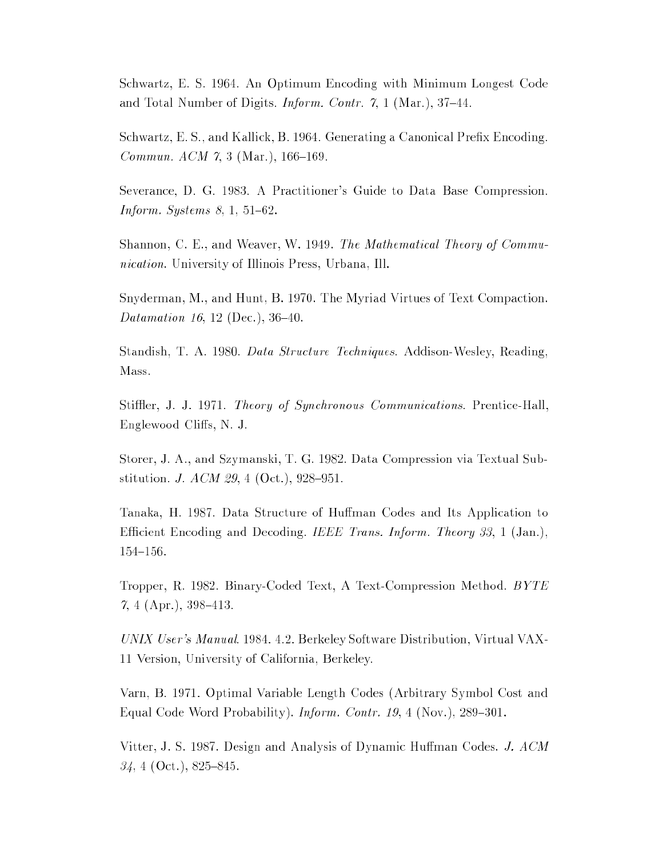Schwartz, E. S. 1964. An Optimum Encoding with Minimum Longest Code and Total Number of Digits. *Inform. Contr.* 7, 1 (Mar.),  $37-44$ .

Schwartz, E. S., and Kallick, B. 1964. Generating a Canonical Prefix Encoding. *Commun. ACM 7, 3 (Mar.), 166-169.* 

Severance, D. G. 1983. A Practitioner's Guide to Data Base Compression. Inform. Systems  $8, 1, 51–62$ .

Shannon, C. E., and Weaver, W. 1949. The Mathematical Theory of Communication. University of Illinois Press, Urbana, Ill.

Snyderman, M., and Hunt, B. 1970. The Myriad Virtues of Text Compaction. Datamation 16, 12 (Dec.),  $36-40$ .

Standish, T. A. 1980. Data Structure Techniques. Addison-Wesley, Reading, Mass.

Stiffler, J. J. 1971. Theory of Synchronous Communications. Prentice-Hall, Englewood Cliffs, N. J.

Storer, J. A., and Szymanski, T. G. 1982. Data Compression via Textual Substitution. *J. ACM 29*, 4 (Oct.), 928–951.

Tanaka, H. 1987. Data Structure of Huffman Codes and Its Application to Efficient Encoding and Decoding. IEEE Trans. Inform. Theory 33, 1 (Jan.), 154-156.

Tropper, R. 1982. Binary-Coded Text, A Text-Compression Method. BYTE  $7, 4$  (Apr.), 398-413.

UNIX User's Manual. 1984. 4.2. Berkeley Software Distribution, Virtual VAX-11 Version, University of California, Berkeley.

Varn, B. 1971. Optimal Variable Length Codes (Arbitrary Symbol Cost and Equal Code Word Probability). Inform. Contr. 19, 4 (Nov.), 289-301.

Vitter, J. S. 1987. Design and Analysis of Dynamic Huffman Codes. J. ACM  $34, 4$  (Oct.), 825-845.